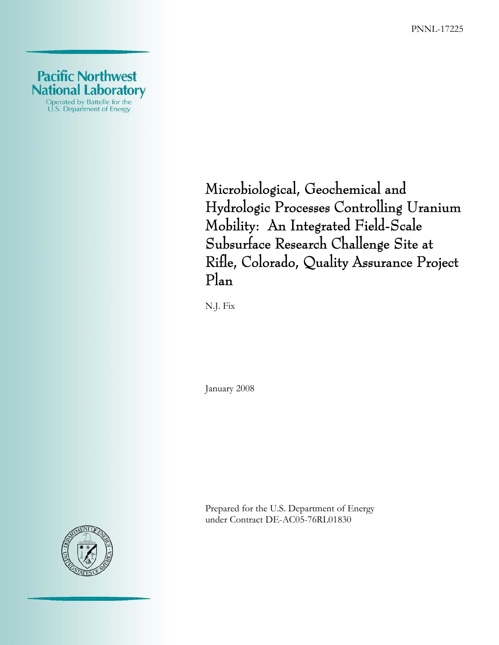PNNL-17225



Microbiological, Geochemical and Hydrologic Processes Controlling Uranium Mobility: An Integrated Field-Scale Subsurface Research Challenge Site at Rifle, Colorado, Quality Assurance Project Plan

N.J. Fix

January 2008

Prepared for the U.S. Department of Energy under Contract DE-AC05-76RL01830

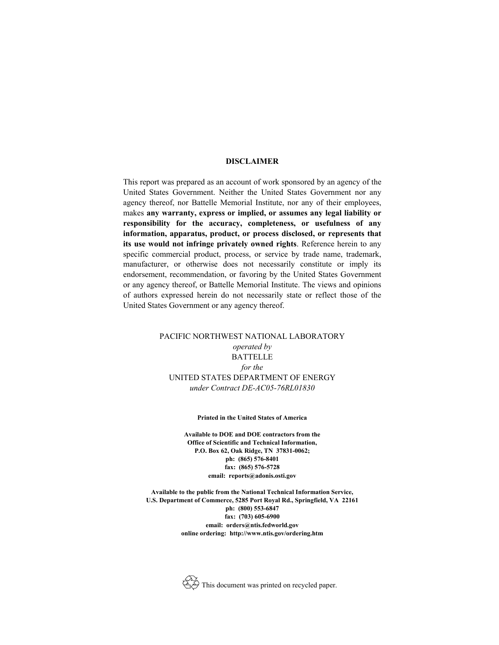#### **DISCLAIMER**

This report was prepared as an account of work sponsored by an agency of the United States Government. Neither the United States Government nor any agency thereof, nor Battelle Memorial Institute, nor any of their employees, makes **any warranty, express or implied, or assumes any legal liability or responsibility for the accuracy, completeness, or usefulness of any information, apparatus, product, or process disclosed, or represents that its use would not infringe privately owned rights**. Reference herein to any specific commercial product, process, or service by trade name, trademark, manufacturer, or otherwise does not necessarily constitute or imply its endorsement, recommendation, or favoring by the United States Government or any agency thereof, or Battelle Memorial Institute. The views and opinions of authors expressed herein do not necessarily state or reflect those of the United States Government or any agency thereof.

#### PACIFIC NORTHWEST NATIONAL LABORATORY *operated by* BATTELLE *for the* UNITED STATES DEPARTMENT OF ENERGY *under Contract DE-AC05-76RL01830*

#### **Printed in the United States of America**

**Available to DOE and DOE contractors from the Office of Scientific and Technical Information, P.O. Box 62, Oak Ridge, TN 37831-0062; ph: (865) 576-8401 fax: (865) 576-5728 email: reports@adonis.osti.gov** 

**Available to the public from the National Technical Information Service, U.S. Department of Commerce, 5285 Port Royal Rd., Springfield, VA 22161 ph: (800) 553-6847 fax: (703) 605-6900 email: orders@ntis.fedworld.gov online ordering: http://www.ntis.gov/ordering.htm** 

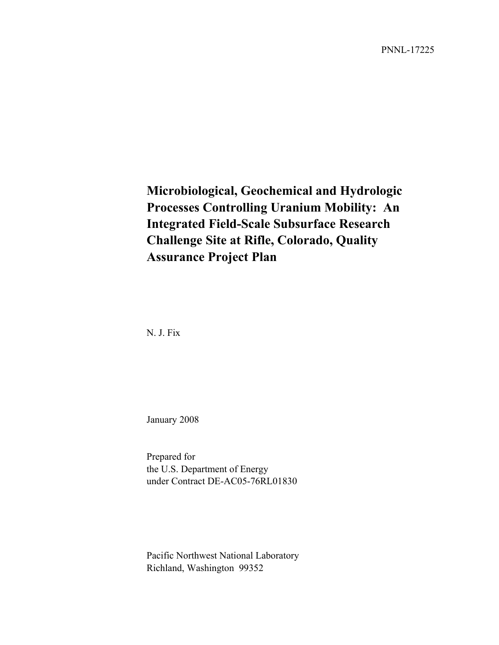PNNL-17225

## **Microbiological, Geochemical and Hydrologic Processes Controlling Uranium Mobility: An Integrated Field-Scale Subsurface Research Challenge Site at Rifle, Colorado, Quality Assurance Project Plan**

N. J. Fix

January 2008

Prepared for the U.S. Department of Energy under Contract DE-AC05-76RL01830

Pacific Northwest National Laboratory Richland, Washington 99352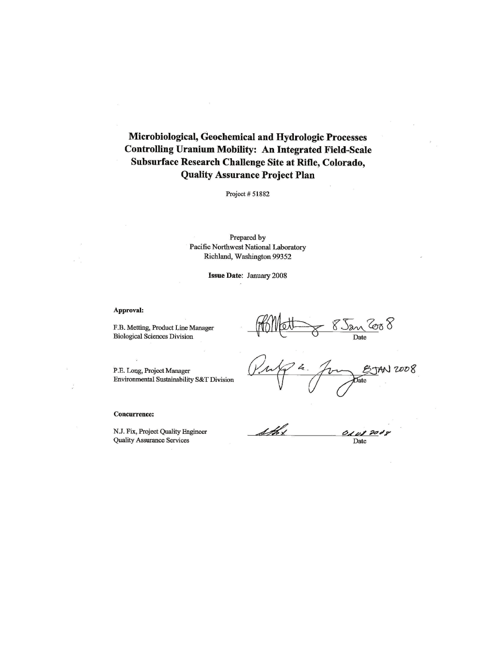## Microbiological, Geochemical and Hydrologic Processes **Controlling Uranium Mobility: An Integrated Field-Scale** Subsurface Research Challenge Site at Rifle, Colorado, **Quality Assurance Project Plan**

Project # 51882

Prepared by Pacific Northwest National Laboratory Richland, Washington 99352

Issue Date: January 2008

#### Approval:

F.B. Metting, Product Line Manager **Biological Sciences Division** 

P.E. Long, Project Manager Environmental Sustainability S&T Division

#### **Concurrence:**

N.J. Fix, Project Quality Engineer **Quality Assurance Services** 

<u>'San 2008</u> Date

2008 Jate

<u>sth</u> 01082008 Date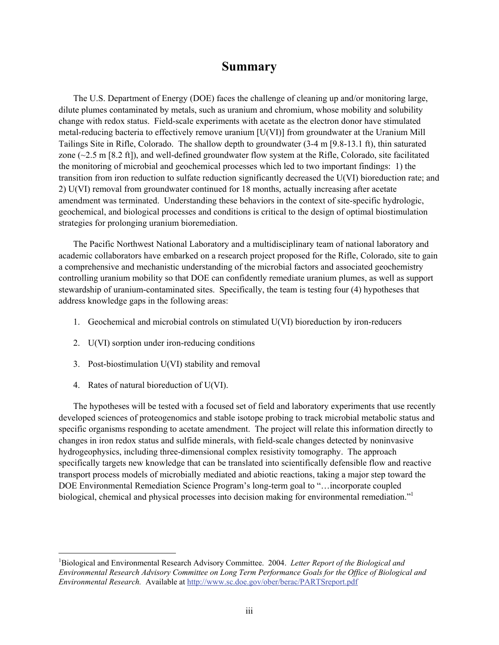## **Summary**

The U.S. Department of Energy (DOE) faces the challenge of cleaning up and/or monitoring large, dilute plumes contaminated by metals, such as uranium and chromium, whose mobility and solubility change with redox status. Field-scale experiments with acetate as the electron donor have stimulated metal-reducing bacteria to effectively remove uranium [U(VI)] from groundwater at the Uranium Mill Tailings Site in Rifle, Colorado. The shallow depth to groundwater (3-4 m [9.8-13.1 ft), thin saturated zone  $(\sim 2.5 \text{ m } [8.2 \text{ ft}])$ , and well-defined groundwater flow system at the Rifle, Colorado, site facilitated the monitoring of microbial and geochemical processes which led to two important findings: 1) the transition from iron reduction to sulfate reduction significantly decreased the U(VI) bioreduction rate; and 2) U(VI) removal from groundwater continued for 18 months, actually increasing after acetate amendment was terminated. Understanding these behaviors in the context of site-specific hydrologic, geochemical, and biological processes and conditions is critical to the design of optimal biostimulation strategies for prolonging uranium bioremediation.

The Pacific Northwest National Laboratory and a multidisciplinary team of national laboratory and academic collaborators have embarked on a research project proposed for the Rifle, Colorado, site to gain a comprehensive and mechanistic understanding of the microbial factors and associated geochemistry controlling uranium mobility so that DOE can confidently remediate uranium plumes, as well as support stewardship of uranium-contaminated sites. Specifically, the team is testing four (4) hypotheses that address knowledge gaps in the following areas:

- 1. Geochemical and microbial controls on stimulated U(VI) bioreduction by iron-reducers
- 2. U(VI) sorption under iron-reducing conditions
- 3. Post-biostimulation U(VI) stability and removal
- 4. Rates of natural bioreduction of U(VI).

1

The hypotheses will be tested with a focused set of field and laboratory experiments that use recently developed sciences of proteogenomics and stable isotope probing to track microbial metabolic status and specific organisms responding to acetate amendment. The project will relate this information directly to changes in iron redox status and sulfide minerals, with field-scale changes detected by noninvasive hydrogeophysics, including three-dimensional complex resistivity tomography. The approach specifically targets new knowledge that can be translated into scientifically defensible flow and reactive transport process models of microbially mediated and abiotic reactions, taking a major step toward the DOE Environmental Remediation Science Program's long-term goal to "…incorporate coupled biological, chemical and physical processes into decision making for environmental remediation."<sup>1</sup>

<sup>&</sup>lt;sup>1</sup>Biological and Environmental Research Advisory Committee. 2004. Letter Report of the Biological and *Environmental Research Advisory Committee on Long Term Performance Goals for the Office of Biological and Environmental Research.* Available at http://www.sc.doe.gov/ober/berac/PARTSreport.pdf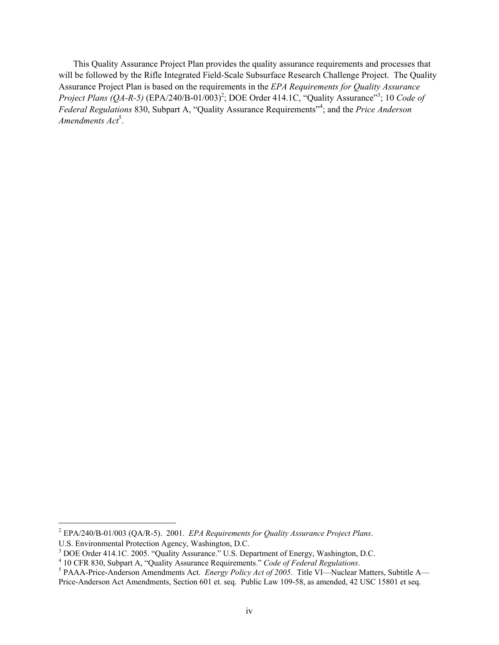This Quality Assurance Project Plan provides the quality assurance requirements and processes that will be followed by the Rifle Integrated Field-Scale Subsurface Research Challenge Project. The Quality Assurance Project Plan is based on the requirements in the *EPA Requirements for Quality Assurance Project Plans (QA-R-5)* (EPA/240/B-01/003)<sup>2</sup>; DOE Order 414.1C, "Quality Assurance"<sup>3</sup>; 10 *Code of Federal Regulations* 830, Subpart A, "Quality Assurance Requirements"<sup>4</sup> ; and the *Price Anderson*  Amendments Act<sup>5</sup>.

l

<sup>2</sup> EPA/240/B-01/003 (QA/R-5). 2001. *EPA Requirements for Quality Assurance Project Plans*.

U.S. Environmental Protection Agency, Washington, D.C.

<sup>&</sup>lt;sup>3</sup> DOE Order 414.1C. 2005. "Quality Assurance." U.S. Department of Energy, Washington, D.C.

<sup>&</sup>lt;sup>4</sup> 10 CFR 830, Subpart A, "Quality Assurance Requirements." Code of Federal Regulations.

<sup>&</sup>lt;sup>5</sup> PAAA-Price-Anderson Amendments Act. *Energy Policy Act of 2005*. Title VI—Nuclear Matters, Subtitle A— Price-Anderson Act Amendments, Section 601 et. seq. Public Law 109-58, as amended, 42 USC 15801 et seq.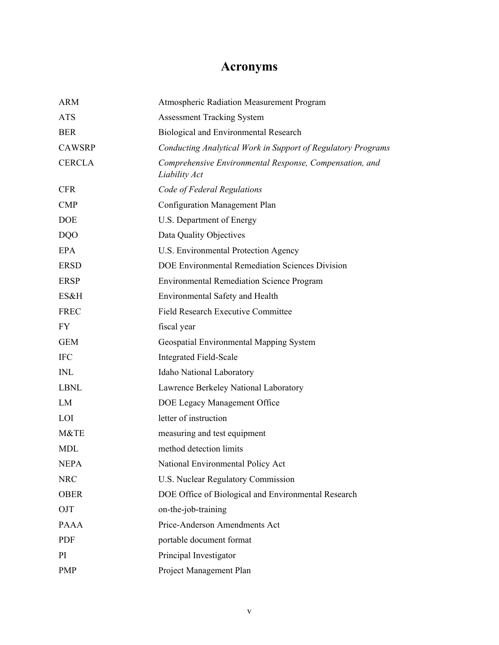# **Acronyms**

| <b>ARM</b>    | Atmospheric Radiation Measurement Program                                |
|---------------|--------------------------------------------------------------------------|
| <b>ATS</b>    | <b>Assessment Tracking System</b>                                        |
| <b>BER</b>    | Biological and Environmental Research                                    |
| <b>CAWSRP</b> | Conducting Analytical Work in Support of Regulatory Programs             |
| <b>CERCLA</b> | Comprehensive Environmental Response, Compensation, and<br>Liability Act |
| <b>CFR</b>    | Code of Federal Regulations                                              |
| <b>CMP</b>    | Configuration Management Plan                                            |
| <b>DOE</b>    | U.S. Department of Energy                                                |
| <b>DQO</b>    | Data Quality Objectives                                                  |
| EPA           | U.S. Environmental Protection Agency                                     |
| <b>ERSD</b>   | DOE Environmental Remediation Sciences Division                          |
| <b>ERSP</b>   | <b>Environmental Remediation Science Program</b>                         |
| ES&H          | Environmental Safety and Health                                          |
| <b>FREC</b>   | <b>Field Research Executive Committee</b>                                |
| FY.           | fiscal year                                                              |
| <b>GEM</b>    | Geospatial Environmental Mapping System                                  |
| <b>IFC</b>    | <b>Integrated Field-Scale</b>                                            |
| <b>INL</b>    | Idaho National Laboratory                                                |
| <b>LBNL</b>   | Lawrence Berkeley National Laboratory                                    |
| LM            | DOE Legacy Management Office                                             |
| LOI           | letter of instruction                                                    |
| M&TE          | measuring and test equipment                                             |
| <b>MDL</b>    | method detection limits                                                  |
| <b>NEPA</b>   | National Environmental Policy Act                                        |
| <b>NRC</b>    | U.S. Nuclear Regulatory Commission                                       |
| <b>OBER</b>   | DOE Office of Biological and Environmental Research                      |
| OJT           | on-the-job-training                                                      |
| <b>PAAA</b>   | Price-Anderson Amendments Act                                            |
| <b>PDF</b>    | portable document format                                                 |
| PI            | Principal Investigator                                                   |
| <b>PMP</b>    | Project Management Plan                                                  |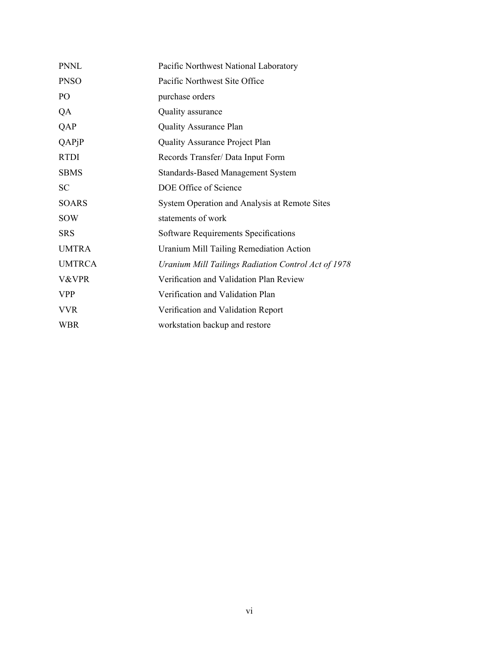| <b>PNNL</b>            | Pacific Northwest National Laboratory               |
|------------------------|-----------------------------------------------------|
| <b>PNSO</b>            | Pacific Northwest Site Office                       |
| P <sub>O</sub>         | purchase orders                                     |
| QA                     | Quality assurance                                   |
| QAP                    | <b>Quality Assurance Plan</b>                       |
| $QAP$ <sub>j</sub> $P$ | <b>Quality Assurance Project Plan</b>               |
| <b>RTDI</b>            | Records Transfer/ Data Input Form                   |
| <b>SBMS</b>            | <b>Standards-Based Management System</b>            |
| <b>SC</b>              | DOE Office of Science                               |
| <b>SOARS</b>           | System Operation and Analysis at Remote Sites       |
| <b>SOW</b>             | statements of work                                  |
| <b>SRS</b>             | Software Requirements Specifications                |
| <b>UMTRA</b>           | Uranium Mill Tailing Remediation Action             |
| <b>UMTRCA</b>          | Uranium Mill Tailings Radiation Control Act of 1978 |
| V&VPR                  | Verification and Validation Plan Review             |
| <b>VPP</b>             | Verification and Validation Plan                    |
| <b>VVR</b>             | Verification and Validation Report                  |
| <b>WBR</b>             | workstation backup and restore                      |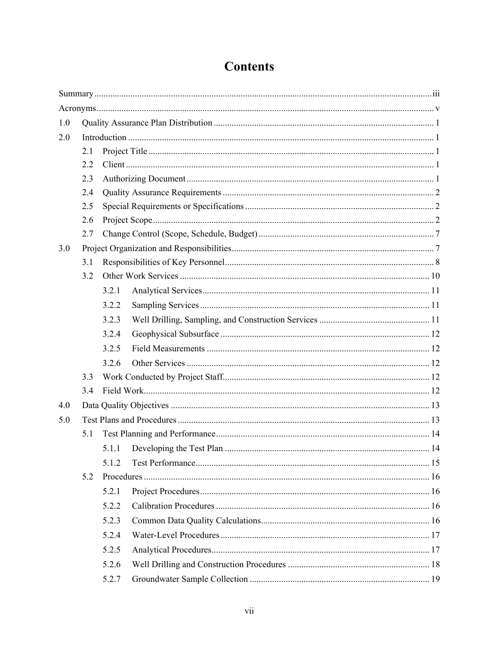| 1.0 |     |       |  |
|-----|-----|-------|--|
| 2.0 |     |       |  |
|     | 2.1 |       |  |
|     | 2.2 |       |  |
|     | 2.3 |       |  |
|     | 2.4 |       |  |
|     | 2.5 |       |  |
|     | 2.6 |       |  |
|     | 2.7 |       |  |
| 3.0 |     |       |  |
|     | 3.1 |       |  |
|     | 3.2 |       |  |
|     |     | 3.2.1 |  |
|     |     | 3.2.2 |  |
|     |     | 3.2.3 |  |
|     |     | 3.2.4 |  |
|     |     | 3.2.5 |  |
|     |     | 3.2.6 |  |
|     | 3.3 |       |  |
|     | 3.4 |       |  |
| 4.0 |     |       |  |
| 5.0 |     |       |  |
|     | 5.1 |       |  |
|     |     | 5.1.1 |  |
|     |     | 5.1.2 |  |
|     | 5.2 |       |  |
|     |     | 5.2.1 |  |
|     |     | 5.2.2 |  |
|     |     | 5.2.3 |  |
|     |     | 5.2.4 |  |
|     |     | 5.2.5 |  |
|     |     | 5.2.6 |  |
|     |     | 5.2.7 |  |
|     |     |       |  |

# **Contents**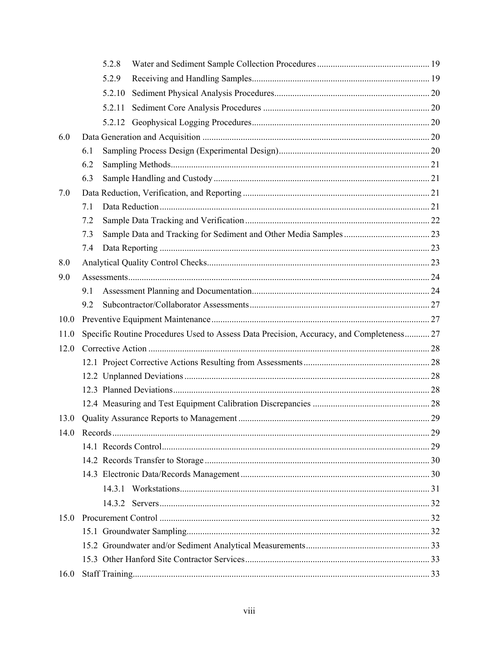|      | 5.2.8  |                                                                                          |  |
|------|--------|------------------------------------------------------------------------------------------|--|
|      | 5.2.9  |                                                                                          |  |
|      | 5.2.10 |                                                                                          |  |
|      | 5.2.11 |                                                                                          |  |
|      |        |                                                                                          |  |
| 6.0  |        |                                                                                          |  |
|      | 6.1    |                                                                                          |  |
|      | 6.2    |                                                                                          |  |
|      | 6.3    |                                                                                          |  |
| 7.0  |        |                                                                                          |  |
|      | 7.1    |                                                                                          |  |
|      | 7.2    |                                                                                          |  |
|      | 7.3    |                                                                                          |  |
|      | 7.4    |                                                                                          |  |
| 8.0  |        |                                                                                          |  |
| 9.0  |        |                                                                                          |  |
|      | 9.1    |                                                                                          |  |
|      | 9.2    |                                                                                          |  |
| 10.0 |        |                                                                                          |  |
| 11.0 |        | Specific Routine Procedures Used to Assess Data Precision, Accuracy, and Completeness 27 |  |
| 12.0 |        |                                                                                          |  |
|      |        |                                                                                          |  |
|      |        |                                                                                          |  |
|      |        |                                                                                          |  |
|      |        |                                                                                          |  |
| 13.0 |        |                                                                                          |  |
|      |        |                                                                                          |  |
|      |        |                                                                                          |  |
|      |        |                                                                                          |  |
|      |        |                                                                                          |  |
|      |        |                                                                                          |  |
|      |        |                                                                                          |  |
| 15.0 |        |                                                                                          |  |
|      |        |                                                                                          |  |
|      |        |                                                                                          |  |
|      |        |                                                                                          |  |
| 16.0 |        |                                                                                          |  |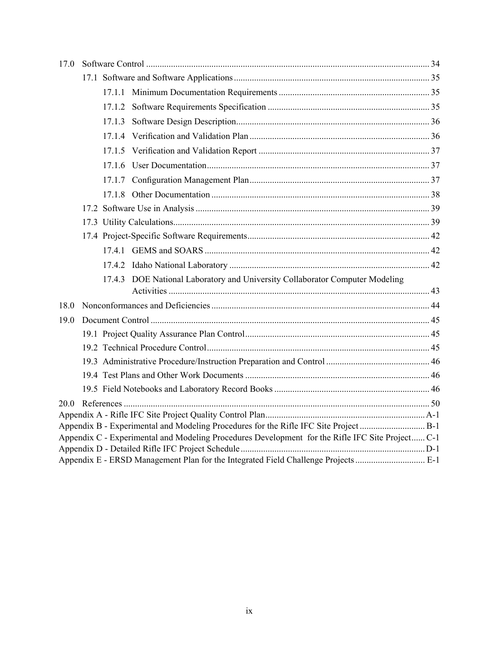|  | 17.4.3 DOE National Laboratory and University Collaborator Computer Modeling<br>Appendix C - Experimental and Modeling Procedures Development for the Rifle IFC Site Project C-1<br>Appendix E - ERSD Management Plan for the Integrated Field Challenge Projects  E-1 |
|--|------------------------------------------------------------------------------------------------------------------------------------------------------------------------------------------------------------------------------------------------------------------------|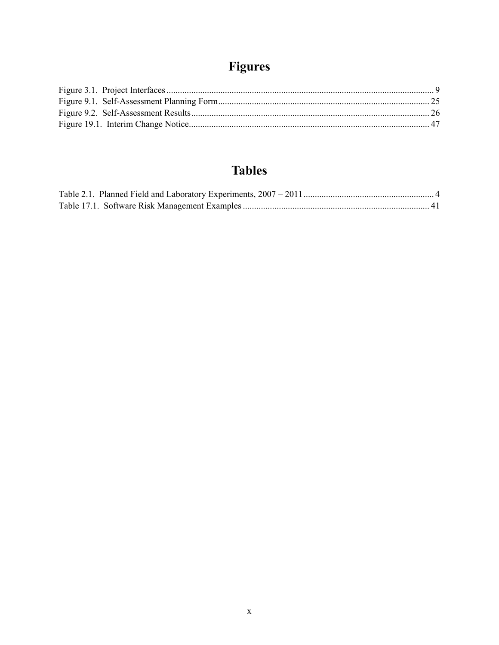# Figures

# **Tables**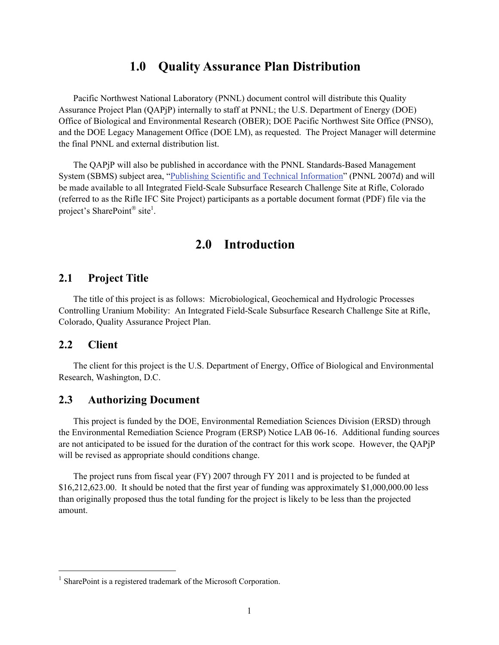## **1.0 Quality Assurance Plan Distribution**

Pacific Northwest National Laboratory (PNNL) document control will distribute this Quality Assurance Project Plan (QAPjP) internally to staff at PNNL; the U.S. Department of Energy (DOE) Office of Biological and Environmental Research (OBER); DOE Pacific Northwest Site Office (PNSO), and the DOE Legacy Management Office (DOE LM), as requested. The Project Manager will determine the final PNNL and external distribution list.

The QAPjP will also be published in accordance with the PNNL Standards-Based Management System (SBMS) subject area, "Publishing Scientific and Technical Information" (PNNL 2007d) and will be made available to all Integrated Field-Scale Subsurface Research Challenge Site at Rifle, Colorado (referred to as the Rifle IFC Site Project) participants as a portable document format (PDF) file via the project's SharePoint® site<sup>1</sup>.

## **2.0 Introduction**

#### **2.1 Project Title**

The title of this project is as follows: Microbiological, Geochemical and Hydrologic Processes Controlling Uranium Mobility: An Integrated Field-Scale Subsurface Research Challenge Site at Rifle, Colorado, Quality Assurance Project Plan.

### **2.2 Client**

l

The client for this project is the U.S. Department of Energy, Office of Biological and Environmental Research, Washington, D.C.

#### **2.3 Authorizing Document**

This project is funded by the DOE, Environmental Remediation Sciences Division (ERSD) through the Environmental Remediation Science Program (ERSP) Notice LAB 06-16. Additional funding sources are not anticipated to be issued for the duration of the contract for this work scope. However, the QAPjP will be revised as appropriate should conditions change.

The project runs from fiscal year (FY) 2007 through FY 2011 and is projected to be funded at \$16,212,623.00. It should be noted that the first year of funding was approximately \$1,000,000.00 less than originally proposed thus the total funding for the project is likely to be less than the projected amount.

 $<sup>1</sup>$  SharePoint is a registered trademark of the Microsoft Corporation.</sup>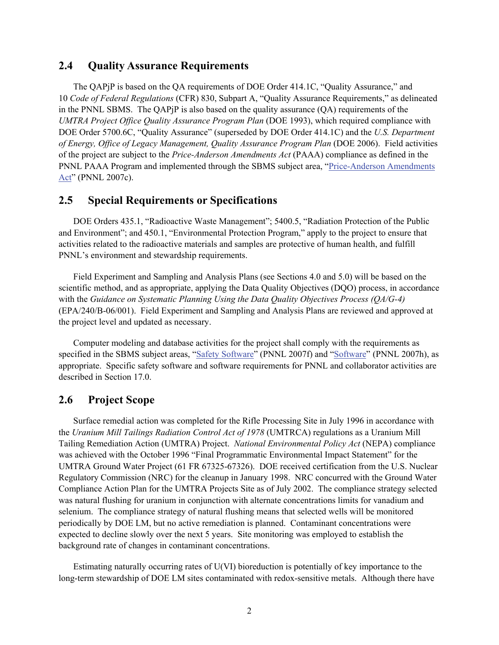#### **2.4 Quality Assurance Requirements**

The QAPjP is based on the QA requirements of DOE Order 414.1C, "Quality Assurance," and 10 *Code of Federal Regulations* (CFR) 830, Subpart A, "Quality Assurance Requirements," as delineated in the PNNL SBMS. The QAPjP is also based on the quality assurance (QA) requirements of the *UMTRA Project Office Quality Assurance Program Plan* (DOE 1993), which required compliance with DOE Order 5700.6C, "Quality Assurance" (superseded by DOE Order 414.1C) and the *U.S. Department of Energy, Office of Legacy Management, Quality Assurance Program Plan* (DOE 2006). Field activities of the project are subject to the *Price-Anderson Amendments Act* (PAAA) compliance as defined in the PNNL PAAA Program and implemented through the SBMS subject area, "Price-Anderson Amendments Act" (PNNL 2007c).

#### **2.5 Special Requirements or Specifications**

DOE Orders 435.1, "Radioactive Waste Management"; 5400.5, "Radiation Protection of the Public and Environment"; and 450.1, "Environmental Protection Program," apply to the project to ensure that activities related to the radioactive materials and samples are protective of human health, and fulfill PNNL's environment and stewardship requirements.

Field Experiment and Sampling and Analysis Plans (see Sections 4.0 and 5.0) will be based on the scientific method, and as appropriate, applying the Data Quality Objectives (DQO) process, in accordance with the *Guidance on Systematic Planning Using the Data Quality Objectives Process (QA/G-4)* (EPA/240/B-06/001). Field Experiment and Sampling and Analysis Plans are reviewed and approved at the project level and updated as necessary.

Computer modeling and database activities for the project shall comply with the requirements as specified in the SBMS subject areas, "Safety Software" (PNNL 2007f) and "Software" (PNNL 2007h), as appropriate. Specific safety software and software requirements for PNNL and collaborator activities are described in Section 17.0.

### **2.6 Project Scope**

Surface remedial action was completed for the Rifle Processing Site in July 1996 in accordance with the *Uranium Mill Tailings Radiation Control Act of 1978* (UMTRCA) regulations as a Uranium Mill Tailing Remediation Action (UMTRA) Project. *National Environmental Policy Act* (NEPA) compliance was achieved with the October 1996 "Final Programmatic Environmental Impact Statement" for the UMTRA Ground Water Project (61 FR 67325-67326). DOE received certification from the U.S. Nuclear Regulatory Commission (NRC) for the cleanup in January 1998. NRC concurred with the Ground Water Compliance Action Plan for the UMTRA Projects Site as of July 2002. The compliance strategy selected was natural flushing for uranium in conjunction with alternate concentrations limits for vanadium and selenium. The compliance strategy of natural flushing means that selected wells will be monitored periodically by DOE LM, but no active remediation is planned. Contaminant concentrations were expected to decline slowly over the next 5 years. Site monitoring was employed to establish the background rate of changes in contaminant concentrations.

Estimating naturally occurring rates of U(VI) bioreduction is potentially of key importance to the long-term stewardship of DOE LM sites contaminated with redox-sensitive metals. Although there have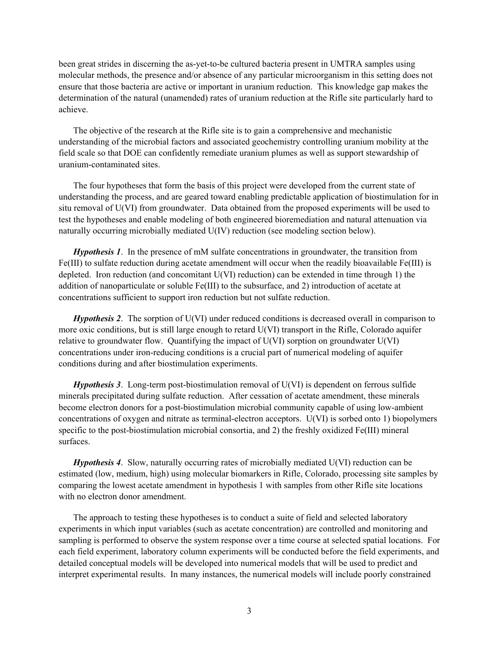been great strides in discerning the as-yet-to-be cultured bacteria present in UMTRA samples using molecular methods, the presence and/or absence of any particular microorganism in this setting does not ensure that those bacteria are active or important in uranium reduction. This knowledge gap makes the determination of the natural (unamended) rates of uranium reduction at the Rifle site particularly hard to achieve.

The objective of the research at the Rifle site is to gain a comprehensive and mechanistic understanding of the microbial factors and associated geochemistry controlling uranium mobility at the field scale so that DOE can confidently remediate uranium plumes as well as support stewardship of uranium-contaminated sites.

The four hypotheses that form the basis of this project were developed from the current state of understanding the process, and are geared toward enabling predictable application of biostimulation for in situ removal of U(VI) from groundwater. Data obtained from the proposed experiments will be used to test the hypotheses and enable modeling of both engineered bioremediation and natural attenuation via naturally occurring microbially mediated U(IV) reduction (see modeling section below).

*Hypothesis 1*. In the presence of mM sulfate concentrations in groundwater, the transition from Fe(III) to sulfate reduction during acetate amendment will occur when the readily bioavailable Fe(III) is depleted. Iron reduction (and concomitant U(VI) reduction) can be extended in time through 1) the addition of nanoparticulate or soluble Fe(III) to the subsurface, and 2) introduction of acetate at concentrations sufficient to support iron reduction but not sulfate reduction.

*Hypothesis 2.* The sorption of U(VI) under reduced conditions is decreased overall in comparison to more oxic conditions, but is still large enough to retard U(VI) transport in the Rifle, Colorado aquifer relative to groundwater flow. Quantifying the impact of U(VI) sorption on groundwater U(VI) concentrations under iron-reducing conditions is a crucial part of numerical modeling of aquifer conditions during and after biostimulation experiments.

*Hypothesis 3*. Long-term post-biostimulation removal of U(VI) is dependent on ferrous sulfide minerals precipitated during sulfate reduction. After cessation of acetate amendment, these minerals become electron donors for a post-biostimulation microbial community capable of using low-ambient concentrations of oxygen and nitrate as terminal-electron acceptors. U(VI) is sorbed onto 1) biopolymers specific to the post-biostimulation microbial consortia, and 2) the freshly oxidized Fe(III) mineral surfaces.

*Hypothesis 4*. Slow, naturally occurring rates of microbially mediated U(VI) reduction can be estimated (low, medium, high) using molecular biomarkers in Rifle, Colorado, processing site samples by comparing the lowest acetate amendment in hypothesis 1 with samples from other Rifle site locations with no electron donor amendment.

The approach to testing these hypotheses is to conduct a suite of field and selected laboratory experiments in which input variables (such as acetate concentration) are controlled and monitoring and sampling is performed to observe the system response over a time course at selected spatial locations. For each field experiment, laboratory column experiments will be conducted before the field experiments, and detailed conceptual models will be developed into numerical models that will be used to predict and interpret experimental results. In many instances, the numerical models will include poorly constrained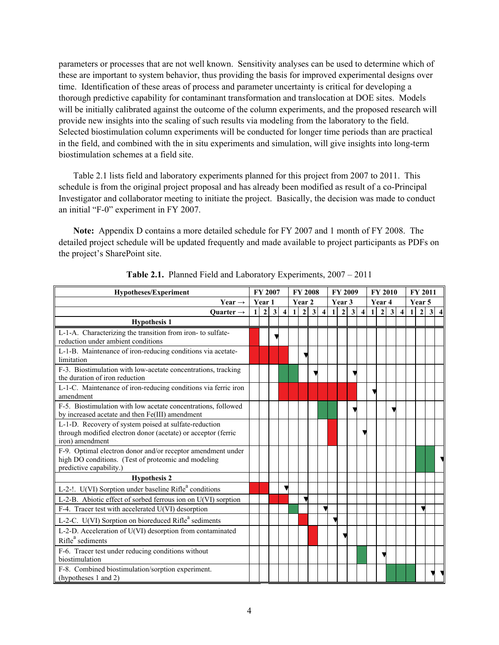parameters or processes that are not well known. Sensitivity analyses can be used to determine which of these are important to system behavior, thus providing the basis for improved experimental designs over time. Identification of these areas of process and parameter uncertainty is critical for developing a thorough predictive capability for contaminant transformation and translocation at DOE sites. Models will be initially calibrated against the outcome of the column experiments, and the proposed research will provide new insights into the scaling of such results via modeling from the laboratory to the field. Selected biostimulation column experiments will be conducted for longer time periods than are practical in the field, and combined with the in situ experiments and simulation, will give insights into long-term biostimulation schemes at a field site.

Table 2.1 lists field and laboratory experiments planned for this project from 2007 to 2011. This schedule is from the original project proposal and has already been modified as result of a co-Principal Investigator and collaborator meeting to initiate the project. Basically, the decision was made to conduct an initial "F-0" experiment in FY 2007.

**Note:** Appendix D contains a more detailed schedule for FY 2007 and 1 month of FY 2008. The detailed project schedule will be updated frequently and made available to project participants as PDFs on the project's SharePoint site.

| <b>Hypotheses/Experiment</b>                                                                                                                  |   |              | FY 2007      |                         |        | <b>FY 2008</b> |              |                     |              | FY 2009          |              |                     |   | <b>FY 2010</b> |              |                     | <b>FY 2011</b> |              |   |  |
|-----------------------------------------------------------------------------------------------------------------------------------------------|---|--------------|--------------|-------------------------|--------|----------------|--------------|---------------------|--------------|------------------|--------------|---------------------|---|----------------|--------------|---------------------|----------------|--------------|---|--|
| Year $\rightarrow$                                                                                                                            |   | Year 1       |              |                         | Year 2 |                |              |                     |              | Year 3           |              |                     |   | Year 4         |              |                     | Year 5         |              |   |  |
| Ouarter $\rightarrow$                                                                                                                         | 1 | $\mathbf{2}$ | $\mathbf{3}$ | $\overline{\mathbf{4}}$ | 1      | $\overline{2}$ | $\mathbf{3}$ | $\overline{\bf{4}}$ | $\mathbf{1}$ | $\boldsymbol{2}$ | $\mathbf{3}$ | $\overline{\bf{4}}$ | 1 | $\overline{2}$ | $\mathbf{3}$ | $\overline{\bf{4}}$ | 1              | $\mathbf{2}$ | 3 |  |
| <b>Hypothesis 1</b>                                                                                                                           |   |              |              |                         |        |                |              |                     |              |                  |              |                     |   |                |              |                     |                |              |   |  |
| L-1-A. Characterizing the transition from iron- to sulfate-<br>reduction under ambient conditions                                             |   |              |              |                         |        |                |              |                     |              |                  |              |                     |   |                |              |                     |                |              |   |  |
| L-1-B. Maintenance of iron-reducing conditions via acetate-<br>limitation                                                                     |   |              |              |                         |        |                |              |                     |              |                  |              |                     |   |                |              |                     |                |              |   |  |
| F-3. Biostimulation with low-acetate concentrations, tracking<br>the duration of iron reduction                                               |   |              |              |                         |        |                |              |                     |              |                  |              |                     |   |                |              |                     |                |              |   |  |
| L-1-C. Maintenance of iron-reducing conditions via ferric iron<br>amendment                                                                   |   |              |              |                         |        |                |              |                     |              |                  |              |                     |   |                |              |                     |                |              |   |  |
| F-5. Biostimulation with low acetate concentrations, followed<br>by increased acetate and then Fe(III) amendment                              |   |              |              |                         |        |                |              |                     |              |                  |              |                     |   |                |              |                     |                |              |   |  |
| L-1-D. Recovery of system poised at sulfate-reduction<br>through modified electron donor (acetate) or acceptor (ferric<br>iron) amendment     |   |              |              |                         |        |                |              |                     |              |                  |              |                     |   |                |              |                     |                |              |   |  |
| F-9. Optimal electron donor and/or receptor amendment under<br>high DO conditions. (Test of proteomic and modeling<br>predictive capability.) |   |              |              |                         |        |                |              |                     |              |                  |              |                     |   |                |              |                     |                |              |   |  |
| <b>Hypothesis 2</b>                                                                                                                           |   |              |              |                         |        |                |              |                     |              |                  |              |                     |   |                |              |                     |                |              |   |  |
| L-2-!. U(VI) Sorption under baseline Rifle <sup>a</sup> conditions                                                                            |   |              |              |                         |        |                |              |                     |              |                  |              |                     |   |                |              |                     |                |              |   |  |
| L-2-B. Abiotic effect of sorbed ferrous ion on U(VI) sorption                                                                                 |   |              |              |                         |        |                |              |                     |              |                  |              |                     |   |                |              |                     |                |              |   |  |
| F-4. Tracer test with accelerated U(VI) desorption                                                                                            |   |              |              |                         |        |                |              |                     |              |                  |              |                     |   |                |              |                     |                |              |   |  |
| L-2-C. U(VI) Sorption on bioreduced Rifle <sup>a</sup> sediments                                                                              |   |              |              |                         |        |                |              |                     |              |                  |              |                     |   |                |              |                     |                |              |   |  |
| L-2-D. Acceleration of U(VI) desorption from contaminated<br>Rifle <sup>a</sup> sediments                                                     |   |              |              |                         |        |                |              |                     |              |                  |              |                     |   |                |              |                     |                |              |   |  |
| F-6. Tracer test under reducing conditions without<br>biostimulation                                                                          |   |              |              |                         |        |                |              |                     |              |                  |              |                     |   |                |              |                     |                |              |   |  |
| F-8. Combined biostimulation/sorption experiment.<br>(hypotheses 1 and 2)                                                                     |   |              |              |                         |        |                |              |                     |              |                  |              |                     |   |                |              |                     |                |              |   |  |

**Table 2.1.** Planned Field and Laboratory Experiments, 2007 – 2011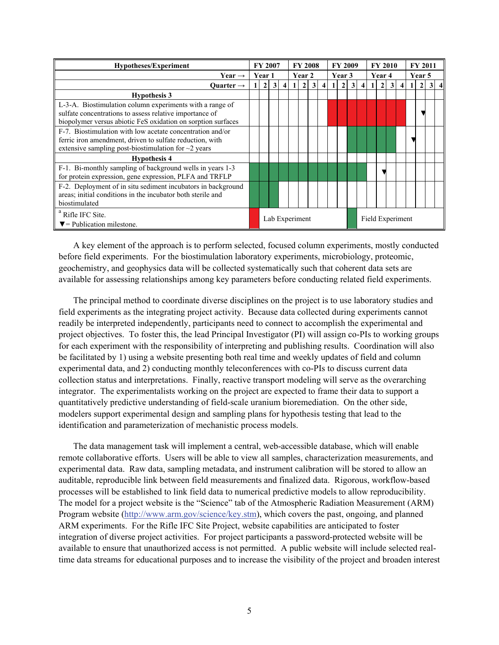| <b>Hypotheses/Experiment</b>                                                                                                                                                        |  |                | <b>FY 2007</b><br><b>FY 2008</b>   |                |  |                |                |                |  | <b>FY 2009</b> |              | <b>FY 2010</b>          |        | <b>FY 2011</b> |    |                |        |                |  |     |
|-------------------------------------------------------------------------------------------------------------------------------------------------------------------------------------|--|----------------|------------------------------------|----------------|--|----------------|----------------|----------------|--|----------------|--------------|-------------------------|--------|----------------|----|----------------|--------|----------------|--|-----|
| Year $\rightarrow$                                                                                                                                                                  |  | Year 1         |                                    |                |  | Year 2         |                |                |  | Year 3         |              |                         | Year 4 |                |    |                | Year 5 |                |  |     |
| Ouarter $\rightarrow$                                                                                                                                                               |  | $\overline{2}$ | 3                                  | $\overline{4}$ |  | $\overline{2}$ | 3 <sup>1</sup> | $\overline{4}$ |  | $\overline{2}$ | $\mathbf{3}$ | $\overline{\mathbf{4}}$ |        | $\overline{2}$ | 31 | $\overline{4}$ |        | $\overline{2}$ |  | 3 4 |
| <b>Hypothesis 3</b>                                                                                                                                                                 |  |                |                                    |                |  |                |                |                |  |                |              |                         |        |                |    |                |        |                |  |     |
| L-3-A. Biostimulation column experiments with a range of<br>sulfate concentrations to assess relative importance of<br>biopolymer versus abiotic FeS oxidation on sorption surfaces |  |                |                                    |                |  |                |                |                |  |                |              |                         |        |                |    |                |        |                |  |     |
| F-7. Biostimulation with low acetate concentration and/or<br>ferric iron amendment, driven to sulfate reduction, with<br>extensive sampling post-biostimulation for $\sim$ 2 years  |  |                |                                    |                |  |                |                |                |  |                |              |                         |        |                |    |                |        |                |  |     |
| <b>Hypothesis 4</b>                                                                                                                                                                 |  |                |                                    |                |  |                |                |                |  |                |              |                         |        |                |    |                |        |                |  |     |
| F-1. Bi-monthly sampling of background wells in years 1-3<br>for protein expression, gene expression, PLFA and TRFLP                                                                |  |                |                                    |                |  |                |                |                |  |                |              |                         |        |                |    |                |        |                |  |     |
| F-2. Deployment of in situ sediment incubators in background<br>areas; initial conditions in the incubator both sterile and<br>biostimulated                                        |  |                |                                    |                |  |                |                |                |  |                |              |                         |        |                |    |                |        |                |  |     |
| <sup>a</sup> Rifle IFC Site.<br>$\nabla$ = Publication milestone.                                                                                                                   |  |                | Lab Experiment<br>Field Experiment |                |  |                |                |                |  |                |              |                         |        |                |    |                |        |                |  |     |

A key element of the approach is to perform selected, focused column experiments, mostly conducted before field experiments. For the biostimulation laboratory experiments, microbiology, proteomic, geochemistry, and geophysics data will be collected systematically such that coherent data sets are available for assessing relationships among key parameters before conducting related field experiments.

The principal method to coordinate diverse disciplines on the project is to use laboratory studies and field experiments as the integrating project activity. Because data collected during experiments cannot readily be interpreted independently, participants need to connect to accomplish the experimental and project objectives. To foster this, the lead Principal Investigator (PI) will assign co-PIs to working groups for each experiment with the responsibility of interpreting and publishing results. Coordination will also be facilitated by 1) using a website presenting both real time and weekly updates of field and column experimental data, and 2) conducting monthly teleconferences with co-PIs to discuss current data collection status and interpretations. Finally, reactive transport modeling will serve as the overarching integrator. The experimentalists working on the project are expected to frame their data to support a quantitatively predictive understanding of field-scale uranium bioremediation. On the other side, modelers support experimental design and sampling plans for hypothesis testing that lead to the identification and parameterization of mechanistic process models.

The data management task will implement a central, web-accessible database, which will enable remote collaborative efforts. Users will be able to view all samples, characterization measurements, and experimental data. Raw data, sampling metadata, and instrument calibration will be stored to allow an auditable, reproducible link between field measurements and finalized data. Rigorous, workflow-based processes will be established to link field data to numerical predictive models to allow reproducibility. The model for a project website is the "Science" tab of the Atmospheric Radiation Measurement (ARM) Program website (http://www.arm.gov/science/key.stm), which covers the past, ongoing, and planned ARM experiments. For the Rifle IFC Site Project, website capabilities are anticipated to foster integration of diverse project activities. For project participants a password-protected website will be available to ensure that unauthorized access is not permitted. A public website will include selected realtime data streams for educational purposes and to increase the visibility of the project and broaden interest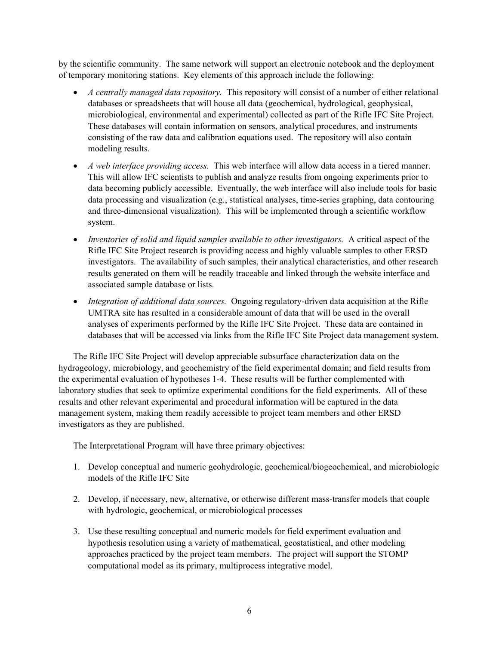by the scientific community. The same network will support an electronic notebook and the deployment of temporary monitoring stations. Key elements of this approach include the following:

- *A centrally managed data repository*. This repository will consist of a number of either relational databases or spreadsheets that will house all data (geochemical, hydrological, geophysical, microbiological, environmental and experimental) collected as part of the Rifle IFC Site Project. These databases will contain information on sensors, analytical procedures, and instruments consisting of the raw data and calibration equations used. The repository will also contain modeling results.
- *A web interface providing access.* This web interface will allow data access in a tiered manner. This will allow IFC scientists to publish and analyze results from ongoing experiments prior to data becoming publicly accessible. Eventually, the web interface will also include tools for basic data processing and visualization (e.g., statistical analyses, time-series graphing, data contouring and three-dimensional visualization). This will be implemented through a scientific workflow system.
- *Inventories of solid and liquid samples available to other investigators.* A critical aspect of the Rifle IFC Site Project research is providing access and highly valuable samples to other ERSD investigators. The availability of such samples, their analytical characteristics, and other research results generated on them will be readily traceable and linked through the website interface and associated sample database or lists.
- *Integration of additional data sources.* Ongoing regulatory-driven data acquisition at the Rifle UMTRA site has resulted in a considerable amount of data that will be used in the overall analyses of experiments performed by the Rifle IFC Site Project. These data are contained in databases that will be accessed via links from the Rifle IFC Site Project data management system.

The Rifle IFC Site Project will develop appreciable subsurface characterization data on the hydrogeology, microbiology, and geochemistry of the field experimental domain; and field results from the experimental evaluation of hypotheses 1-4. These results will be further complemented with laboratory studies that seek to optimize experimental conditions for the field experiments. All of these results and other relevant experimental and procedural information will be captured in the data management system, making them readily accessible to project team members and other ERSD investigators as they are published.

The Interpretational Program will have three primary objectives:

- 1. Develop conceptual and numeric geohydrologic, geochemical/biogeochemical, and microbiologic models of the Rifle IFC Site
- 2. Develop, if necessary, new, alternative, or otherwise different mass-transfer models that couple with hydrologic, geochemical, or microbiological processes
- 3. Use these resulting conceptual and numeric models for field experiment evaluation and hypothesis resolution using a variety of mathematical, geostatistical, and other modeling approaches practiced by the project team members. The project will support the STOMP computational model as its primary, multiprocess integrative model.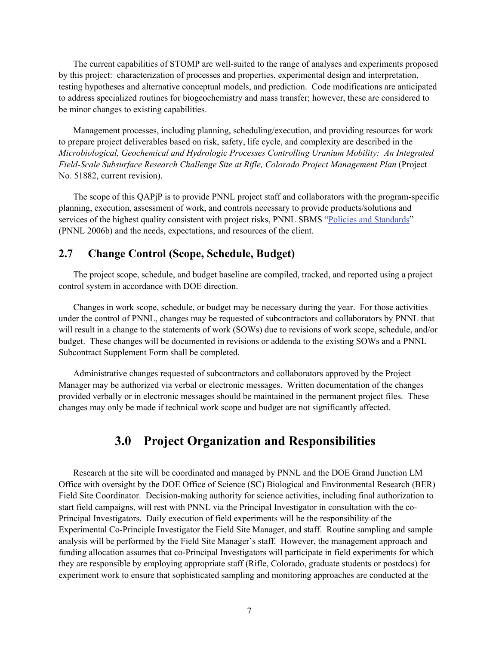The current capabilities of STOMP are well-suited to the range of analyses and experiments proposed by this project: characterization of processes and properties, experimental design and interpretation, testing hypotheses and alternative conceptual models, and prediction. Code modifications are anticipated to address specialized routines for biogeochemistry and mass transfer; however, these are considered to be minor changes to existing capabilities.

Management processes, including planning, scheduling/execution, and providing resources for work to prepare project deliverables based on risk, safety, life cycle, and complexity are described in the *Microbiological, Geochemical and Hydrologic Processes Controlling Uranium Mobility: An Integrated Field-Scale Subsurface Research Challenge Site at Rifle, Colorado Project Management Plan* (Project No. 51882, current revision).

The scope of this QAPjP is to provide PNNL project staff and collaborators with the program-specific planning, execution, assessment of work, and controls necessary to provide products/solutions and services of the highest quality consistent with project risks, PNNL SBMS "Policies and Standards" (PNNL 2006b) and the needs, expectations, and resources of the client.

### **2.7 Change Control (Scope, Schedule, Budget)**

The project scope, schedule, and budget baseline are compiled, tracked, and reported using a project control system in accordance with DOE direction.

Changes in work scope, schedule, or budget may be necessary during the year. For those activities under the control of PNNL, changes may be requested of subcontractors and collaborators by PNNL that will result in a change to the statements of work (SOWs) due to revisions of work scope, schedule, and/or budget. These changes will be documented in revisions or addenda to the existing SOWs and a PNNL Subcontract Supplement Form shall be completed.

Administrative changes requested of subcontractors and collaborators approved by the Project Manager may be authorized via verbal or electronic messages. Written documentation of the changes provided verbally or in electronic messages should be maintained in the permanent project files. These changes may only be made if technical work scope and budget are not significantly affected.

## **3.0 Project Organization and Responsibilities**

Research at the site will be coordinated and managed by PNNL and the DOE Grand Junction LM Office with oversight by the DOE Office of Science (SC) Biological and Environmental Research (BER) Field Site Coordinator. Decision-making authority for science activities, including final authorization to start field campaigns, will rest with PNNL via the Principal Investigator in consultation with the co-Principal Investigators. Daily execution of field experiments will be the responsibility of the Experimental Co-Principle Investigator the Field Site Manager, and staff. Routine sampling and sample analysis will be performed by the Field Site Manager's staff. However, the management approach and funding allocation assumes that co-Principal Investigators will participate in field experiments for which they are responsible by employing appropriate staff (Rifle, Colorado, graduate students or postdocs) for experiment work to ensure that sophisticated sampling and monitoring approaches are conducted at the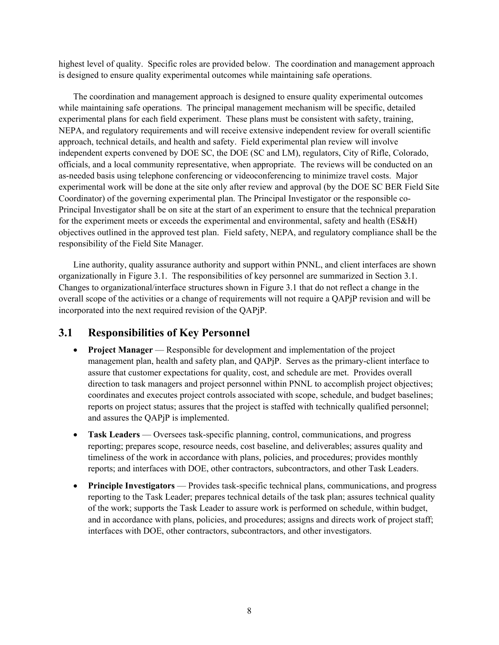highest level of quality. Specific roles are provided below. The coordination and management approach is designed to ensure quality experimental outcomes while maintaining safe operations.

The coordination and management approach is designed to ensure quality experimental outcomes while maintaining safe operations. The principal management mechanism will be specific, detailed experimental plans for each field experiment. These plans must be consistent with safety, training, NEPA, and regulatory requirements and will receive extensive independent review for overall scientific approach, technical details, and health and safety. Field experimental plan review will involve independent experts convened by DOE SC, the DOE (SC and LM), regulators, City of Rifle, Colorado, officials, and a local community representative, when appropriate. The reviews will be conducted on an as-needed basis using telephone conferencing or videoconferencing to minimize travel costs. Major experimental work will be done at the site only after review and approval (by the DOE SC BER Field Site Coordinator) of the governing experimental plan. The Principal Investigator or the responsible co-Principal Investigator shall be on site at the start of an experiment to ensure that the technical preparation for the experiment meets or exceeds the experimental and environmental, safety and health (ES&H) objectives outlined in the approved test plan. Field safety, NEPA, and regulatory compliance shall be the responsibility of the Field Site Manager.

Line authority, quality assurance authority and support within PNNL, and client interfaces are shown organizationally in Figure 3.1. The responsibilities of key personnel are summarized in Section 3.1. Changes to organizational/interface structures shown in Figure 3.1 that do not reflect a change in the overall scope of the activities or a change of requirements will not require a QAPjP revision and will be incorporated into the next required revision of the QAPjP.

## **3.1 Responsibilities of Key Personnel**

- **Project Manager** Responsible for development and implementation of the project management plan, health and safety plan, and QAPjP. Serves as the primary-client interface to assure that customer expectations for quality, cost, and schedule are met. Provides overall direction to task managers and project personnel within PNNL to accomplish project objectives; coordinates and executes project controls associated with scope, schedule, and budget baselines; reports on project status; assures that the project is staffed with technically qualified personnel; and assures the QAPjP is implemented.
- **Task Leaders** Oversees task-specific planning, control, communications, and progress reporting; prepares scope, resource needs, cost baseline, and deliverables; assures quality and timeliness of the work in accordance with plans, policies, and procedures; provides monthly reports; and interfaces with DOE, other contractors, subcontractors, and other Task Leaders.
- **Principle Investigators** Provides task-specific technical plans, communications, and progress reporting to the Task Leader; prepares technical details of the task plan; assures technical quality of the work; supports the Task Leader to assure work is performed on schedule, within budget, and in accordance with plans, policies, and procedures; assigns and directs work of project staff; interfaces with DOE, other contractors, subcontractors, and other investigators.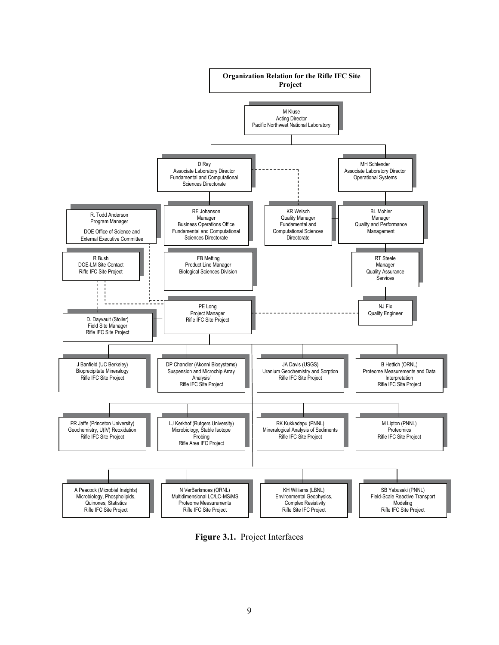

**Figure 3.1.** Project Interfaces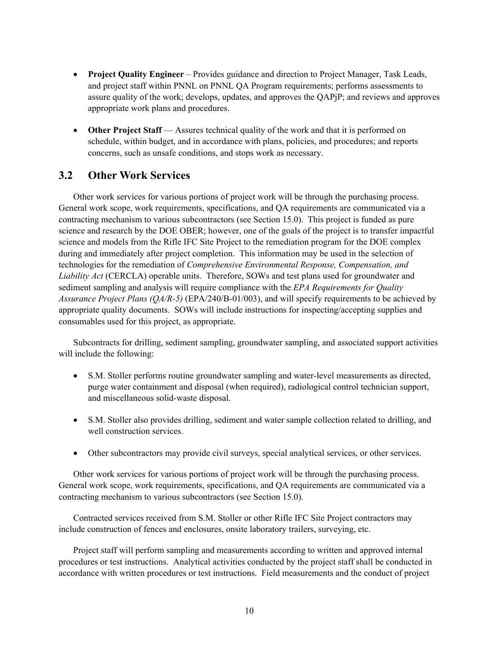- **Project Quality Engineer** Provides guidance and direction to Project Manager, Task Leads, and project staff within PNNL on PNNL QA Program requirements; performs assessments to assure quality of the work; develops, updates, and approves the QAPjP; and reviews and approves appropriate work plans and procedures.
- **Other Project Staff** Assures technical quality of the work and that it is performed on schedule, within budget, and in accordance with plans, policies, and procedures; and reports concerns, such as unsafe conditions, and stops work as necessary.

## **3.2 Other Work Services**

Other work services for various portions of project work will be through the purchasing process. General work scope, work requirements, specifications, and QA requirements are communicated via a contracting mechanism to various subcontractors (see Section 15.0). This project is funded as pure science and research by the DOE OBER; however, one of the goals of the project is to transfer impactful science and models from the Rifle IFC Site Project to the remediation program for the DOE complex during and immediately after project completion. This information may be used in the selection of technologies for the remediation of *Comprehensive Environmental Response, Compensation, and Liability Act* (CERCLA) operable units. Therefore, SOWs and test plans used for groundwater and sediment sampling and analysis will require compliance with the *EPA Requirements for Quality Assurance Project Plans (QA/R-5)* (EPA/240/B-01/003), and will specify requirements to be achieved by appropriate quality documents. SOWs will include instructions for inspecting/accepting supplies and consumables used for this project, as appropriate.

Subcontracts for drilling, sediment sampling, groundwater sampling, and associated support activities will include the following:

- S.M. Stoller performs routine groundwater sampling and water-level measurements as directed, purge water containment and disposal (when required), radiological control technician support, and miscellaneous solid-waste disposal.
- S.M. Stoller also provides drilling, sediment and water sample collection related to drilling, and well construction services.
- Other subcontractors may provide civil surveys, special analytical services, or other services.

Other work services for various portions of project work will be through the purchasing process. General work scope, work requirements, specifications, and QA requirements are communicated via a contracting mechanism to various subcontractors (see Section 15.0).

Contracted services received from S.M. Stoller or other Rifle IFC Site Project contractors may include construction of fences and enclosures, onsite laboratory trailers, surveying, etc.

Project staff will perform sampling and measurements according to written and approved internal procedures or test instructions. Analytical activities conducted by the project staff shall be conducted in accordance with written procedures or test instructions. Field measurements and the conduct of project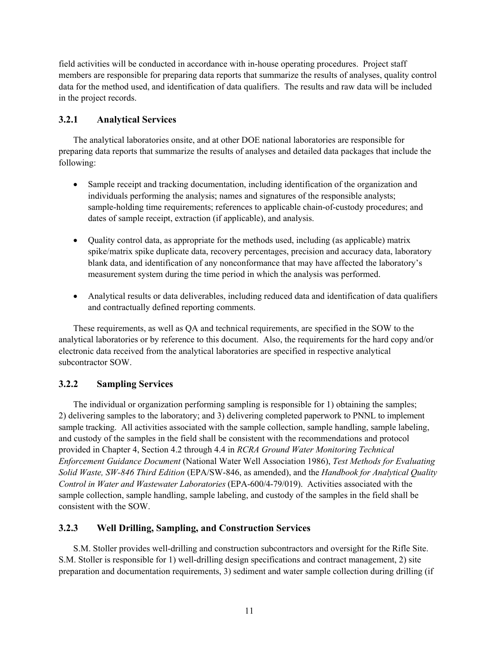field activities will be conducted in accordance with in-house operating procedures. Project staff members are responsible for preparing data reports that summarize the results of analyses, quality control data for the method used, and identification of data qualifiers. The results and raw data will be included in the project records.

#### **3.2.1 Analytical Services**

The analytical laboratories onsite, and at other DOE national laboratories are responsible for preparing data reports that summarize the results of analyses and detailed data packages that include the following:

- Sample receipt and tracking documentation, including identification of the organization and individuals performing the analysis; names and signatures of the responsible analysts; sample-holding time requirements; references to applicable chain-of-custody procedures; and dates of sample receipt, extraction (if applicable), and analysis.
- Quality control data, as appropriate for the methods used, including (as applicable) matrix spike/matrix spike duplicate data, recovery percentages, precision and accuracy data, laboratory blank data, and identification of any nonconformance that may have affected the laboratory's measurement system during the time period in which the analysis was performed.
- Analytical results or data deliverables, including reduced data and identification of data qualifiers and contractually defined reporting comments.

These requirements, as well as QA and technical requirements, are specified in the SOW to the analytical laboratories or by reference to this document. Also, the requirements for the hard copy and/or electronic data received from the analytical laboratories are specified in respective analytical subcontractor SOW.

#### **3.2.2 Sampling Services**

The individual or organization performing sampling is responsible for 1) obtaining the samples; 2) delivering samples to the laboratory; and 3) delivering completed paperwork to PNNL to implement sample tracking. All activities associated with the sample collection, sample handling, sample labeling, and custody of the samples in the field shall be consistent with the recommendations and protocol provided in Chapter 4, Section 4.2 through 4.4 in *RCRA Ground Water Monitoring Technical Enforcement Guidance Document* (National Water Well Association 1986), *Test Methods for Evaluating Solid Waste, SW-846 Third Edition* (EPA/SW-846, as amended), and the *Handbook for Analytical Quality Control in Water and Wastewater Laboratories* (EPA-600/4-79/019). Activities associated with the sample collection, sample handling, sample labeling, and custody of the samples in the field shall be consistent with the SOW.

#### **3.2.3 Well Drilling, Sampling, and Construction Services**

S.M. Stoller provides well-drilling and construction subcontractors and oversight for the Rifle Site. S.M. Stoller is responsible for 1) well-drilling design specifications and contract management, 2) site preparation and documentation requirements, 3) sediment and water sample collection during drilling (if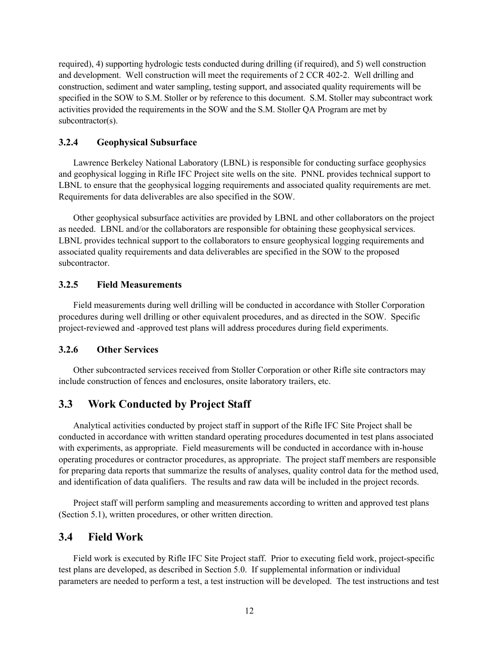required), 4) supporting hydrologic tests conducted during drilling (if required), and 5) well construction and development. Well construction will meet the requirements of 2 CCR 402-2. Well drilling and construction, sediment and water sampling, testing support, and associated quality requirements will be specified in the SOW to S.M. Stoller or by reference to this document. S.M. Stoller may subcontract work activities provided the requirements in the SOW and the S.M. Stoller QA Program are met by subcontractor(s).

#### **3.2.4 Geophysical Subsurface**

Lawrence Berkeley National Laboratory (LBNL) is responsible for conducting surface geophysics and geophysical logging in Rifle IFC Project site wells on the site. PNNL provides technical support to LBNL to ensure that the geophysical logging requirements and associated quality requirements are met. Requirements for data deliverables are also specified in the SOW.

Other geophysical subsurface activities are provided by LBNL and other collaborators on the project as needed. LBNL and/or the collaborators are responsible for obtaining these geophysical services. LBNL provides technical support to the collaborators to ensure geophysical logging requirements and associated quality requirements and data deliverables are specified in the SOW to the proposed subcontractor.

#### **3.2.5 Field Measurements**

Field measurements during well drilling will be conducted in accordance with Stoller Corporation procedures during well drilling or other equivalent procedures, and as directed in the SOW. Specific project-reviewed and -approved test plans will address procedures during field experiments.

#### **3.2.6 Other Services**

Other subcontracted services received from Stoller Corporation or other Rifle site contractors may include construction of fences and enclosures, onsite laboratory trailers, etc.

### **3.3 Work Conducted by Project Staff**

Analytical activities conducted by project staff in support of the Rifle IFC Site Project shall be conducted in accordance with written standard operating procedures documented in test plans associated with experiments, as appropriate. Field measurements will be conducted in accordance with in-house operating procedures or contractor procedures, as appropriate. The project staff members are responsible for preparing data reports that summarize the results of analyses, quality control data for the method used, and identification of data qualifiers. The results and raw data will be included in the project records.

Project staff will perform sampling and measurements according to written and approved test plans (Section 5.1), written procedures, or other written direction.

#### **3.4 Field Work**

Field work is executed by Rifle IFC Site Project staff. Prior to executing field work, project-specific test plans are developed, as described in Section 5.0. If supplemental information or individual parameters are needed to perform a test, a test instruction will be developed. The test instructions and test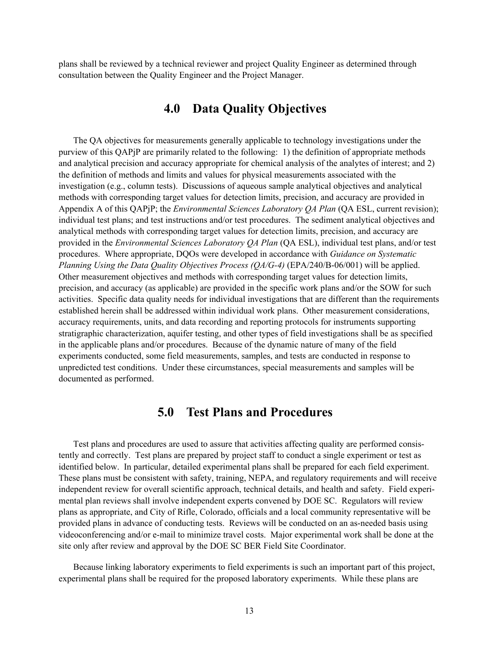plans shall be reviewed by a technical reviewer and project Quality Engineer as determined through consultation between the Quality Engineer and the Project Manager.

## **4.0 Data Quality Objectives**

The QA objectives for measurements generally applicable to technology investigations under the purview of this QAPjP are primarily related to the following: 1) the definition of appropriate methods and analytical precision and accuracy appropriate for chemical analysis of the analytes of interest; and 2) the definition of methods and limits and values for physical measurements associated with the investigation (e.g., column tests). Discussions of aqueous sample analytical objectives and analytical methods with corresponding target values for detection limits, precision, and accuracy are provided in Appendix A of this QAPjP; the *Environmental Sciences Laboratory QA Plan* (QA ESL, current revision); individual test plans; and test instructions and/or test procedures. The sediment analytical objectives and analytical methods with corresponding target values for detection limits, precision, and accuracy are provided in the *Environmental Sciences Laboratory QA Plan* (QA ESL), individual test plans, and/or test procedures. Where appropriate, DQOs were developed in accordance with *Guidance on Systematic Planning Using the Data Quality Objectives Process (QA/G-4)* (EPA/240/B-06/001) will be applied. Other measurement objectives and methods with corresponding target values for detection limits, precision, and accuracy (as applicable) are provided in the specific work plans and/or the SOW for such activities. Specific data quality needs for individual investigations that are different than the requirements established herein shall be addressed within individual work plans. Other measurement considerations, accuracy requirements, units, and data recording and reporting protocols for instruments supporting stratigraphic characterization, aquifer testing, and other types of field investigations shall be as specified in the applicable plans and/or procedures. Because of the dynamic nature of many of the field experiments conducted, some field measurements, samples, and tests are conducted in response to unpredicted test conditions. Under these circumstances, special measurements and samples will be documented as performed.

### **5.0 Test Plans and Procedures**

Test plans and procedures are used to assure that activities affecting quality are performed consistently and correctly. Test plans are prepared by project staff to conduct a single experiment or test as identified below. In particular, detailed experimental plans shall be prepared for each field experiment. These plans must be consistent with safety, training, NEPA, and regulatory requirements and will receive independent review for overall scientific approach, technical details, and health and safety. Field experimental plan reviews shall involve independent experts convened by DOE SC. Regulators will review plans as appropriate, and City of Rifle, Colorado, officials and a local community representative will be provided plans in advance of conducting tests. Reviews will be conducted on an as-needed basis using videoconferencing and/or e-mail to minimize travel costs. Major experimental work shall be done at the site only after review and approval by the DOE SC BER Field Site Coordinator.

Because linking laboratory experiments to field experiments is such an important part of this project, experimental plans shall be required for the proposed laboratory experiments. While these plans are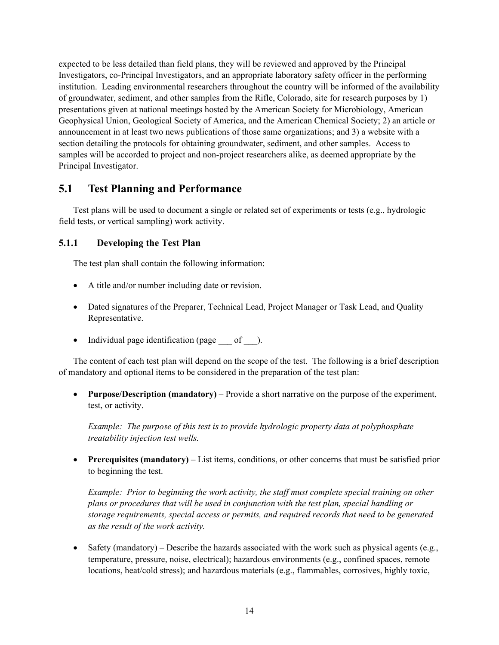expected to be less detailed than field plans, they will be reviewed and approved by the Principal Investigators, co-Principal Investigators, and an appropriate laboratory safety officer in the performing institution. Leading environmental researchers throughout the country will be informed of the availability of groundwater, sediment, and other samples from the Rifle, Colorado, site for research purposes by 1) presentations given at national meetings hosted by the American Society for Microbiology, American Geophysical Union, Geological Society of America, and the American Chemical Society; 2) an article or announcement in at least two news publications of those same organizations; and 3) a website with a section detailing the protocols for obtaining groundwater, sediment, and other samples. Access to samples will be accorded to project and non-project researchers alike, as deemed appropriate by the Principal Investigator.

## **5.1 Test Planning and Performance**

Test plans will be used to document a single or related set of experiments or tests (e.g., hydrologic field tests, or vertical sampling) work activity.

#### **5.1.1 Developing the Test Plan**

The test plan shall contain the following information:

- A title and/or number including date or revision.
- Dated signatures of the Preparer, Technical Lead, Project Manager or Task Lead, and Quality Representative.
- Individual page identification (page of ).

The content of each test plan will depend on the scope of the test. The following is a brief description of mandatory and optional items to be considered in the preparation of the test plan:

• **Purpose/Description (mandatory)** – Provide a short narrative on the purpose of the experiment, test, or activity.

*Example: The purpose of this test is to provide hydrologic property data at polyphosphate treatability injection test wells.* 

• **Prerequisites (mandatory)** – List items, conditions, or other concerns that must be satisfied prior to beginning the test.

*Example: Prior to beginning the work activity, the staff must complete special training on other plans or procedures that will be used in conjunction with the test plan, special handling or storage requirements, special access or permits, and required records that need to be generated as the result of the work activity.* 

• Safety (mandatory) – Describe the hazards associated with the work such as physical agents (e.g., temperature, pressure, noise, electrical); hazardous environments (e.g., confined spaces, remote locations, heat/cold stress); and hazardous materials (e.g., flammables, corrosives, highly toxic,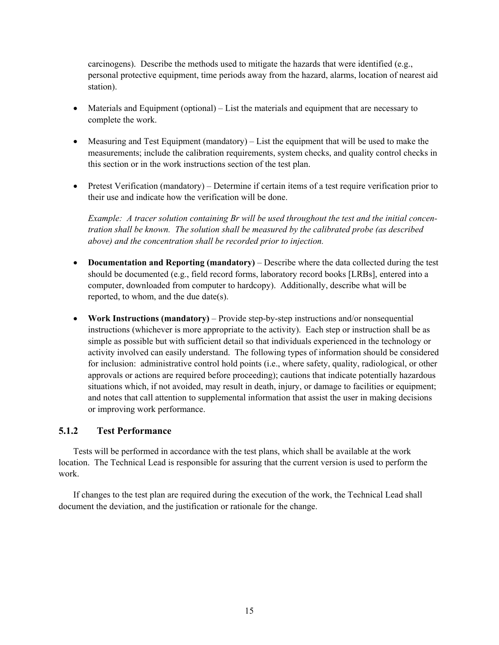carcinogens). Describe the methods used to mitigate the hazards that were identified (e.g., personal protective equipment, time periods away from the hazard, alarms, location of nearest aid station).

- Materials and Equipment (optional) List the materials and equipment that are necessary to complete the work.
- Measuring and Test Equipment (mandatory) List the equipment that will be used to make the measurements; include the calibration requirements, system checks, and quality control checks in this section or in the work instructions section of the test plan.
- Pretest Verification (mandatory) Determine if certain items of a test require verification prior to their use and indicate how the verification will be done.

*Example: A tracer solution containing Br will be used throughout the test and the initial concentration shall be known. The solution shall be measured by the calibrated probe (as described above) and the concentration shall be recorded prior to injection.* 

- **Documentation and Reporting (mandatory)** Describe where the data collected during the test should be documented (e.g., field record forms, laboratory record books [LRBs], entered into a computer, downloaded from computer to hardcopy). Additionally, describe what will be reported, to whom, and the due date(s).
- **Work Instructions (mandatory)** Provide step-by-step instructions and/or nonsequential instructions (whichever is more appropriate to the activity). Each step or instruction shall be as simple as possible but with sufficient detail so that individuals experienced in the technology or activity involved can easily understand. The following types of information should be considered for inclusion: administrative control hold points (i.e., where safety, quality, radiological, or other approvals or actions are required before proceeding); cautions that indicate potentially hazardous situations which, if not avoided, may result in death, injury, or damage to facilities or equipment; and notes that call attention to supplemental information that assist the user in making decisions or improving work performance.

#### **5.1.2 Test Performance**

Tests will be performed in accordance with the test plans, which shall be available at the work location. The Technical Lead is responsible for assuring that the current version is used to perform the work.

If changes to the test plan are required during the execution of the work, the Technical Lead shall document the deviation, and the justification or rationale for the change.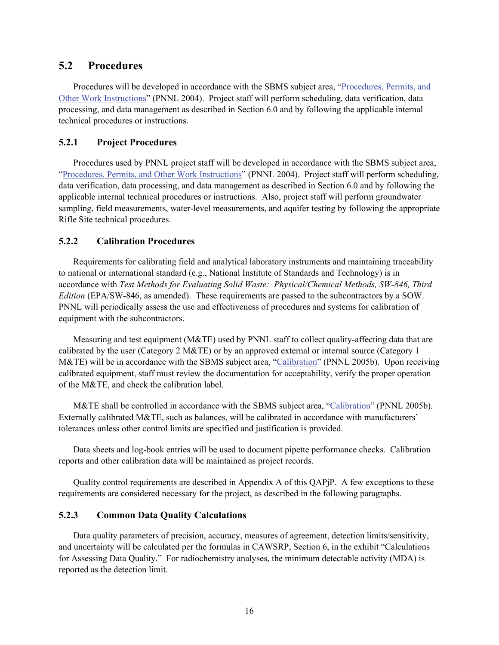#### **5.2 Procedures**

Procedures will be developed in accordance with the SBMS subject area, "Procedures, Permits, and Other Work Instructions" (PNNL 2004). Project staff will perform scheduling, data verification, data processing, and data management as described in Section 6.0 and by following the applicable internal technical procedures or instructions.

#### **5.2.1 Project Procedures**

Procedures used by PNNL project staff will be developed in accordance with the SBMS subject area, "Procedures, Permits, and Other Work Instructions" (PNNL 2004). Project staff will perform scheduling, data verification, data processing, and data management as described in Section 6.0 and by following the applicable internal technical procedures or instructions. Also, project staff will perform groundwater sampling, field measurements, water-level measurements, and aquifer testing by following the appropriate Rifle Site technical procedures.

#### **5.2.2 Calibration Procedures**

Requirements for calibrating field and analytical laboratory instruments and maintaining traceability to national or international standard (e.g., National Institute of Standards and Technology) is in accordance with *Test Methods for Evaluating Solid Waste: Physical/Chemical Methods, SW-846, Third Edition* (EPA/SW-846, as amended). These requirements are passed to the subcontractors by a SOW. PNNL will periodically assess the use and effectiveness of procedures and systems for calibration of equipment with the subcontractors.

Measuring and test equipment (M&TE) used by PNNL staff to collect quality-affecting data that are calibrated by the user (Category 2 M&TE) or by an approved external or internal source (Category 1 M&TE) will be in accordance with the SBMS subject area, "Calibration" (PNNL 2005b). Upon receiving calibrated equipment, staff must review the documentation for acceptability, verify the proper operation of the M&TE, and check the calibration label.

M&TE shall be controlled in accordance with the SBMS subject area, "Calibration" (PNNL 2005b)*.* Externally calibrated M&TE, such as balances, will be calibrated in accordance with manufacturers' tolerances unless other control limits are specified and justification is provided.

Data sheets and log-book entries will be used to document pipette performance checks. Calibration reports and other calibration data will be maintained as project records.

Quality control requirements are described in Appendix A of this QAPjP. A few exceptions to these requirements are considered necessary for the project, as described in the following paragraphs.

#### **5.2.3 Common Data Quality Calculations**

Data quality parameters of precision, accuracy, measures of agreement, detection limits/sensitivity, and uncertainty will be calculated per the formulas in CAWSRP, Section 6, in the exhibit "Calculations for Assessing Data Quality." For radiochemistry analyses, the minimum detectable activity (MDA) is reported as the detection limit.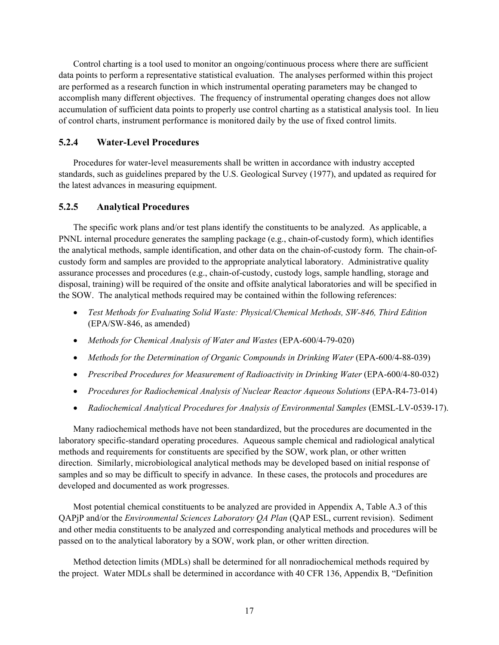Control charting is a tool used to monitor an ongoing/continuous process where there are sufficient data points to perform a representative statistical evaluation. The analyses performed within this project are performed as a research function in which instrumental operating parameters may be changed to accomplish many different objectives. The frequency of instrumental operating changes does not allow accumulation of sufficient data points to properly use control charting as a statistical analysis tool. In lieu of control charts, instrument performance is monitored daily by the use of fixed control limits.

#### **5.2.4 Water-Level Procedures**

Procedures for water-level measurements shall be written in accordance with industry accepted standards, such as guidelines prepared by the U.S. Geological Survey (1977), and updated as required for the latest advances in measuring equipment.

#### **5.2.5 Analytical Procedures**

The specific work plans and/or test plans identify the constituents to be analyzed. As applicable, a PNNL internal procedure generates the sampling package (e.g., chain-of-custody form), which identifies the analytical methods, sample identification, and other data on the chain-of-custody form. The chain-ofcustody form and samples are provided to the appropriate analytical laboratory. Administrative quality assurance processes and procedures (e.g., chain-of-custody, custody logs, sample handling, storage and disposal, training) will be required of the onsite and offsite analytical laboratories and will be specified in the SOW. The analytical methods required may be contained within the following references:

- *Test Methods for Evaluating Solid Waste: Physical/Chemical Methods, SW-846, Third Edition* (EPA/SW-846, as amended)
- *Methods for Chemical Analysis of Water and Wastes* (EPA-600/4-79-020)
- *Methods for the Determination of Organic Compounds in Drinking Water* (EPA-600/4-88-039)
- *Prescribed Procedures for Measurement of Radioactivity in Drinking Water* (EPA-600/4-80-032)
- *Procedures for Radiochemical Analysis of Nuclear Reactor Aqueous Solutions* (EPA-R4-73-014)
- *Radiochemical Analytical Procedures for Analysis of Environmental Samples* (EMSL-LV-0539-17).

Many radiochemical methods have not been standardized, but the procedures are documented in the laboratory specific-standard operating procedures. Aqueous sample chemical and radiological analytical methods and requirements for constituents are specified by the SOW, work plan, or other written direction. Similarly, microbiological analytical methods may be developed based on initial response of samples and so may be difficult to specify in advance. In these cases, the protocols and procedures are developed and documented as work progresses.

Most potential chemical constituents to be analyzed are provided in Appendix A, Table A.3 of this QAPjP and/or the *Environmental Sciences Laboratory QA Plan* (QAP ESL, current revision). Sediment and other media constituents to be analyzed and corresponding analytical methods and procedures will be passed on to the analytical laboratory by a SOW, work plan, or other written direction.

Method detection limits (MDLs) shall be determined for all nonradiochemical methods required by the project. Water MDLs shall be determined in accordance with 40 CFR 136, Appendix B, "Definition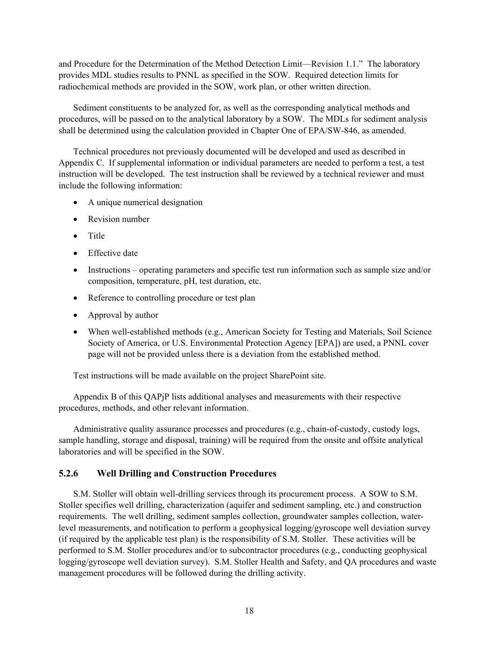and Procedure for the Determination of the Method Detection Limit—Revision 1.1." The laboratory provides MDL studies results to PNNL as specified in the SOW. Required detection limits for radiochemical methods are provided in the SOW, work plan, or other written direction.

Sediment constituents to be analyzed for, as well as the corresponding analytical methods and procedures, will be passed on to the analytical laboratory by a SOW. The MDLs for sediment analysis shall be determined using the calculation provided in Chapter One of EPA/SW-846, as amended.

Technical procedures not previously documented will be developed and used as described in Appendix C. If supplemental information or individual parameters are needed to perform a test, a test instruction will be developed. The test instruction shall be reviewed by a technical reviewer and must include the following information:

- A unique numerical designation
- Revision number
- Title
- Effective date
- Instructions operating parameters and specific test run information such as sample size and/or composition, temperature, pH, test duration, etc.
- Reference to controlling procedure or test plan
- Approval by author
- When well-established methods (e.g., American Society for Testing and Materials, Soil Science Society of America, or U.S. Environmental Protection Agency [EPA]) are used, a PNNL cover page will not be provided unless there is a deviation from the established method.

Test instructions will be made available on the project SharePoint site.

Appendix B of this QAPjP lists additional analyses and measurements with their respective procedures, methods, and other relevant information.

Administrative quality assurance processes and procedures (e.g., chain-of-custody, custody logs, sample handling, storage and disposal, training) will be required from the onsite and offsite analytical laboratories and will be specified in the SOW.

#### **5.2.6 Well Drilling and Construction Procedures**

S.M. Stoller will obtain well-drilling services through its procurement process. A SOW to S.M. Stoller specifies well drilling, characterization (aquifer and sediment sampling, etc.) and construction requirements. The well drilling, sediment samples collection, groundwater samples collection, waterlevel measurements, and notification to perform a geophysical logging/gyroscope well deviation survey (if required by the applicable test plan) is the responsibility of S.M. Stoller. These activities will be performed to S.M. Stoller procedures and/or to subcontractor procedures (e.g., conducting geophysical logging/gyroscope well deviation survey). S.M. Stoller Health and Safety, and QA procedures and waste management procedures will be followed during the drilling activity.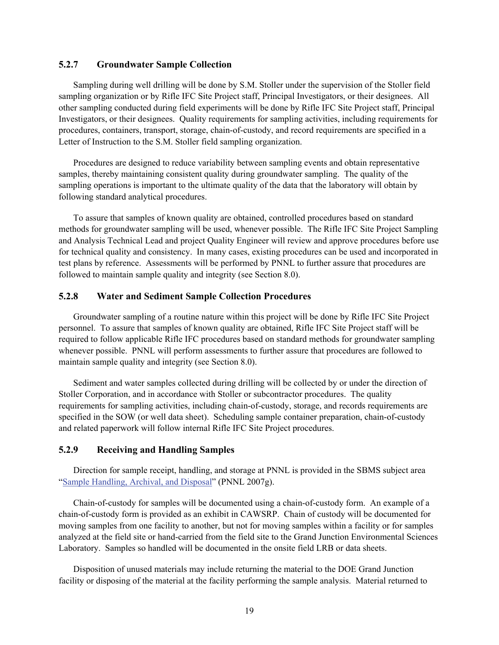#### **5.2.7 Groundwater Sample Collection**

Sampling during well drilling will be done by S.M. Stoller under the supervision of the Stoller field sampling organization or by Rifle IFC Site Project staff, Principal Investigators, or their designees. All other sampling conducted during field experiments will be done by Rifle IFC Site Project staff, Principal Investigators, or their designees. Quality requirements for sampling activities, including requirements for procedures, containers, transport, storage, chain-of-custody, and record requirements are specified in a Letter of Instruction to the S.M. Stoller field sampling organization.

Procedures are designed to reduce variability between sampling events and obtain representative samples, thereby maintaining consistent quality during groundwater sampling. The quality of the sampling operations is important to the ultimate quality of the data that the laboratory will obtain by following standard analytical procedures.

To assure that samples of known quality are obtained, controlled procedures based on standard methods for groundwater sampling will be used, whenever possible. The Rifle IFC Site Project Sampling and Analysis Technical Lead and project Quality Engineer will review and approve procedures before use for technical quality and consistency. In many cases, existing procedures can be used and incorporated in test plans by reference. Assessments will be performed by PNNL to further assure that procedures are followed to maintain sample quality and integrity (see Section 8.0).

#### **5.2.8 Water and Sediment Sample Collection Procedures**

Groundwater sampling of a routine nature within this project will be done by Rifle IFC Site Project personnel. To assure that samples of known quality are obtained, Rifle IFC Site Project staff will be required to follow applicable Rifle IFC procedures based on standard methods for groundwater sampling whenever possible. PNNL will perform assessments to further assure that procedures are followed to maintain sample quality and integrity (see Section 8.0).

Sediment and water samples collected during drilling will be collected by or under the direction of Stoller Corporation, and in accordance with Stoller or subcontractor procedures. The quality requirements for sampling activities, including chain-of-custody, storage, and records requirements are specified in the SOW (or well data sheet). Scheduling sample container preparation, chain-of-custody and related paperwork will follow internal Rifle IFC Site Project procedures.

#### **5.2.9 Receiving and Handling Samples**

Direction for sample receipt, handling, and storage at PNNL is provided in the SBMS subject area "Sample Handling, Archival, and Disposal" (PNNL 2007g).

Chain-of-custody for samples will be documented using a chain-of-custody form. An example of a chain-of-custody form is provided as an exhibit in CAWSRP. Chain of custody will be documented for moving samples from one facility to another, but not for moving samples within a facility or for samples analyzed at the field site or hand-carried from the field site to the Grand Junction Environmental Sciences Laboratory. Samples so handled will be documented in the onsite field LRB or data sheets.

Disposition of unused materials may include returning the material to the DOE Grand Junction facility or disposing of the material at the facility performing the sample analysis. Material returned to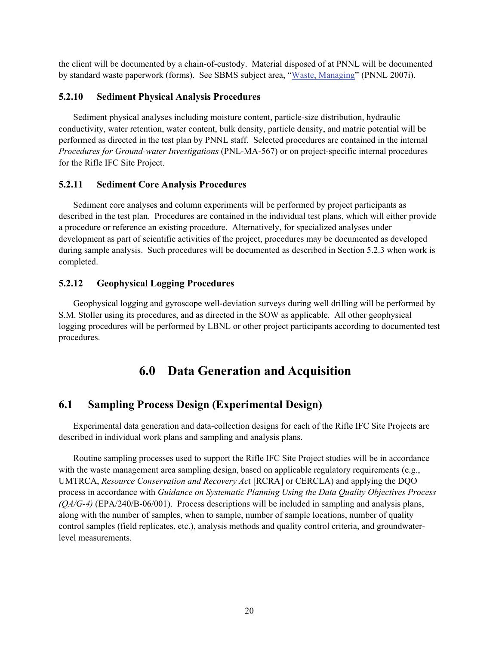the client will be documented by a chain-of-custody. Material disposed of at PNNL will be documented by standard waste paperwork (forms). See SBMS subject area, "Waste, Managing" (PNNL 2007i).

#### **5.2.10 Sediment Physical Analysis Procedures**

Sediment physical analyses including moisture content, particle-size distribution, hydraulic conductivity, water retention, water content, bulk density, particle density, and matric potential will be performed as directed in the test plan by PNNL staff. Selected procedures are contained in the internal *Procedures for Ground-water Investigations* (PNL-MA-567) or on project-specific internal procedures for the Rifle IFC Site Project.

#### **5.2.11 Sediment Core Analysis Procedures**

Sediment core analyses and column experiments will be performed by project participants as described in the test plan. Procedures are contained in the individual test plans, which will either provide a procedure or reference an existing procedure. Alternatively, for specialized analyses under development as part of scientific activities of the project, procedures may be documented as developed during sample analysis. Such procedures will be documented as described in Section 5.2.3 when work is completed.

#### **5.2.12 Geophysical Logging Procedures**

Geophysical logging and gyroscope well-deviation surveys during well drilling will be performed by S.M. Stoller using its procedures, and as directed in the SOW as applicable. All other geophysical logging procedures will be performed by LBNL or other project participants according to documented test procedures.

## **6.0 Data Generation and Acquisition**

## **6.1 Sampling Process Design (Experimental Design)**

Experimental data generation and data-collection designs for each of the Rifle IFC Site Projects are described in individual work plans and sampling and analysis plans.

Routine sampling processes used to support the Rifle IFC Site Project studies will be in accordance with the waste management area sampling design, based on applicable regulatory requirements (e.g., UMTRCA, *Resource Conservation and Recovery Ac*t [RCRA] or CERCLA) and applying the DQO process in accordance with *Guidance on Systematic Planning Using the Data Quality Objectives Process (QA/G-4)* (EPA/240/B-06/001). Process descriptions will be included in sampling and analysis plans, along with the number of samples, when to sample, number of sample locations, number of quality control samples (field replicates, etc.), analysis methods and quality control criteria, and groundwaterlevel measurements.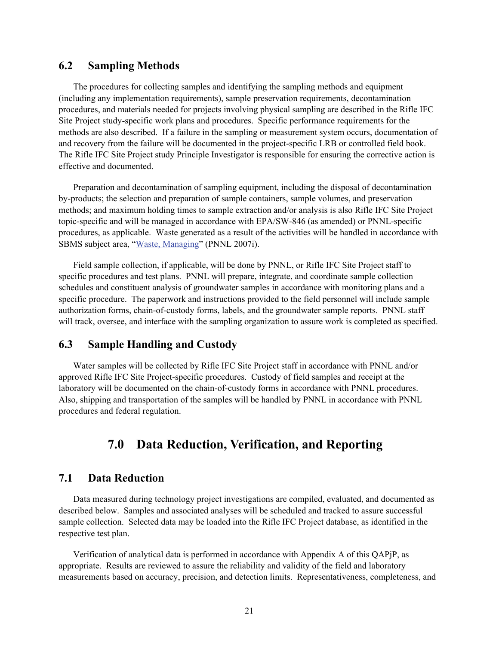#### **6.2 Sampling Methods**

The procedures for collecting samples and identifying the sampling methods and equipment (including any implementation requirements), sample preservation requirements, decontamination procedures, and materials needed for projects involving physical sampling are described in the Rifle IFC Site Project study-specific work plans and procedures. Specific performance requirements for the methods are also described. If a failure in the sampling or measurement system occurs, documentation of and recovery from the failure will be documented in the project-specific LRB or controlled field book. The Rifle IFC Site Project study Principle Investigator is responsible for ensuring the corrective action is effective and documented.

Preparation and decontamination of sampling equipment, including the disposal of decontamination by-products; the selection and preparation of sample containers, sample volumes, and preservation methods; and maximum holding times to sample extraction and/or analysis is also Rifle IFC Site Project topic-specific and will be managed in accordance with EPA/SW-846 (as amended) or PNNL-specific procedures, as applicable. Waste generated as a result of the activities will be handled in accordance with SBMS subject area, "Waste, Managing" (PNNL 2007i).

Field sample collection, if applicable, will be done by PNNL, or Rifle IFC Site Project staff to specific procedures and test plans. PNNL will prepare, integrate, and coordinate sample collection schedules and constituent analysis of groundwater samples in accordance with monitoring plans and a specific procedure. The paperwork and instructions provided to the field personnel will include sample authorization forms, chain-of-custody forms, labels, and the groundwater sample reports. PNNL staff will track, oversee, and interface with the sampling organization to assure work is completed as specified.

#### **6.3 Sample Handling and Custody**

Water samples will be collected by Rifle IFC Site Project staff in accordance with PNNL and/or approved Rifle IFC Site Project-specific procedures. Custody of field samples and receipt at the laboratory will be documented on the chain-of-custody forms in accordance with PNNL procedures. Also, shipping and transportation of the samples will be handled by PNNL in accordance with PNNL procedures and federal regulation.

## **7.0 Data Reduction, Verification, and Reporting**

#### **7.1 Data Reduction**

Data measured during technology project investigations are compiled, evaluated, and documented as described below. Samples and associated analyses will be scheduled and tracked to assure successful sample collection. Selected data may be loaded into the Rifle IFC Project database, as identified in the respective test plan.

Verification of analytical data is performed in accordance with Appendix A of this QAPjP, as appropriate. Results are reviewed to assure the reliability and validity of the field and laboratory measurements based on accuracy, precision, and detection limits. Representativeness, completeness, and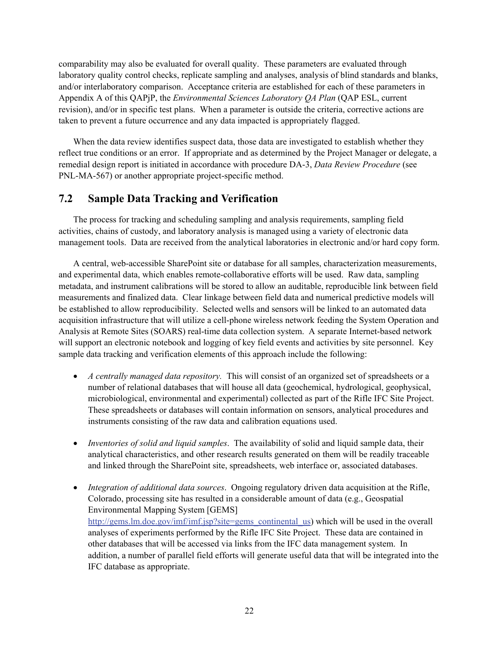comparability may also be evaluated for overall quality. These parameters are evaluated through laboratory quality control checks, replicate sampling and analyses, analysis of blind standards and blanks, and/or interlaboratory comparison. Acceptance criteria are established for each of these parameters in Appendix A of this QAPjP, the *Environmental Sciences Laboratory QA Plan* (QAP ESL, current revision), and/or in specific test plans. When a parameter is outside the criteria, corrective actions are taken to prevent a future occurrence and any data impacted is appropriately flagged.

When the data review identifies suspect data, those data are investigated to establish whether they reflect true conditions or an error. If appropriate and as determined by the Project Manager or delegate, a remedial design report is initiated in accordance with procedure DA-3, *Data Review Procedure* (see PNL-MA-567) or another appropriate project-specific method.

## **7.2 Sample Data Tracking and Verification**

The process for tracking and scheduling sampling and analysis requirements, sampling field activities, chains of custody, and laboratory analysis is managed using a variety of electronic data management tools. Data are received from the analytical laboratories in electronic and/or hard copy form.

A central, web-accessible SharePoint site or database for all samples, characterization measurements, and experimental data, which enables remote-collaborative efforts will be used. Raw data, sampling metadata, and instrument calibrations will be stored to allow an auditable, reproducible link between field measurements and finalized data. Clear linkage between field data and numerical predictive models will be established to allow reproducibility. Selected wells and sensors will be linked to an automated data acquisition infrastructure that will utilize a cell-phone wireless network feeding the System Operation and Analysis at Remote Sites (SOARS) real-time data collection system. A separate Internet-based network will support an electronic notebook and logging of key field events and activities by site personnel. Key sample data tracking and verification elements of this approach include the following:

- *A centrally managed data repository.* This will consist of an organized set of spreadsheets or a number of relational databases that will house all data (geochemical, hydrological, geophysical, microbiological, environmental and experimental) collected as part of the Rifle IFC Site Project. These spreadsheets or databases will contain information on sensors, analytical procedures and instruments consisting of the raw data and calibration equations used.
- *Inventories of solid and liquid samples*. The availability of solid and liquid sample data, their analytical characteristics, and other research results generated on them will be readily traceable and linked through the SharePoint site, spreadsheets, web interface or, associated databases.
- *Integration of additional data sources*. Ongoing regulatory driven data acquisition at the Rifle, Colorado, processing site has resulted in a considerable amount of data (e.g., Geospatial Environmental Mapping System [GEMS] http://gems.lm.doe.gov/imf/imf.jsp?site=gems\_continental\_us) which will be used in the overall analyses of experiments performed by the Rifle IFC Site Project. These data are contained in other databases that will be accessed via links from the IFC data management system. In addition, a number of parallel field efforts will generate useful data that will be integrated into the IFC database as appropriate.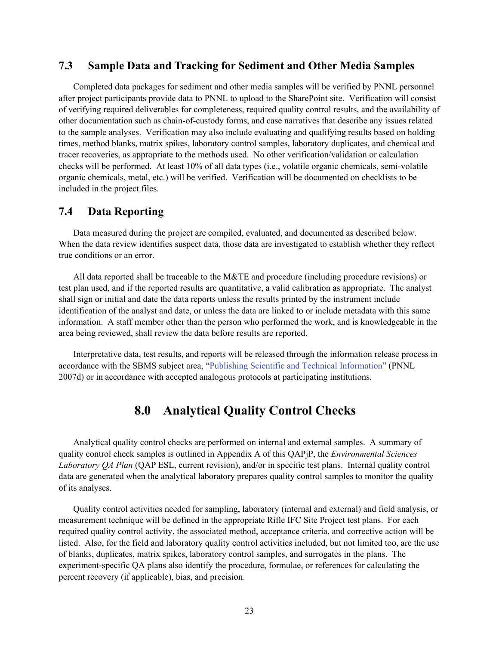### **7.3 Sample Data and Tracking for Sediment and Other Media Samples**

Completed data packages for sediment and other media samples will be verified by PNNL personnel after project participants provide data to PNNL to upload to the SharePoint site. Verification will consist of verifying required deliverables for completeness, required quality control results, and the availability of other documentation such as chain-of-custody forms, and case narratives that describe any issues related to the sample analyses. Verification may also include evaluating and qualifying results based on holding times, method blanks, matrix spikes, laboratory control samples, laboratory duplicates, and chemical and tracer recoveries, as appropriate to the methods used. No other verification/validation or calculation checks will be performed. At least 10% of all data types (i.e., volatile organic chemicals, semi-volatile organic chemicals, metal, etc.) will be verified. Verification will be documented on checklists to be included in the project files.

# **7.4 Data Reporting**

Data measured during the project are compiled, evaluated, and documented as described below. When the data review identifies suspect data, those data are investigated to establish whether they reflect true conditions or an error.

All data reported shall be traceable to the M&TE and procedure (including procedure revisions) or test plan used, and if the reported results are quantitative, a valid calibration as appropriate. The analyst shall sign or initial and date the data reports unless the results printed by the instrument include identification of the analyst and date, or unless the data are linked to or include metadata with this same information. A staff member other than the person who performed the work, and is knowledgeable in the area being reviewed, shall review the data before results are reported.

Interpretative data, test results, and reports will be released through the information release process in accordance with the SBMS subject area, "Publishing Scientific and Technical Information" (PNNL 2007d) or in accordance with accepted analogous protocols at participating institutions.

# **8.0 Analytical Quality Control Checks**

Analytical quality control checks are performed on internal and external samples. A summary of quality control check samples is outlined in Appendix A of this QAPjP, the *Environmental Sciences Laboratory QA Plan* (QAP ESL, current revision), and/or in specific test plans. Internal quality control data are generated when the analytical laboratory prepares quality control samples to monitor the quality of its analyses.

Quality control activities needed for sampling, laboratory (internal and external) and field analysis, or measurement technique will be defined in the appropriate Rifle IFC Site Project test plans. For each required quality control activity, the associated method, acceptance criteria, and corrective action will be listed. Also, for the field and laboratory quality control activities included, but not limited too, are the use of blanks, duplicates, matrix spikes, laboratory control samples, and surrogates in the plans. The experiment-specific QA plans also identify the procedure, formulae, or references for calculating the percent recovery (if applicable), bias, and precision.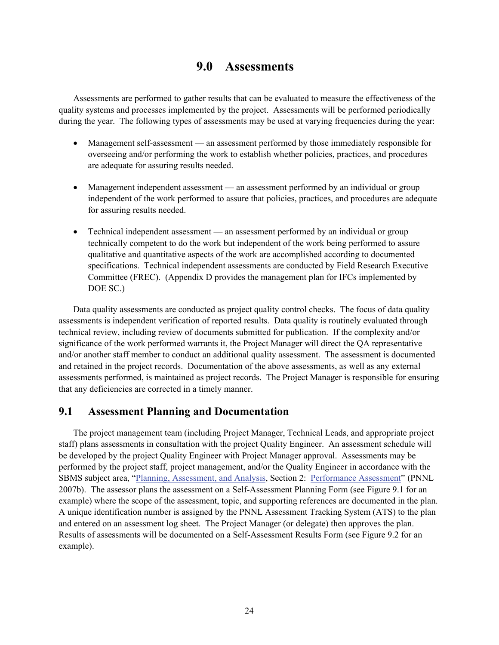# **9.0 Assessments**

Assessments are performed to gather results that can be evaluated to measure the effectiveness of the quality systems and processes implemented by the project. Assessments will be performed periodically during the year. The following types of assessments may be used at varying frequencies during the year:

- Management self-assessment an assessment performed by those immediately responsible for overseeing and/or performing the work to establish whether policies, practices, and procedures are adequate for assuring results needed.
- Management independent assessment an assessment performed by an individual or group independent of the work performed to assure that policies, practices, and procedures are adequate for assuring results needed.
- Technical independent assessment an assessment performed by an individual or group technically competent to do the work but independent of the work being performed to assure qualitative and quantitative aspects of the work are accomplished according to documented specifications. Technical independent assessments are conducted by Field Research Executive Committee (FREC). (Appendix D provides the management plan for IFCs implemented by DOE SC.)

Data quality assessments are conducted as project quality control checks. The focus of data quality assessments is independent verification of reported results. Data quality is routinely evaluated through technical review, including review of documents submitted for publication. If the complexity and/or significance of the work performed warrants it, the Project Manager will direct the QA representative and/or another staff member to conduct an additional quality assessment. The assessment is documented and retained in the project records. Documentation of the above assessments, as well as any external assessments performed, is maintained as project records. The Project Manager is responsible for ensuring that any deficiencies are corrected in a timely manner.

# **9.1 Assessment Planning and Documentation**

The project management team (including Project Manager, Technical Leads, and appropriate project staff) plans assessments in consultation with the project Quality Engineer. An assessment schedule will be developed by the project Quality Engineer with Project Manager approval. Assessments may be performed by the project staff, project management, and/or the Quality Engineer in accordance with the SBMS subject area, "Planning, Assessment, and Analysis, Section 2: Performance Assessment" (PNNL 2007b). The assessor plans the assessment on a Self-Assessment Planning Form (see Figure 9.1 for an example) where the scope of the assessment, topic, and supporting references are documented in the plan. A unique identification number is assigned by the PNNL Assessment Tracking System (ATS) to the plan and entered on an assessment log sheet. The Project Manager (or delegate) then approves the plan. Results of assessments will be documented on a Self-Assessment Results Form (see Figure 9.2 for an example).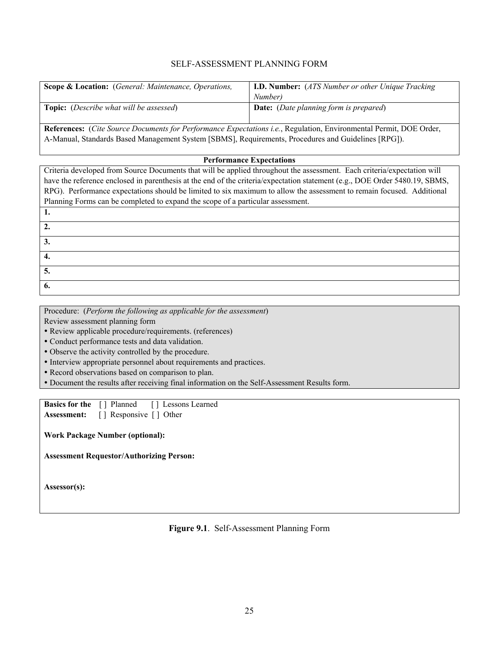#### SELF-ASSESSMENT PLANNING FORM

| <b>Scope &amp; Location:</b> (General: Maintenance, Operations, | <b>I.D. Number:</b> (ATS Number or other Unique Tracking |  |
|-----------------------------------------------------------------|----------------------------------------------------------|--|
|                                                                 | Number)                                                  |  |
| <b>Topic:</b> ( <i>Describe what will be assessed</i> )         | <b>Date:</b> (Date planning form is prepared)            |  |
|                                                                 |                                                          |  |

**References:** (*Cite Source Documents for Performance Expectations i.e.*, Regulation, Environmental Permit, DOE Order, A-Manual, Standards Based Management System [SBMS], Requirements, Procedures and Guidelines [RPG]).

#### **Performance Expectations**

Criteria developed from Source Documents that will be applied throughout the assessment. Each criteria/expectation will have the reference enclosed in parenthesis at the end of the criteria/expectation statement (e.g., DOE Order 5480.19, SBMS, RPG). Performance expectations should be limited to six maximum to allow the assessment to remain focused. Additional Planning Forms can be completed to expand the scope of a particular assessment. **1.** 

Procedure: (*Perform the following as applicable for the assessment*)

Review assessment planning form

y Review applicable procedure/requirements. (references)

- Conduct performance tests and data validation.
- Observe the activity controlled by the procedure.
- Interview appropriate personnel about requirements and practices.
- Record observations based on comparison to plan.
- y Document the results after receiving final information on the Self-Assessment Results form.

| <b>Basics for the</b> [] Planned |                        | [] Lessons Learned |
|----------------------------------|------------------------|--------------------|
| <b>Assessment:</b>               | [] Responsive [] Other |                    |

**Work Package Number (optional):** 

**Assessment Requestor/Authorizing Person:**

**Assessor(s):**

**2. 3. 4. 5. 6.** 

**Figure 9.1**. Self-Assessment Planning Form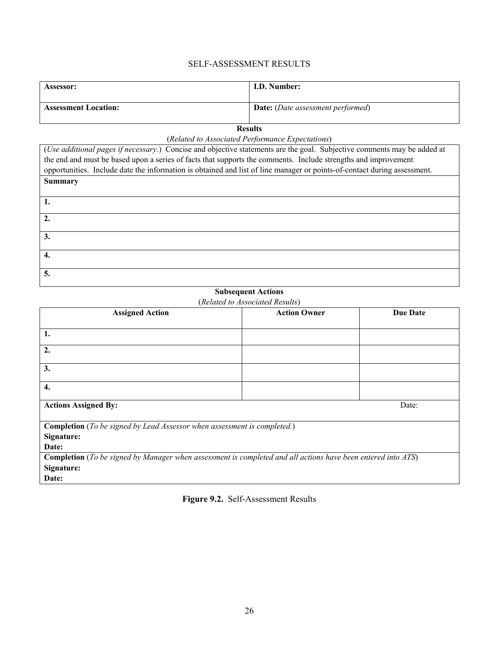### SELF-ASSESSMENT RESULTS

| <b>Assessor:</b>            | I.D. Number:                             |
|-----------------------------|------------------------------------------|
| <b>Assessment Location:</b> | <b>Date:</b> (Date assessment performed) |

**Results** 

(*Related to Associated Performance Expectations*)

| (Use additional pages if necessary.) Concise and objective statements are the goal. Subjective comments may be added at  |  |  |  |
|--------------------------------------------------------------------------------------------------------------------------|--|--|--|
| the end and must be based upon a series of facts that supports the comments. Include strengths and improvement           |  |  |  |
| opportunities. Include date the information is obtained and list of line manager or points-of-contact during assessment. |  |  |  |
| <b>Summary</b>                                                                                                           |  |  |  |
|                                                                                                                          |  |  |  |
|                                                                                                                          |  |  |  |
|                                                                                                                          |  |  |  |
| $\mathbf{2}$                                                                                                             |  |  |  |
| 3.                                                                                                                       |  |  |  |
|                                                                                                                          |  |  |  |
| 4.                                                                                                                       |  |  |  |
|                                                                                                                          |  |  |  |
| 5.                                                                                                                       |  |  |  |
|                                                                                                                          |  |  |  |

#### **Subsequent Actions**

|                                                                                                                     | (Related to Associated Results) |                 |  |
|---------------------------------------------------------------------------------------------------------------------|---------------------------------|-----------------|--|
| <b>Assigned Action</b>                                                                                              | <b>Action Owner</b>             | <b>Due Date</b> |  |
|                                                                                                                     |                                 |                 |  |
| 1.                                                                                                                  |                                 |                 |  |
|                                                                                                                     |                                 |                 |  |
| 2.                                                                                                                  |                                 |                 |  |
|                                                                                                                     |                                 |                 |  |
| 3.                                                                                                                  |                                 |                 |  |
|                                                                                                                     |                                 |                 |  |
| 4.                                                                                                                  |                                 |                 |  |
|                                                                                                                     |                                 |                 |  |
| <b>Actions Assigned By:</b>                                                                                         |                                 | Date:           |  |
|                                                                                                                     |                                 |                 |  |
| <b>Completion</b> (To be signed by Lead Assessor when assessment is completed.)                                     |                                 |                 |  |
| Signature:                                                                                                          |                                 |                 |  |
| Date:                                                                                                               |                                 |                 |  |
| <b>Completion</b> (To be signed by Manager when assessment is completed and all actions have been entered into ATS) |                                 |                 |  |
|                                                                                                                     |                                 |                 |  |
| Signature:                                                                                                          |                                 |                 |  |
| Date:                                                                                                               |                                 |                 |  |

**Figure 9.2.** Self-Assessment Results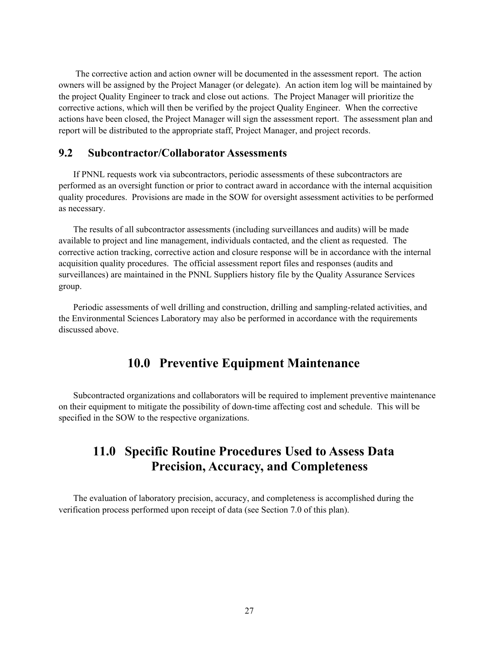The corrective action and action owner will be documented in the assessment report. The action owners will be assigned by the Project Manager (or delegate). An action item log will be maintained by the project Quality Engineer to track and close out actions. The Project Manager will prioritize the corrective actions, which will then be verified by the project Quality Engineer. When the corrective actions have been closed, the Project Manager will sign the assessment report. The assessment plan and report will be distributed to the appropriate staff, Project Manager, and project records.

## **9.2 Subcontractor/Collaborator Assessments**

If PNNL requests work via subcontractors, periodic assessments of these subcontractors are performed as an oversight function or prior to contract award in accordance with the internal acquisition quality procedures. Provisions are made in the SOW for oversight assessment activities to be performed as necessary.

The results of all subcontractor assessments (including surveillances and audits) will be made available to project and line management, individuals contacted, and the client as requested. The corrective action tracking, corrective action and closure response will be in accordance with the internal acquisition quality procedures. The official assessment report files and responses (audits and surveillances) are maintained in the PNNL Suppliers history file by the Quality Assurance Services group.

Periodic assessments of well drilling and construction, drilling and sampling-related activities, and the Environmental Sciences Laboratory may also be performed in accordance with the requirements discussed above.

# **10.0 Preventive Equipment Maintenance**

Subcontracted organizations and collaborators will be required to implement preventive maintenance on their equipment to mitigate the possibility of down-time affecting cost and schedule. This will be specified in the SOW to the respective organizations.

# **11.0 Specific Routine Procedures Used to Assess Data Precision, Accuracy, and Completeness**

The evaluation of laboratory precision, accuracy, and completeness is accomplished during the verification process performed upon receipt of data (see Section 7.0 of this plan).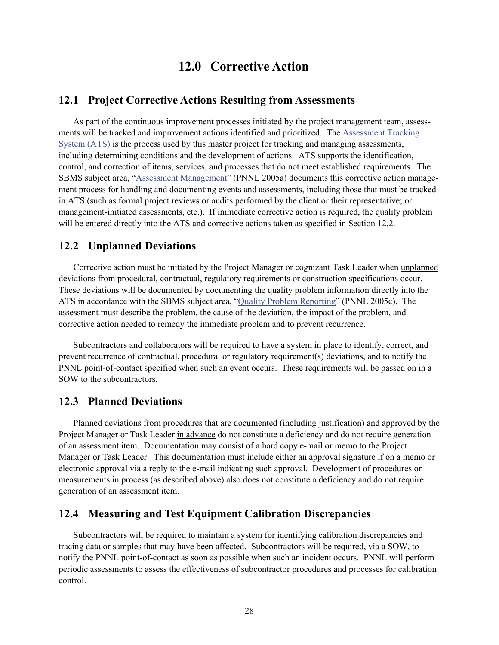# **12.0 Corrective Action**

# **12.1 Project Corrective Actions Resulting from Assessments**

As part of the continuous improvement processes initiated by the project management team, assessments will be tracked and improvement actions identified and prioritized. The Assessment Tracking System (ATS) is the process used by this master project for tracking and managing assessments, including determining conditions and the development of actions. ATS supports the identification, control, and correction of items, services, and processes that do not meet established requirements. The SBMS subject area, "Assessment Management" (PNNL 2005a) documents this corrective action management process for handling and documenting events and assessments, including those that must be tracked in ATS (such as formal project reviews or audits performed by the client or their representative; or management-initiated assessments, etc.). If immediate corrective action is required, the quality problem will be entered directly into the ATS and corrective actions taken as specified in Section 12.2.

### **12.2 Unplanned Deviations**

Corrective action must be initiated by the Project Manager or cognizant Task Leader when unplanned deviations from procedural, contractual, regulatory requirements or construction specifications occur. These deviations will be documented by documenting the quality problem information directly into the ATS in accordance with the SBMS subject area, "Quality Problem Reporting" (PNNL 2005c). The assessment must describe the problem, the cause of the deviation, the impact of the problem, and corrective action needed to remedy the immediate problem and to prevent recurrence.

Subcontractors and collaborators will be required to have a system in place to identify, correct, and prevent recurrence of contractual, procedural or regulatory requirement(s) deviations, and to notify the PNNL point-of-contact specified when such an event occurs. These requirements will be passed on in a SOW to the subcontractors.

## **12.3 Planned Deviations**

Planned deviations from procedures that are documented (including justification) and approved by the Project Manager or Task Leader in advance do not constitute a deficiency and do not require generation of an assessment item. Documentation may consist of a hard copy e-mail or memo to the Project Manager or Task Leader.This documentation must include either an approval signature if on a memo or electronic approval via a reply to the e-mail indicating such approval. Development of procedures or measurements in process (as described above) also does not constitute a deficiency and do not require generation of an assessment item.

#### **12.4 Measuring and Test Equipment Calibration Discrepancies**

Subcontractors will be required to maintain a system for identifying calibration discrepancies and tracing data or samples that may have been affected. Subcontractors will be required, via a SOW, to notify the PNNL point-of-contact as soon as possible when such an incident occurs. PNNL will perform periodic assessments to assess the effectiveness of subcontractor procedures and processes for calibration control.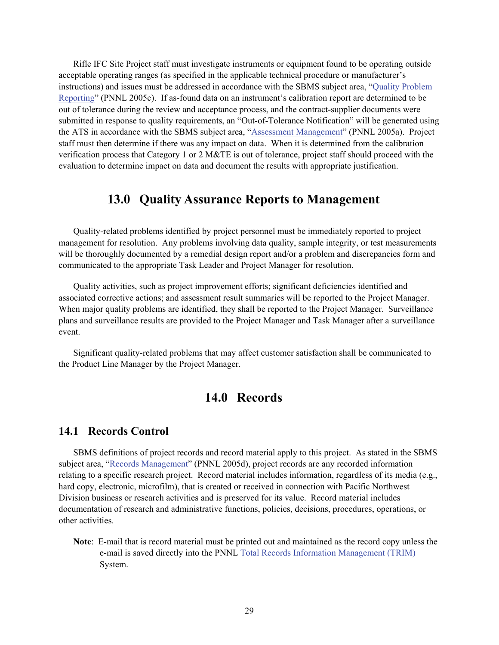Rifle IFC Site Project staff must investigate instruments or equipment found to be operating outside acceptable operating ranges (as specified in the applicable technical procedure or manufacturer's instructions) and issues must be addressed in accordance with the SBMS subject area, "Quality Problem Reporting" (PNNL 2005c). If as-found data on an instrument's calibration report are determined to be out of tolerance during the review and acceptance process, and the contract-supplier documents were submitted in response to quality requirements, an "Out-of-Tolerance Notification" will be generated using the ATS in accordance with the SBMS subject area, "Assessment Management" (PNNL 2005a). Project staff must then determine if there was any impact on data. When it is determined from the calibration verification process that Category 1 or 2 M&TE is out of tolerance, project staff should proceed with the evaluation to determine impact on data and document the results with appropriate justification.

# **13.0 Quality Assurance Reports to Management**

Quality-related problems identified by project personnel must be immediately reported to project management for resolution. Any problems involving data quality, sample integrity, or test measurements will be thoroughly documented by a remedial design report and/or a problem and discrepancies form and communicated to the appropriate Task Leader and Project Manager for resolution.

Quality activities, such as project improvement efforts; significant deficiencies identified and associated corrective actions; and assessment result summaries will be reported to the Project Manager. When major quality problems are identified, they shall be reported to the Project Manager. Surveillance plans and surveillance results are provided to the Project Manager and Task Manager after a surveillance event.

Significant quality-related problems that may affect customer satisfaction shall be communicated to the Product Line Manager by the Project Manager.

# **14.0 Records**

## **14.1 Records Control**

SBMS definitions of project records and record material apply to this project. As stated in the SBMS subject area, "Records Management" (PNNL 2005d), project records are any recorded information relating to a specific research project. Record material includes information, regardless of its media (e.g., hard copy, electronic, microfilm), that is created or received in connection with Pacific Northwest Division business or research activities and is preserved for its value. Record material includes documentation of research and administrative functions, policies, decisions, procedures, operations, or other activities.

**Note**: E-mail that is record material must be printed out and maintained as the record copy unless the e-mail is saved directly into the PNNL Total Records Information Management (TRIM) System.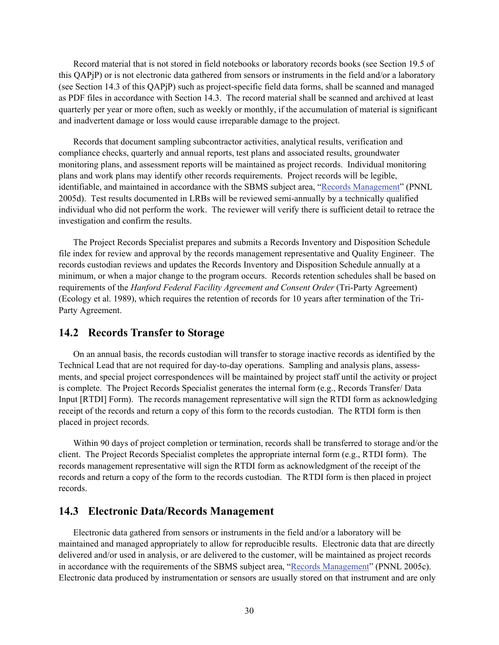Record material that is not stored in field notebooks or laboratory records books (see Section 19.5 of this QAPjP) or is not electronic data gathered from sensors or instruments in the field and/or a laboratory (see Section 14.3 of this QAPjP) such as project-specific field data forms, shall be scanned and managed as PDF files in accordance with Section 14.3. The record material shall be scanned and archived at least quarterly per year or more often, such as weekly or monthly, if the accumulation of material is significant and inadvertent damage or loss would cause irreparable damage to the project.

Records that document sampling subcontractor activities, analytical results, verification and compliance checks, quarterly and annual reports, test plans and associated results, groundwater monitoring plans, and assessment reports will be maintained as project records. Individual monitoring plans and work plans may identify other records requirements. Project records will be legible, identifiable, and maintained in accordance with the SBMS subject area, "Records Management" (PNNL 2005d). Test results documented in LRBs will be reviewed semi-annually by a technically qualified individual who did not perform the work. The reviewer will verify there is sufficient detail to retrace the investigation and confirm the results.

The Project Records Specialist prepares and submits a Records Inventory and Disposition Schedule file index for review and approval by the records management representative and Quality Engineer. The records custodian reviews and updates the Records Inventory and Disposition Schedule annually at a minimum, or when a major change to the program occurs. Records retention schedules shall be based on requirements of the *Hanford Federal Facility Agreement and Consent Order* (Tri-Party Agreement) (Ecology et al. 1989), which requires the retention of records for 10 years after termination of the Tri-Party Agreement.

#### **14.2 Records Transfer to Storage**

On an annual basis, the records custodian will transfer to storage inactive records as identified by the Technical Lead that are not required for day-to-day operations. Sampling and analysis plans, assessments, and special project correspondences will be maintained by project staff until the activity or project is complete. The Project Records Specialist generates the internal form (e.g., Records Transfer/ Data Input [RTDI] Form). The records management representative will sign the RTDI form as acknowledging receipt of the records and return a copy of this form to the records custodian. The RTDI form is then placed in project records.

Within 90 days of project completion or termination, records shall be transferred to storage and/or the client. The Project Records Specialist completes the appropriate internal form (e.g., RTDI form). The records management representative will sign the RTDI form as acknowledgment of the receipt of the records and return a copy of the form to the records custodian. The RTDI form is then placed in project records.

#### **14.3 Electronic Data/Records Management**

Electronic data gathered from sensors or instruments in the field and/or a laboratory will be maintained and managed appropriately to allow for reproducible results. Electronic data that are directly delivered and/or used in analysis, or are delivered to the customer, will be maintained as project records in accordance with the requirements of the SBMS subject area, "Records Management" (PNNL 2005c). Electronic data produced by instrumentation or sensors are usually stored on that instrument and are only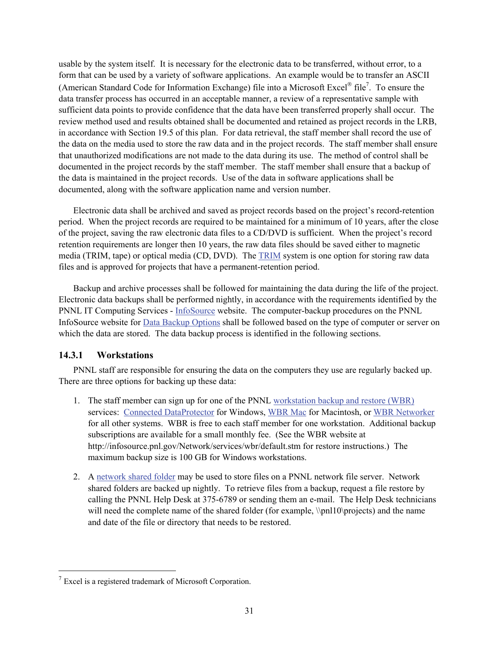usable by the system itself. It is necessary for the electronic data to be transferred, without error, to a form that can be used by a variety of software applications. An example would be to transfer an ASCII (American Standard Code for Information Exchange) file into a Microsoft Excel<sup>®</sup> file<sup>7</sup>. To ensure the data transfer process has occurred in an acceptable manner, a review of a representative sample with sufficient data points to provide confidence that the data have been transferred properly shall occur. The review method used and results obtained shall be documented and retained as project records in the LRB, in accordance with Section 19.5 of this plan. For data retrieval, the staff member shall record the use of the data on the media used to store the raw data and in the project records. The staff member shall ensure that unauthorized modifications are not made to the data during its use. The method of control shall be documented in the project records by the staff member. The staff member shall ensure that a backup of the data is maintained in the project records. Use of the data in software applications shall be documented, along with the software application name and version number.

Electronic data shall be archived and saved as project records based on the project's record-retention period. When the project records are required to be maintained for a minimum of 10 years, after the close of the project, saving the raw electronic data files to a CD/DVD is sufficient. When the project's record retention requirements are longer then 10 years, the raw data files should be saved either to magnetic media (TRIM, tape) or optical media (CD, DVD). The TRIM system is one option for storing raw data files and is approved for projects that have a permanent-retention period.

Backup and archive processes shall be followed for maintaining the data during the life of the project. Electronic data backups shall be performed nightly, in accordance with the requirements identified by the PNNL IT Computing Services - InfoSource website. The computer-backup procedures on the PNNL InfoSource website for Data Backup Options shall be followed based on the type of computer or server on which the data are stored. The data backup process is identified in the following sections.

### **14.3.1 Workstations**

l

PNNL staff are responsible for ensuring the data on the computers they use are regularly backed up. There are three options for backing up these data:

- 1. The staff member can sign up for one of the PNNL workstation backup and restore (WBR) services: Connected DataProtector for Windows, WBR Mac for Macintosh, or WBR Networker for all other systems. WBR is free to each staff member for one workstation. Additional backup subscriptions are available for a small monthly fee. (See the WBR website at http://infosource.pnl.gov/Network/services/wbr/default.stm for restore instructions.) The maximum backup size is 100 GB for Windows workstations.
- 2. A network shared folder may be used to store files on a PNNL network file server. Network shared folders are backed up nightly. To retrieve files from a backup, request a file restore by calling the PNNL Help Desk at 375-6789 or sending them an e-mail. The Help Desk technicians will need the complete name of the shared folder (for example, \\pnl10\projects) and the name and date of the file or directory that needs to be restored.

 $7$  Excel is a registered trademark of Microsoft Corporation.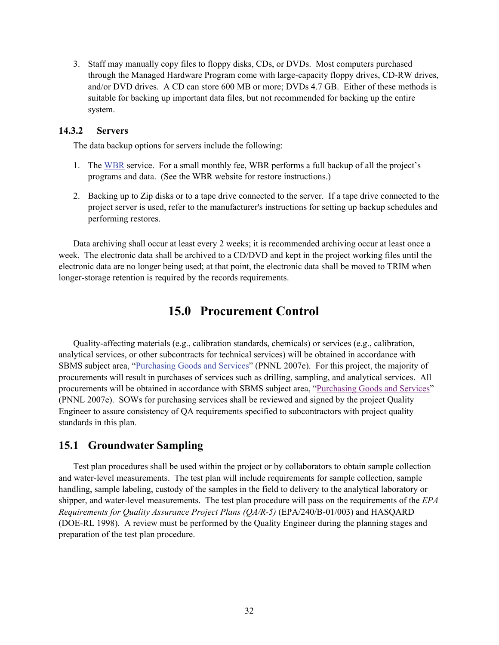3. Staff may manually copy files to floppy disks, CDs, or DVDs. Most computers purchased through the Managed Hardware Program come with large-capacity floppy drives, CD-RW drives, and/or DVD drives. A CD can store 600 MB or more; DVDs 4.7 GB. Either of these methods is suitable for backing up important data files, but not recommended for backing up the entire system.

#### **14.3.2 Servers**

The data backup options for servers include the following:

- 1. The WBR service. For a small monthly fee, WBR performs a full backup of all the project's programs and data. (See the WBR website for restore instructions.)
- 2. Backing up to Zip disks or to a tape drive connected to the server. If a tape drive connected to the project server is used, refer to the manufacturer's instructions for setting up backup schedules and performing restores.

Data archiving shall occur at least every 2 weeks; it is recommended archiving occur at least once a week. The electronic data shall be archived to a CD/DVD and kept in the project working files until the electronic data are no longer being used; at that point, the electronic data shall be moved to TRIM when longer-storage retention is required by the records requirements.

# **15.0 Procurement Control**

Quality-affecting materials (e.g., calibration standards, chemicals) or services (e.g., calibration, analytical services, or other subcontracts for technical services) will be obtained in accordance with SBMS subject area, "Purchasing Goods and Services" (PNNL 2007e). For this project, the majority of procurements will result in purchases of services such as drilling, sampling, and analytical services. All procurements will be obtained in accordance with SBMS subject area, "Purchasing Goods and Services" (PNNL 2007e). SOWs for purchasing services shall be reviewed and signed by the project Quality Engineer to assure consistency of QA requirements specified to subcontractors with project quality standards in this plan.

## **15.1 Groundwater Sampling**

Test plan procedures shall be used within the project or by collaborators to obtain sample collection and water-level measurements. The test plan will include requirements for sample collection, sample handling, sample labeling, custody of the samples in the field to delivery to the analytical laboratory or shipper, and water-level measurements. The test plan procedure will pass on the requirements of the *EPA Requirements for Quality Assurance Project Plans (QA/R-5)* (EPA/240/B-01/003) and HASQARD (DOE-RL 1998). A review must be performed by the Quality Engineer during the planning stages and preparation of the test plan procedure.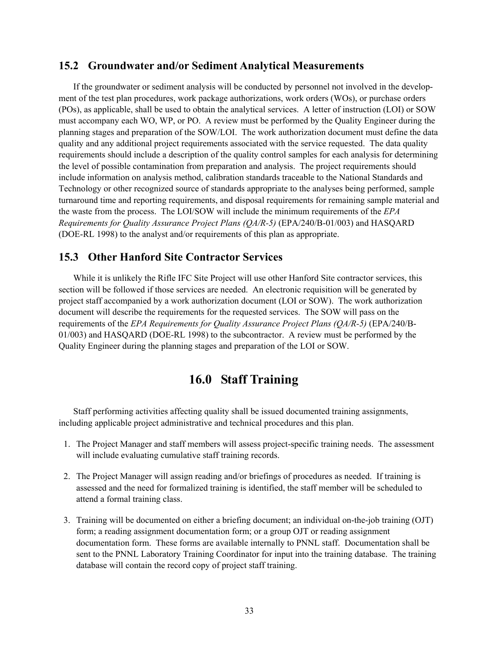### **15.2 Groundwater and/or Sediment Analytical Measurements**

If the groundwater or sediment analysis will be conducted by personnel not involved in the development of the test plan procedures, work package authorizations, work orders (WOs), or purchase orders (POs), as applicable, shall be used to obtain the analytical services. A letter of instruction (LOI) or SOW must accompany each WO, WP, or PO. A review must be performed by the Quality Engineer during the planning stages and preparation of the SOW/LOI. The work authorization document must define the data quality and any additional project requirements associated with the service requested. The data quality requirements should include a description of the quality control samples for each analysis for determining the level of possible contamination from preparation and analysis. The project requirements should include information on analysis method, calibration standards traceable to the National Standards and Technology or other recognized source of standards appropriate to the analyses being performed, sample turnaround time and reporting requirements, and disposal requirements for remaining sample material and the waste from the process. The LOI/SOW will include the minimum requirements of the *EPA Requirements for Quality Assurance Project Plans (QA/R-5)* (EPA/240/B-01/003) and HASQARD (DOE-RL 1998) to the analyst and/or requirements of this plan as appropriate.

# **15.3 Other Hanford Site Contractor Services**

While it is unlikely the Rifle IFC Site Project will use other Hanford Site contractor services, this section will be followed if those services are needed. An electronic requisition will be generated by project staff accompanied by a work authorization document (LOI or SOW). The work authorization document will describe the requirements for the requested services. The SOW will pass on the requirements of the *EPA Requirements for Quality Assurance Project Plans (QA/R-5)* (EPA/240/B-01/003) and HASQARD (DOE-RL 1998) to the subcontractor. A review must be performed by the Quality Engineer during the planning stages and preparation of the LOI or SOW.

# **16.0 Staff Training**

Staff performing activities affecting quality shall be issued documented training assignments, including applicable project administrative and technical procedures and this plan.

- 1. The Project Manager and staff members will assess project-specific training needs. The assessment will include evaluating cumulative staff training records.
- 2. The Project Manager will assign reading and/or briefings of procedures as needed. If training is assessed and the need for formalized training is identified, the staff member will be scheduled to attend a formal training class.
- 3. Training will be documented on either a briefing document; an individual on-the-job training (OJT) form; a reading assignment documentation form; or a group OJT or reading assignment documentation form. These forms are available internally to PNNL staff. Documentation shall be sent to the PNNL Laboratory Training Coordinator for input into the training database. The training database will contain the record copy of project staff training.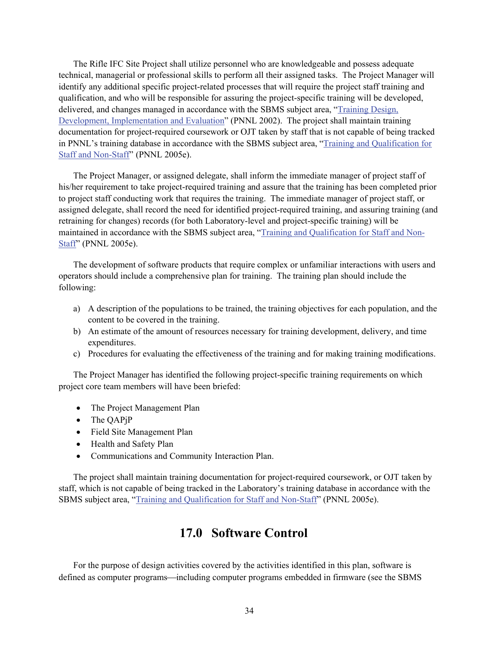The Rifle IFC Site Project shall utilize personnel who are knowledgeable and possess adequate technical, managerial or professional skills to perform all their assigned tasks. The Project Manager will identify any additional specific project-related processes that will require the project staff training and qualification, and who will be responsible for assuring the project-specific training will be developed, delivered, and changes managed in accordance with the SBMS subject area, "Training Design, Development, Implementation and Evaluation" (PNNL 2002). The project shall maintain training documentation for project-required coursework or OJT taken by staff that is not capable of being tracked in PNNL's training database in accordance with the SBMS subject area, "Training and Qualification for Staff and Non-Staff" (PNNL 2005e).

The Project Manager, or assigned delegate, shall inform the immediate manager of project staff of his/her requirement to take project-required training and assure that the training has been completed prior to project staff conducting work that requires the training. The immediate manager of project staff, or assigned delegate, shall record the need for identified project-required training, and assuring training (and retraining for changes) records (for both Laboratory-level and project-specific training) will be maintained in accordance with the SBMS subject area, "Training and Qualification for Staff and Non-Staff" (PNNL 2005e).

The development of software products that require complex or unfamiliar interactions with users and operators should include a comprehensive plan for training. The training plan should include the following:

- a) A description of the populations to be trained, the training objectives for each population, and the content to be covered in the training.
- b) An estimate of the amount of resources necessary for training development, delivery, and time expenditures.
- c) Procedures for evaluating the effectiveness of the training and for making training modifications.

The Project Manager has identified the following project-specific training requirements on which project core team members will have been briefed:

- The Project Management Plan
- The QAPjP
- Field Site Management Plan
- Health and Safety Plan
- Communications and Community Interaction Plan.

The project shall maintain training documentation for project-required coursework, or OJT taken by staff, which is not capable of being tracked in the Laboratory's training database in accordance with the SBMS subject area, "Training and Qualification for Staff and Non-Staff" (PNNL 2005e).

# **17.0 Software Control**

For the purpose of design activities covered by the activities identified in this plan, software is defined as computer programs—including computer programs embedded in firmware (see the SBMS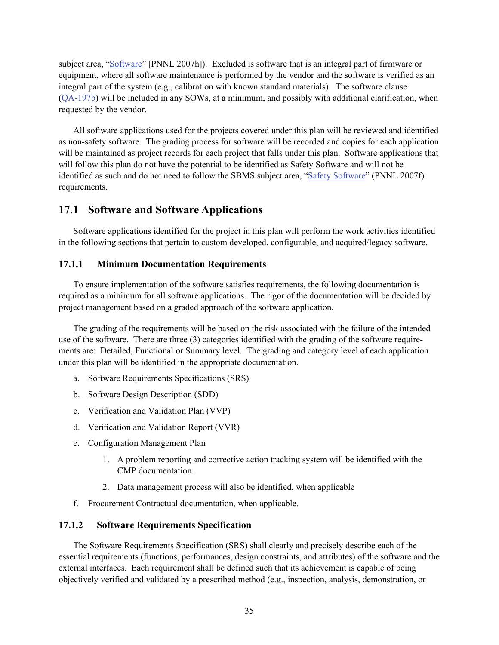subject area, "Software" [PNNL 2007h]). Excluded is software that is an integral part of firmware or equipment, where all software maintenance is performed by the vendor and the software is verified as an integral part of the system (e.g., calibration with known standard materials). The software clause (QA-197b) will be included in any SOWs, at a minimum, and possibly with additional clarification, when requested by the vendor.

All software applications used for the projects covered under this plan will be reviewed and identified as non-safety software. The grading process for software will be recorded and copies for each application will be maintained as project records for each project that falls under this plan. Software applications that will follow this plan do not have the potential to be identified as Safety Software and will not be identified as such and do not need to follow the SBMS subject area, "Safety Software" (PNNL 2007f) requirements.

### **17.1 Software and Software Applications**

Software applications identified for the project in this plan will perform the work activities identified in the following sections that pertain to custom developed, configurable, and acquired/legacy software.

#### **17.1.1 Minimum Documentation Requirements**

To ensure implementation of the software satisfies requirements, the following documentation is required as a minimum for all software applications. The rigor of the documentation will be decided by project management based on a graded approach of the software application.

The grading of the requirements will be based on the risk associated with the failure of the intended use of the software. There are three (3) categories identified with the grading of the software requirements are: Detailed, Functional or Summary level. The grading and category level of each application under this plan will be identified in the appropriate documentation.

- a. Software Requirements Specifications (SRS)
- b. Software Design Description (SDD)
- c. Verification and Validation Plan (VVP)
- d. Verification and Validation Report (VVR)
- e. Configuration Management Plan
	- 1. A problem reporting and corrective action tracking system will be identified with the CMP documentation.
	- 2. Data management process will also be identified, when applicable
- f. Procurement Contractual documentation, when applicable.

#### **17.1.2 Software Requirements Specification**

The Software Requirements Specification (SRS) shall clearly and precisely describe each of the essential requirements (functions, performances, design constraints, and attributes) of the software and the external interfaces. Each requirement shall be defined such that its achievement is capable of being objectively verified and validated by a prescribed method (e.g., inspection, analysis, demonstration, or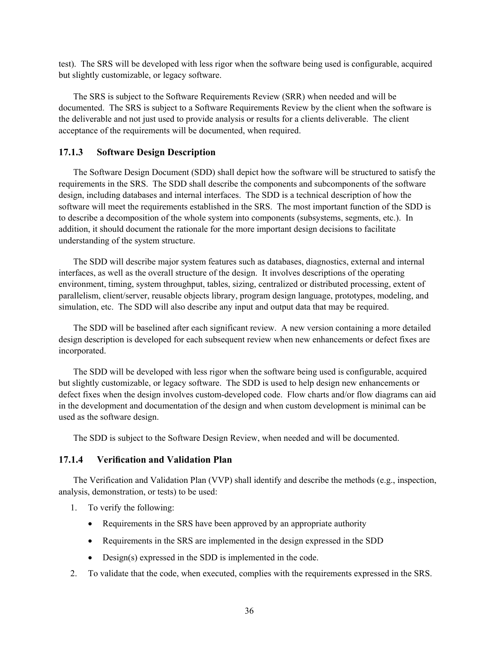test). The SRS will be developed with less rigor when the software being used is configurable, acquired but slightly customizable, or legacy software.

The SRS is subject to the Software Requirements Review (SRR) when needed and will be documented. The SRS is subject to a Software Requirements Review by the client when the software is the deliverable and not just used to provide analysis or results for a clients deliverable. The client acceptance of the requirements will be documented, when required.

#### **17.1.3 Software Design Description**

The Software Design Document (SDD) shall depict how the software will be structured to satisfy the requirements in the SRS. The SDD shall describe the components and subcomponents of the software design, including databases and internal interfaces. The SDD is a technical description of how the software will meet the requirements established in the SRS. The most important function of the SDD is to describe a decomposition of the whole system into components (subsystems, segments, etc.). In addition, it should document the rationale for the more important design decisions to facilitate understanding of the system structure.

The SDD will describe major system features such as databases, diagnostics, external and internal interfaces, as well as the overall structure of the design. It involves descriptions of the operating environment, timing, system throughput, tables, sizing, centralized or distributed processing, extent of parallelism, client/server, reusable objects library, program design language, prototypes, modeling, and simulation, etc. The SDD will also describe any input and output data that may be required.

The SDD will be baselined after each significant review. A new version containing a more detailed design description is developed for each subsequent review when new enhancements or defect fixes are incorporated.

The SDD will be developed with less rigor when the software being used is configurable, acquired but slightly customizable, or legacy software. The SDD is used to help design new enhancements or defect fixes when the design involves custom-developed code. Flow charts and/or flow diagrams can aid in the development and documentation of the design and when custom development is minimal can be used as the software design.

The SDD is subject to the Software Design Review, when needed and will be documented.

#### **17.1.4 Verification and Validation Plan**

The Verification and Validation Plan (VVP) shall identify and describe the methods (e.g., inspection, analysis, demonstration, or tests) to be used:

- 1. To verify the following:
	- Requirements in the SRS have been approved by an appropriate authority
	- Requirements in the SRS are implemented in the design expressed in the SDD
	- Design(s) expressed in the SDD is implemented in the code.
- 2. To validate that the code, when executed, complies with the requirements expressed in the SRS.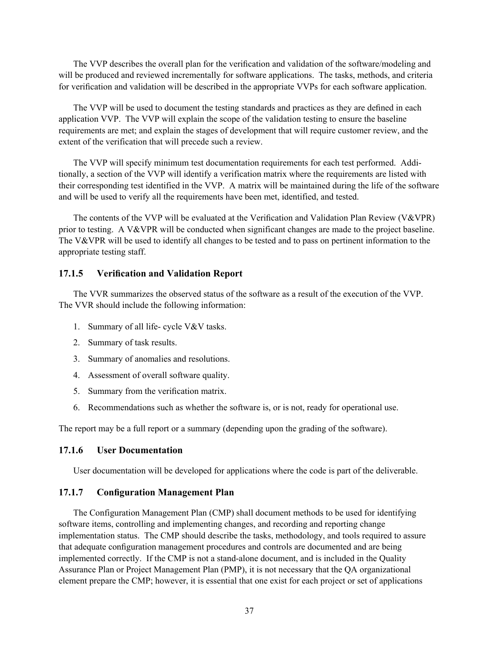The VVP describes the overall plan for the verification and validation of the software/modeling and will be produced and reviewed incrementally for software applications. The tasks, methods, and criteria for verification and validation will be described in the appropriate VVPs for each software application.

The VVP will be used to document the testing standards and practices as they are defined in each application VVP. The VVP will explain the scope of the validation testing to ensure the baseline requirements are met; and explain the stages of development that will require customer review, and the extent of the verification that will precede such a review.

The VVP will specify minimum test documentation requirements for each test performed. Additionally, a section of the VVP will identify a verification matrix where the requirements are listed with their corresponding test identified in the VVP. A matrix will be maintained during the life of the software and will be used to verify all the requirements have been met, identified, and tested.

The contents of the VVP will be evaluated at the Verification and Validation Plan Review (V&VPR) prior to testing. A V&VPR will be conducted when significant changes are made to the project baseline. The V&VPR will be used to identify all changes to be tested and to pass on pertinent information to the appropriate testing staff.

#### **17.1.5 Verification and Validation Report**

The VVR summarizes the observed status of the software as a result of the execution of the VVP. The VVR should include the following information:

- 1. Summary of all life- cycle V&V tasks.
- 2. Summary of task results.
- 3. Summary of anomalies and resolutions.
- 4. Assessment of overall software quality.
- 5. Summary from the verification matrix.
- 6. Recommendations such as whether the software is, or is not, ready for operational use.

The report may be a full report or a summary (depending upon the grading of the software).

#### **17.1.6 User Documentation**

User documentation will be developed for applications where the code is part of the deliverable.

#### **17.1.7 Configuration Management Plan**

The Configuration Management Plan (CMP) shall document methods to be used for identifying software items, controlling and implementing changes, and recording and reporting change implementation status. The CMP should describe the tasks, methodology, and tools required to assure that adequate configuration management procedures and controls are documented and are being implemented correctly. If the CMP is not a stand-alone document, and is included in the Quality Assurance Plan or Project Management Plan (PMP), it is not necessary that the QA organizational element prepare the CMP; however, it is essential that one exist for each project or set of applications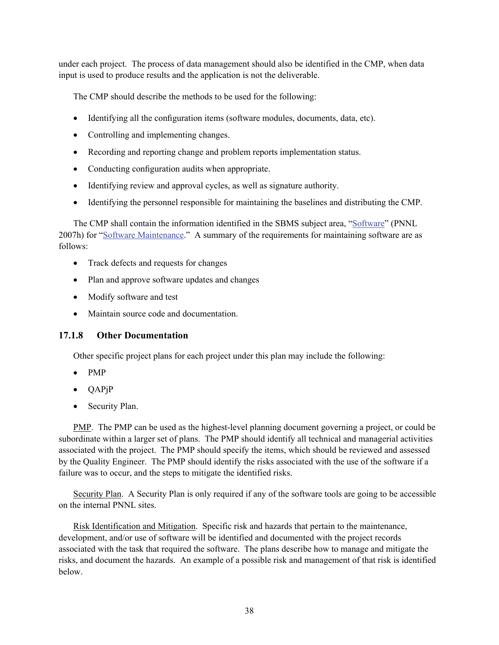under each project. The process of data management should also be identified in the CMP, when data input is used to produce results and the application is not the deliverable.

The CMP should describe the methods to be used for the following:

- Identifying all the configuration items (software modules, documents, data, etc).
- Controlling and implementing changes.
- Recording and reporting change and problem reports implementation status.
- Conducting configuration audits when appropriate.
- Identifying review and approval cycles, as well as signature authority.
- Identifying the personnel responsible for maintaining the baselines and distributing the CMP.

The CMP shall contain the information identified in the SBMS subject area, "Software" (PNNL 2007h) for "Software Maintenance." A summary of the requirements for maintaining software are as follows:

- Track defects and requests for changes
- Plan and approve software updates and changes
- Modify software and test
- Maintain source code and documentation.

### **17.1.8 Other Documentation**

Other specific project plans for each project under this plan may include the following:

- PMP
- QAPjP
- Security Plan.

PMP. The PMP can be used as the highest-level planning document governing a project, or could be subordinate within a larger set of plans. The PMP should identify all technical and managerial activities associated with the project. The PMP should specify the items, which should be reviewed and assessed by the Quality Engineer. The PMP should identify the risks associated with the use of the software if a failure was to occur, and the steps to mitigate the identified risks.

Security Plan. A Security Plan is only required if any of the software tools are going to be accessible on the internal PNNL sites.

Risk Identification and Mitigation. Specific risk and hazards that pertain to the maintenance, development, and/or use of software will be identified and documented with the project records associated with the task that required the software. The plans describe how to manage and mitigate the risks, and document the hazards. An example of a possible risk and management of that risk is identified below.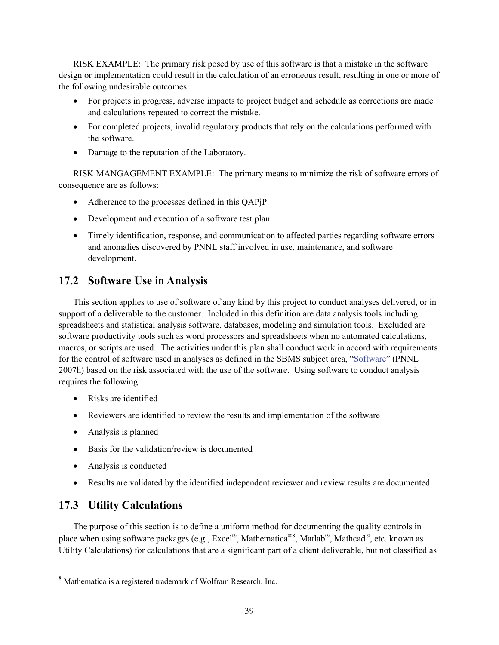RISK EXAMPLE: The primary risk posed by use of this software is that a mistake in the software design or implementation could result in the calculation of an erroneous result, resulting in one or more of the following undesirable outcomes:

- For projects in progress, adverse impacts to project budget and schedule as corrections are made and calculations repeated to correct the mistake.
- For completed projects, invalid regulatory products that rely on the calculations performed with the software.
- Damage to the reputation of the Laboratory.

RISK MANGAGEMENT EXAMPLE: The primary means to minimize the risk of software errors of consequence are as follows:

- Adherence to the processes defined in this QAPjP
- Development and execution of a software test plan
- Timely identification, response, and communication to affected parties regarding software errors and anomalies discovered by PNNL staff involved in use, maintenance, and software development.

# **17.2 Software Use in Analysis**

This section applies to use of software of any kind by this project to conduct analyses delivered, or in support of a deliverable to the customer. Included in this definition are data analysis tools including spreadsheets and statistical analysis software, databases, modeling and simulation tools. Excluded are software productivity tools such as word processors and spreadsheets when no automated calculations, macros, or scripts are used. The activities under this plan shall conduct work in accord with requirements for the control of software used in analyses as defined in the SBMS subject area, "Software" (PNNL 2007h) based on the risk associated with the use of the software. Using software to conduct analysis requires the following:

- Risks are identified
- Reviewers are identified to review the results and implementation of the software
- Analysis is planned
- Basis for the validation/review is documented
- Analysis is conducted
- Results are validated by the identified independent reviewer and review results are documented.

# **17.3 Utility Calculations**

l

The purpose of this section is to define a uniform method for documenting the quality controls in place when using software packages (e.g., Excel®, Mathematica<sup>®8</sup>, Matlab®, Mathcad®, etc. known as Utility Calculations) for calculations that are a significant part of a client deliverable, but not classified as

<sup>8</sup> Mathematica is a registered trademark of Wolfram Research, Inc.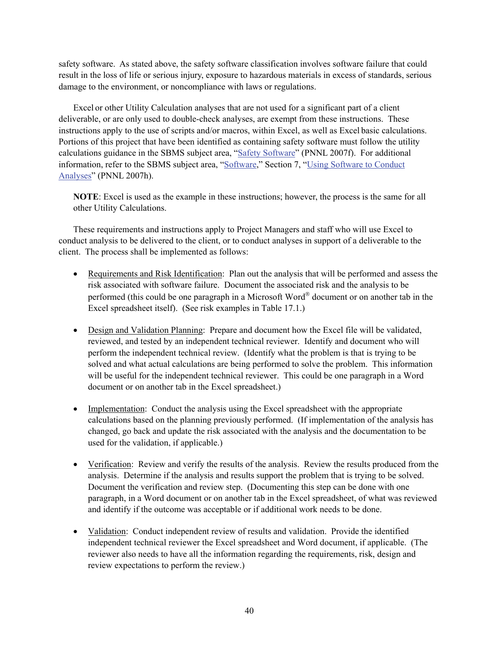safety software. As stated above, the safety software classification involves software failure that could result in the loss of life or serious injury, exposure to hazardous materials in excess of standards, serious damage to the environment, or noncompliance with laws or regulations.

Excel or other Utility Calculation analyses that are not used for a significant part of a client deliverable, or are only used to double-check analyses, are exempt from these instructions. These instructions apply to the use of scripts and/or macros, within Excel, as well as Excel basic calculations. Portions of this project that have been identified as containing safety software must follow the utility calculations guidance in the SBMS subject area, "Safety Software" (PNNL 2007f). For additional information, refer to the SBMS subject area, "Software," Section 7, "Using Software to Conduct Analyses" (PNNL 2007h).

**NOTE**: Excel is used as the example in these instructions; however, the process is the same for all other Utility Calculations.

These requirements and instructions apply to Project Managers and staff who will use Excel to conduct analysis to be delivered to the client, or to conduct analyses in support of a deliverable to the client. The process shall be implemented as follows:

- Requirements and Risk Identification: Plan out the analysis that will be performed and assess the risk associated with software failure. Document the associated risk and the analysis to be performed (this could be one paragraph in a Microsoft Word® document or on another tab in the Excel spreadsheet itself). (See risk examples in Table 17.1.)
- Design and Validation Planning: Prepare and document how the Excel file will be validated, reviewed, and tested by an independent technical reviewer. Identify and document who will perform the independent technical review. (Identify what the problem is that is trying to be solved and what actual calculations are being performed to solve the problem. This information will be useful for the independent technical reviewer. This could be one paragraph in a Word document or on another tab in the Excel spreadsheet.)
- Implementation: Conduct the analysis using the Excel spreadsheet with the appropriate calculations based on the planning previously performed. (If implementation of the analysis has changed, go back and update the risk associated with the analysis and the documentation to be used for the validation, if applicable.)
- Verification: Review and verify the results of the analysis. Review the results produced from the analysis. Determine if the analysis and results support the problem that is trying to be solved. Document the verification and review step. (Documenting this step can be done with one paragraph, in a Word document or on another tab in the Excel spreadsheet, of what was reviewed and identify if the outcome was acceptable or if additional work needs to be done.
- Validation: Conduct independent review of results and validation. Provide the identified independent technical reviewer the Excel spreadsheet and Word document, if applicable. (The reviewer also needs to have all the information regarding the requirements, risk, design and review expectations to perform the review.)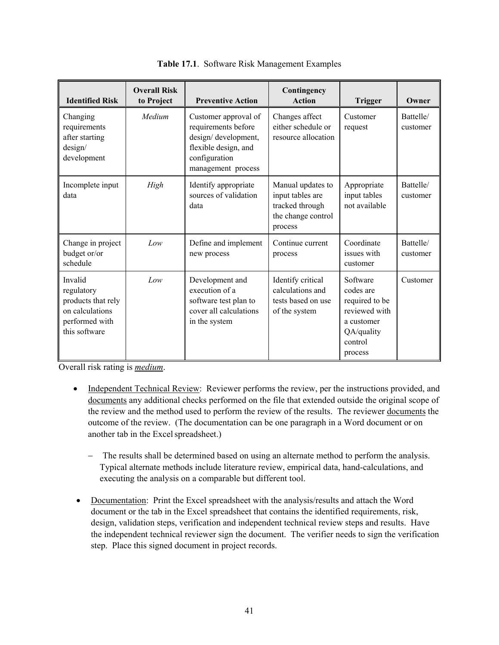| <b>Identified Risk</b>                                                                            | <b>Overall Risk</b><br>to Project | <b>Preventive Action</b>                                                                                                          | Contingency<br><b>Action</b>                                                              | <b>Trigger</b>                                                                                             | Owner                 |
|---------------------------------------------------------------------------------------------------|-----------------------------------|-----------------------------------------------------------------------------------------------------------------------------------|-------------------------------------------------------------------------------------------|------------------------------------------------------------------------------------------------------------|-----------------------|
| Changing<br>requirements<br>after starting<br>design/<br>development                              | Medium                            | Customer approval of<br>requirements before<br>design/development,<br>flexible design, and<br>configuration<br>management process | Changes affect<br>either schedule or<br>resource allocation                               | Customer<br>request                                                                                        | Battelle/<br>customer |
| Incomplete input<br>data                                                                          | High                              | Identify appropriate<br>sources of validation<br>data                                                                             | Manual updates to<br>input tables are<br>tracked through<br>the change control<br>process | Appropriate<br>input tables<br>not available                                                               | Battelle/<br>customer |
| Change in project<br>budget or/or<br>schedule                                                     | Low                               | Define and implement<br>new process                                                                                               | Continue current<br>process                                                               | Coordinate<br>issues with<br>customer                                                                      | Battelle/<br>customer |
| Invalid<br>regulatory<br>products that rely<br>on calculations<br>performed with<br>this software | Low                               | Development and<br>execution of a<br>software test plan to<br>cover all calculations<br>in the system                             | Identify critical<br>calculations and<br>tests based on use<br>of the system              | Software<br>codes are<br>required to be<br>reviewed with<br>a customer<br>QA/quality<br>control<br>process | Customer              |

|  |  |  | Table 17.1. Software Risk Management Examples |  |
|--|--|--|-----------------------------------------------|--|
|--|--|--|-----------------------------------------------|--|

Overall risk rating is *medium*.

- Independent Technical Review: Reviewer performs the review, per the instructions provided, and documents any additional checks performed on the file that extended outside the original scope of the review and the method used to perform the review of the results. The reviewer documents the outcome of the review. (The documentation can be one paragraph in a Word document or on another tab in the Excel spreadsheet.)
	- − The results shall be determined based on using an alternate method to perform the analysis. Typical alternate methods include literature review, empirical data, hand-calculations, and executing the analysis on a comparable but different tool.
- Documentation: Print the Excel spreadsheet with the analysis/results and attach the Word document or the tab in the Excel spreadsheet that contains the identified requirements, risk, design, validation steps, verification and independent technical review steps and results. Have the independent technical reviewer sign the document. The verifier needs to sign the verification step. Place this signed document in project records.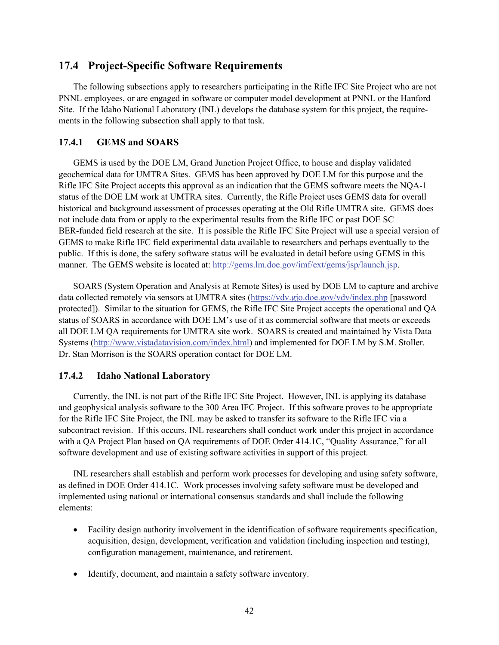### **17.4 Project-Specific Software Requirements**

The following subsections apply to researchers participating in the Rifle IFC Site Project who are not PNNL employees, or are engaged in software or computer model development at PNNL or the Hanford Site. If the Idaho National Laboratory (INL) develops the database system for this project, the requirements in the following subsection shall apply to that task.

#### **17.4.1 GEMS and SOARS**

GEMS is used by the DOE LM, Grand Junction Project Office, to house and display validated geochemical data for UMTRA Sites. GEMS has been approved by DOE LM for this purpose and the Rifle IFC Site Project accepts this approval as an indication that the GEMS software meets the NQA-1 status of the DOE LM work at UMTRA sites. Currently, the Rifle Project uses GEMS data for overall historical and background assessment of processes operating at the Old Rifle UMTRA site. GEMS does not include data from or apply to the experimental results from the Rifle IFC or past DOE SC BER-funded field research at the site. It is possible the Rifle IFC Site Project will use a special version of GEMS to make Rifle IFC field experimental data available to researchers and perhaps eventually to the public. If this is done, the safety software status will be evaluated in detail before using GEMS in this manner. The GEMS website is located at: http://gems.lm.doe.gov/imf/ext/gems/jsp/launch.jsp.

SOARS (System Operation and Analysis at Remote Sites) is used by DOE LM to capture and archive data collected remotely via sensors at UMTRA sites (https://vdv.gjo.doe.gov/vdv/index.php [password protected]). Similar to the situation for GEMS, the Rifle IFC Site Project accepts the operational and QA status of SOARS in accordance with DOE LM's use of it as commercial software that meets or exceeds all DOE LM QA requirements for UMTRA site work. SOARS is created and maintained by Vista Data Systems (http://www.vistadatavision.com/index.html) and implemented for DOE LM by S.M. Stoller. Dr. Stan Morrison is the SOARS operation contact for DOE LM.

#### **17.4.2 Idaho National Laboratory**

Currently, the INL is not part of the Rifle IFC Site Project. However, INL is applying its database and geophysical analysis software to the 300 Area IFC Project. If this software proves to be appropriate for the Rifle IFC Site Project, the INL may be asked to transfer its software to the Rifle IFC via a subcontract revision. If this occurs, INL researchers shall conduct work under this project in accordance with a QA Project Plan based on QA requirements of DOE Order 414.1C, "Quality Assurance," for all software development and use of existing software activities in support of this project.

INL researchers shall establish and perform work processes for developing and using safety software, as defined in DOE Order 414.1C. Work processes involving safety software must be developed and implemented using national or international consensus standards and shall include the following elements:

- Facility design authority involvement in the identification of software requirements specification, acquisition, design, development, verification and validation (including inspection and testing), configuration management, maintenance, and retirement.
- Identify, document, and maintain a safety software inventory.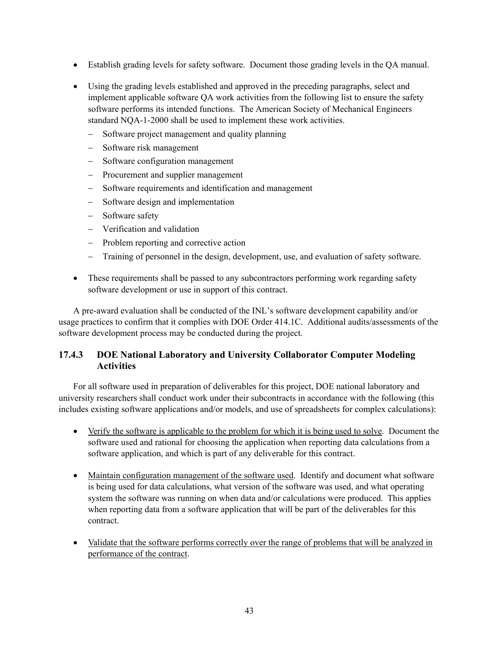- Establish grading levels for safety software. Document those grading levels in the QA manual.
- Using the grading levels established and approved in the preceding paragraphs, select and implement applicable software QA work activities from the following list to ensure the safety software performs its intended functions. The American Society of Mechanical Engineers standard NQA-1-2000 shall be used to implement these work activities.
	- − Software project management and quality planning
	- − Software risk management
	- − Software configuration management
	- − Procurement and supplier management
	- − Software requirements and identification and management
	- − Software design and implementation
	- − Software safety
	- − Verification and validation
	- − Problem reporting and corrective action
	- − Training of personnel in the design, development, use, and evaluation of safety software.
- These requirements shall be passed to any subcontractors performing work regarding safety software development or use in support of this contract.

A pre-award evaluation shall be conducted of the INL's software development capability and/or usage practices to confirm that it complies with DOE Order 414.1C. Additional audits/assessments of the software development process may be conducted during the project.

## **17.4.3 DOE National Laboratory and University Collaborator Computer Modeling Activities**

For all software used in preparation of deliverables for this project, DOE national laboratory and university researchers shall conduct work under their subcontracts in accordance with the following (this includes existing software applications and/or models, and use of spreadsheets for complex calculations):

- Verify the software is applicable to the problem for which it is being used to solve. Document the software used and rational for choosing the application when reporting data calculations from a software application, and which is part of any deliverable for this contract.
- Maintain configuration management of the software used. Identify and document what software is being used for data calculations, what version of the software was used, and what operating system the software was running on when data and/or calculations were produced. This applies when reporting data from a software application that will be part of the deliverables for this contract.
- Validate that the software performs correctly over the range of problems that will be analyzed in performance of the contract.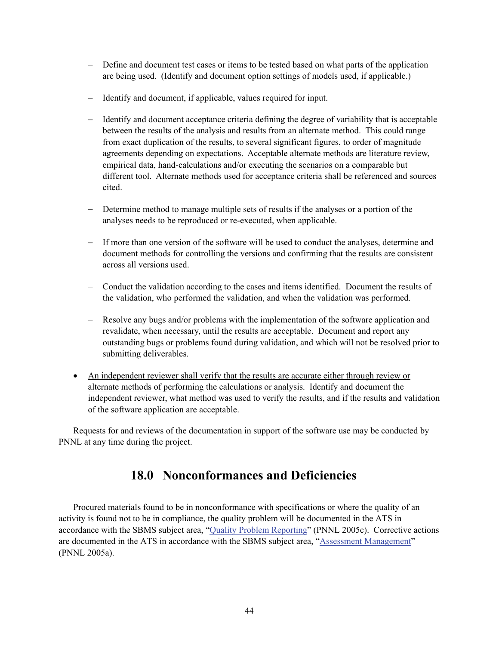- − Define and document test cases or items to be tested based on what parts of the application are being used. (Identify and document option settings of models used, if applicable.)
- − Identify and document, if applicable, values required for input.
- − Identify and document acceptance criteria defining the degree of variability that is acceptable between the results of the analysis and results from an alternate method. This could range from exact duplication of the results, to several significant figures, to order of magnitude agreements depending on expectations. Acceptable alternate methods are literature review, empirical data, hand-calculations and/or executing the scenarios on a comparable but different tool. Alternate methods used for acceptance criteria shall be referenced and sources cited.
- − Determine method to manage multiple sets of results if the analyses or a portion of the analyses needs to be reproduced or re-executed, when applicable.
- − If more than one version of the software will be used to conduct the analyses, determine and document methods for controlling the versions and confirming that the results are consistent across all versions used.
- − Conduct the validation according to the cases and items identified. Document the results of the validation, who performed the validation, and when the validation was performed.
- − Resolve any bugs and/or problems with the implementation of the software application and revalidate, when necessary, until the results are acceptable. Document and report any outstanding bugs or problems found during validation, and which will not be resolved prior to submitting deliverables.
- An independent reviewer shall verify that the results are accurate either through review or alternate methods of performing the calculations or analysis. Identify and document the independent reviewer, what method was used to verify the results, and if the results and validation of the software application are acceptable.

Requests for and reviews of the documentation in support of the software use may be conducted by PNNL at any time during the project.

# **18.0 Nonconformances and Deficiencies**

Procured materials found to be in nonconformance with specifications or where the quality of an activity is found not to be in compliance, the quality problem will be documented in the ATS in accordance with the SBMS subject area, "Quality Problem Reporting" (PNNL 2005c). Corrective actions are documented in the ATS in accordance with the SBMS subject area, "Assessment Management" (PNNL 2005a).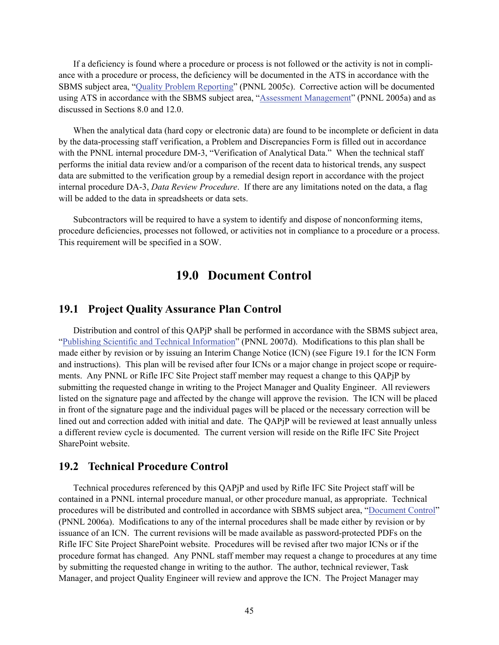If a deficiency is found where a procedure or process is not followed or the activity is not in compliance with a procedure or process, the deficiency will be documented in the ATS in accordance with the SBMS subject area, "Quality Problem Reporting" (PNNL 2005c). Corrective action will be documented using ATS in accordance with the SBMS subject area, "Assessment Management" (PNNL 2005a) and as discussed in Sections 8.0 and 12.0.

When the analytical data (hard copy or electronic data) are found to be incomplete or deficient in data by the data-processing staff verification, a Problem and Discrepancies Form is filled out in accordance with the PNNL internal procedure DM-3, "Verification of Analytical Data." When the technical staff performs the initial data review and/or a comparison of the recent data to historical trends, any suspect data are submitted to the verification group by a remedial design report in accordance with the project internal procedure DA-3, *Data Review Procedure*. If there are any limitations noted on the data, a flag will be added to the data in spreadsheets or data sets.

Subcontractors will be required to have a system to identify and dispose of nonconforming items, procedure deficiencies, processes not followed, or activities not in compliance to a procedure or a process. This requirement will be specified in a SOW.

# **19.0 Document Control**

### **19.1 Project Quality Assurance Plan Control**

Distribution and control of this QAPjP shall be performed in accordance with the SBMS subject area, "Publishing Scientific and Technical Information" (PNNL 2007d). Modifications to this plan shall be made either by revision or by issuing an Interim Change Notice (ICN) (see Figure 19.1 for the ICN Form and instructions). This plan will be revised after four ICNs or a major change in project scope or requirements. Any PNNL or Rifle IFC Site Project staff member may request a change to this QAPjP by submitting the requested change in writing to the Project Manager and Quality Engineer. All reviewers listed on the signature page and affected by the change will approve the revision. The ICN will be placed in front of the signature page and the individual pages will be placed or the necessary correction will be lined out and correction added with initial and date. The QAPjP will be reviewed at least annually unless a different review cycle is documented. The current version will reside on the Rifle IFC Site Project SharePoint website.

### **19.2 Technical Procedure Control**

Technical procedures referenced by this QAPjP and used by Rifle IFC Site Project staff will be contained in a PNNL internal procedure manual, or other procedure manual, as appropriate. Technical procedures will be distributed and controlled in accordance with SBMS subject area, "Document Control" (PNNL 2006a). Modifications to any of the internal procedures shall be made either by revision or by issuance of an ICN. The current revisions will be made available as password-protected PDFs on the Rifle IFC Site Project SharePoint website. Procedures will be revised after two major ICNs or if the procedure format has changed. Any PNNL staff member may request a change to procedures at any time by submitting the requested change in writing to the author. The author, technical reviewer, Task Manager, and project Quality Engineer will review and approve the ICN. The Project Manager may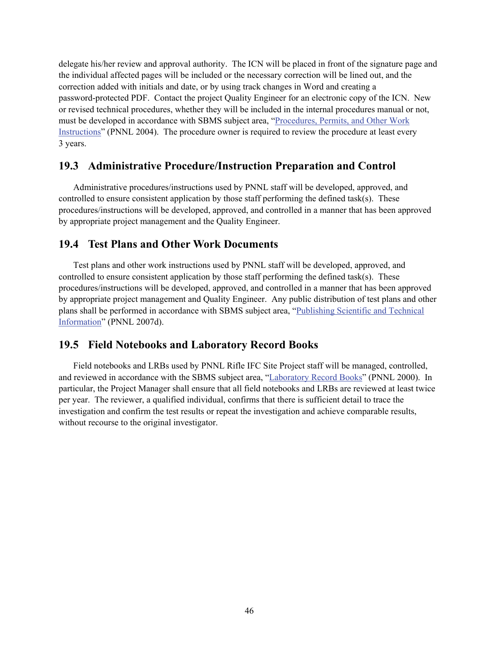delegate his/her review and approval authority. The ICN will be placed in front of the signature page and the individual affected pages will be included or the necessary correction will be lined out, and the correction added with initials and date, or by using track changes in Word and creating a password-protected PDF. Contact the project Quality Engineer for an electronic copy of the ICN. New or revised technical procedures, whether they will be included in the internal procedures manual or not, must be developed in accordance with SBMS subject area, "Procedures, Permits, and Other Work Instructions" (PNNL 2004). The procedure owner is required to review the procedure at least every 3 years.

# **19.3 Administrative Procedure/Instruction Preparation and Control**

Administrative procedures/instructions used by PNNL staff will be developed, approved, and controlled to ensure consistent application by those staff performing the defined task( $s$ ). These procedures/instructions will be developed, approved, and controlled in a manner that has been approved by appropriate project management and the Quality Engineer.

## **19.4 Test Plans and Other Work Documents**

Test plans and other work instructions used by PNNL staff will be developed, approved, and controlled to ensure consistent application by those staff performing the defined task( $s$ ). These procedures/instructions will be developed, approved, and controlled in a manner that has been approved by appropriate project management and Quality Engineer. Any public distribution of test plans and other plans shall be performed in accordance with SBMS subject area, "Publishing Scientific and Technical Information" (PNNL 2007d).

## **19.5 Field Notebooks and Laboratory Record Books**

Field notebooks and LRBs used by PNNL Rifle IFC Site Project staff will be managed, controlled, and reviewed in accordance with the SBMS subject area, "Laboratory Record Books" (PNNL 2000). In particular, the Project Manager shall ensure that all field notebooks and LRBs are reviewed at least twice per year. The reviewer, a qualified individual, confirms that there is sufficient detail to trace the investigation and confirm the test results or repeat the investigation and achieve comparable results, without recourse to the original investigator.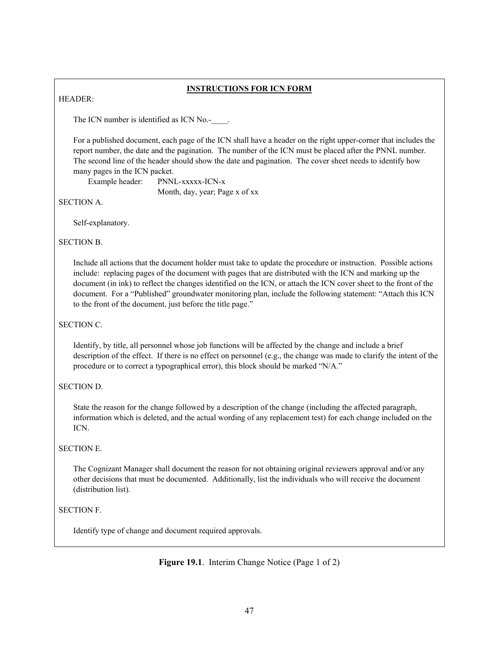#### **INSTRUCTIONS FOR ICN FORM**

HEADER:

The ICN number is identified as ICN No.-  $\qquad$ .

 For a published document, each page of the ICN shall have a header on the right upper-corner that includes the report number, the date and the pagination. The number of the ICN must be placed after the PNNL number. The second line of the header should show the date and pagination. The cover sheet needs to identify how many pages in the ICN packet.

Example header: PNNL-xxxxx-ICN-x

Month, day, year; Page x of xx

SECTION A.

Self-explanatory.

SECTION B.

Include all actions that the document holder must take to update the procedure or instruction. Possible actions include: replacing pages of the document with pages that are distributed with the ICN and marking up the document (in ink) to reflect the changes identified on the ICN, or attach the ICN cover sheet to the front of the document. For a "Published" groundwater monitoring plan, include the following statement: "Attach this ICN to the front of the document, just before the title page."

#### SECTION C.

Identify, by title, all personnel whose job functions will be affected by the change and include a brief description of the effect. If there is no effect on personnel (e.g., the change was made to clarify the intent of the procedure or to correct a typographical error), this block should be marked "N/A."

#### SECTION D.

State the reason for the change followed by a description of the change (including the affected paragraph, information which is deleted, and the actual wording of any replacement test) for each change included on the ICN.

#### SECTION E.

The Cognizant Manager shall document the reason for not obtaining original reviewers approval and/or any other decisions that must be documented. Additionally, list the individuals who will receive the document (distribution list).

### SECTION F.

Identify type of change and document required approvals.

**Figure 19.1**. Interim Change Notice (Page 1 of 2)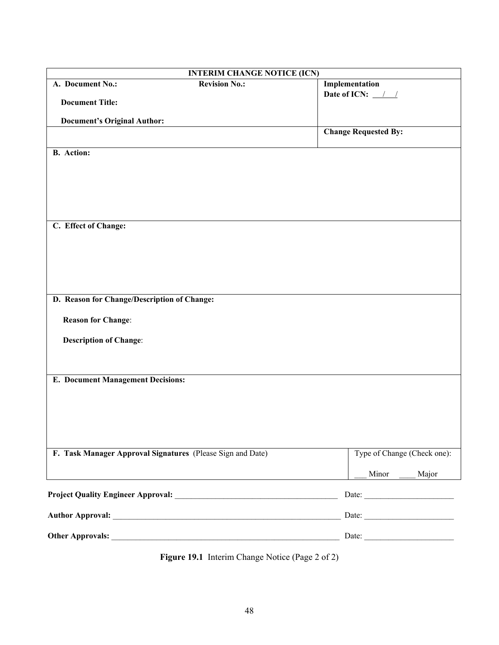| <b>INTERIM CHANGE NOTICE (ICN)</b>                         |                             |  |  |  |
|------------------------------------------------------------|-----------------------------|--|--|--|
| <b>Revision No.:</b><br>A. Document No.:                   | Implementation              |  |  |  |
| <b>Document Title:</b>                                     | Date of ICN: $\frac{1}{2}$  |  |  |  |
|                                                            |                             |  |  |  |
| <b>Document's Original Author:</b>                         | <b>Change Requested By:</b> |  |  |  |
|                                                            |                             |  |  |  |
| <b>B.</b> Action:                                          |                             |  |  |  |
|                                                            |                             |  |  |  |
|                                                            |                             |  |  |  |
|                                                            |                             |  |  |  |
|                                                            |                             |  |  |  |
|                                                            |                             |  |  |  |
| C. Effect of Change:                                       |                             |  |  |  |
|                                                            |                             |  |  |  |
|                                                            |                             |  |  |  |
|                                                            |                             |  |  |  |
|                                                            |                             |  |  |  |
| D. Reason for Change/Description of Change:                |                             |  |  |  |
|                                                            |                             |  |  |  |
| <b>Reason for Change:</b>                                  |                             |  |  |  |
| <b>Description of Change:</b>                              |                             |  |  |  |
|                                                            |                             |  |  |  |
|                                                            |                             |  |  |  |
| <b>E. Document Management Decisions:</b>                   |                             |  |  |  |
|                                                            |                             |  |  |  |
|                                                            |                             |  |  |  |
|                                                            |                             |  |  |  |
|                                                            |                             |  |  |  |
|                                                            |                             |  |  |  |
| F. Task Manager Approval Signatures (Please Sign and Date) | Type of Change (Check one): |  |  |  |
|                                                            | Minor<br>Major              |  |  |  |
|                                                            |                             |  |  |  |
|                                                            |                             |  |  |  |
|                                                            |                             |  |  |  |
|                                                            |                             |  |  |  |
|                                                            |                             |  |  |  |

**Figure 19.1** Interim Change Notice (Page 2 of 2)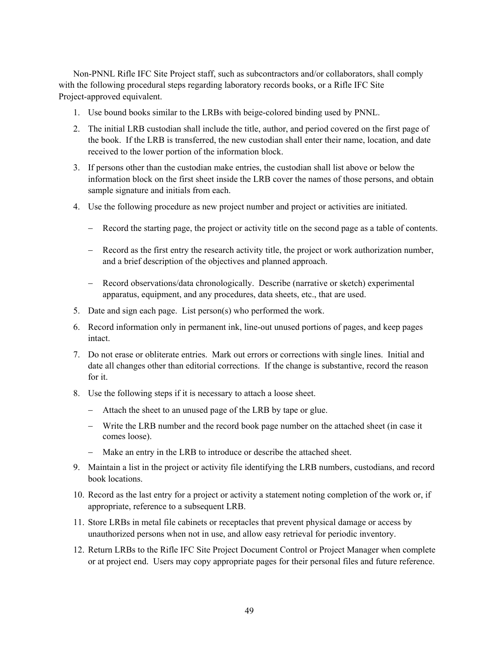Non-PNNL Rifle IFC Site Project staff, such as subcontractors and/or collaborators, shall comply with the following procedural steps regarding laboratory records books, or a Rifle IFC Site Project-approved equivalent.

- 1. Use bound books similar to the LRBs with beige-colored binding used by PNNL.
- 2. The initial LRB custodian shall include the title, author, and period covered on the first page of the book. If the LRB is transferred, the new custodian shall enter their name, location, and date received to the lower portion of the information block.
- 3. If persons other than the custodian make entries, the custodian shall list above or below the information block on the first sheet inside the LRB cover the names of those persons, and obtain sample signature and initials from each.
- 4. Use the following procedure as new project number and project or activities are initiated.
	- − Record the starting page, the project or activity title on the second page as a table of contents.
	- − Record as the first entry the research activity title, the project or work authorization number, and a brief description of the objectives and planned approach.
	- − Record observations/data chronologically. Describe (narrative or sketch) experimental apparatus, equipment, and any procedures, data sheets, etc., that are used.
- 5. Date and sign each page. List person(s) who performed the work.
- 6. Record information only in permanent ink, line-out unused portions of pages, and keep pages intact.
- 7. Do not erase or obliterate entries. Mark out errors or corrections with single lines. Initial and date all changes other than editorial corrections. If the change is substantive, record the reason for it.
- 8. Use the following steps if it is necessary to attach a loose sheet.
	- − Attach the sheet to an unused page of the LRB by tape or glue.
	- − Write the LRB number and the record book page number on the attached sheet (in case it comes loose).
	- − Make an entry in the LRB to introduce or describe the attached sheet.
- 9. Maintain a list in the project or activity file identifying the LRB numbers, custodians, and record book locations.
- 10. Record as the last entry for a project or activity a statement noting completion of the work or, if appropriate, reference to a subsequent LRB.
- 11. Store LRBs in metal file cabinets or receptacles that prevent physical damage or access by unauthorized persons when not in use, and allow easy retrieval for periodic inventory.
- 12. Return LRBs to the Rifle IFC Site Project Document Control or Project Manager when complete or at project end. Users may copy appropriate pages for their personal files and future reference.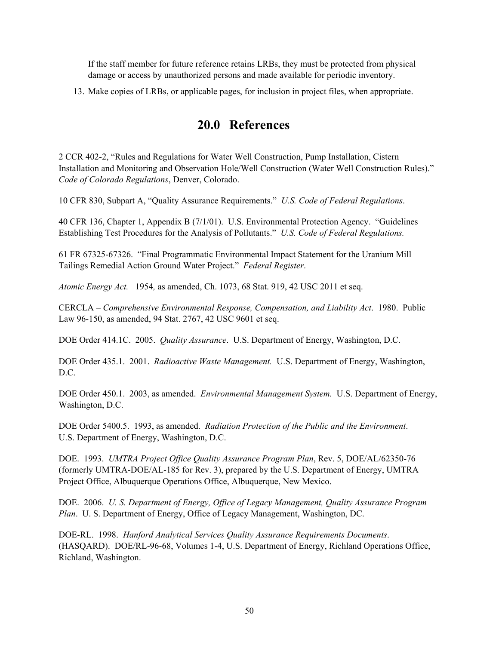If the staff member for future reference retains LRBs, they must be protected from physical damage or access by unauthorized persons and made available for periodic inventory.

13. Make copies of LRBs, or applicable pages, for inclusion in project files, when appropriate.

# **20.0 References**

2 CCR 402-2, "Rules and Regulations for Water Well Construction, Pump Installation, Cistern Installation and Monitoring and Observation Hole/Well Construction (Water Well Construction Rules)." *Code of Colorado Regulations*, Denver, Colorado.

10 CFR 830, Subpart A, "Quality Assurance Requirements." *U.S. Code of Federal Regulations*.

40 CFR 136, Chapter 1, Appendix B (7/1/01). U.S. Environmental Protection Agency. "Guidelines Establishing Test Procedures for the Analysis of Pollutants." *U.S. Code of Federal Regulations.*

61 FR 67325-67326. "Final Programmatic Environmental Impact Statement for the Uranium Mill Tailings Remedial Action Ground Water Project." *Federal Register*.

*Atomic Energy Act.* 1954*,* as amended, Ch. 1073, 68 Stat. 919, 42 USC 2011 et seq.

CERCLA – *Comprehensive Environmental Response, Compensation, and Liability Act*. 1980. Public Law 96-150, as amended, 94 Stat. 2767, 42 USC 9601 et seq.

DOE Order 414.1C. 2005. *Quality Assurance*. U.S. Department of Energy, Washington, D.C.

DOE Order 435.1. 2001. *Radioactive Waste Management.* U.S. Department of Energy, Washington, D.C.

DOE Order 450.1. 2003, as amended. *Environmental Management System.* U.S. Department of Energy, Washington, D.C.

DOE Order 5400.5. 1993, as amended. *Radiation Protection of the Public and the Environment*. U.S. Department of Energy, Washington, D.C.

DOE. 1993. *UMTRA Project Office Quality Assurance Program Plan*, Rev. 5, DOE/AL/62350-76 (formerly UMTRA-DOE/AL-185 for Rev. 3), prepared by the U.S. Department of Energy, UMTRA Project Office, Albuquerque Operations Office, Albuquerque, New Mexico.

DOE. 2006. *U. S. Department of Energy, Office of Legacy Management, Quality Assurance Program Plan*. U. S. Department of Energy, Office of Legacy Management, Washington, DC.

DOE-RL. 1998. *Hanford Analytical Services Quality Assurance Requirements Documents*. (HASQARD). DOE/RL-96-68, Volumes 1-4, U.S. Department of Energy, Richland Operations Office, Richland, Washington.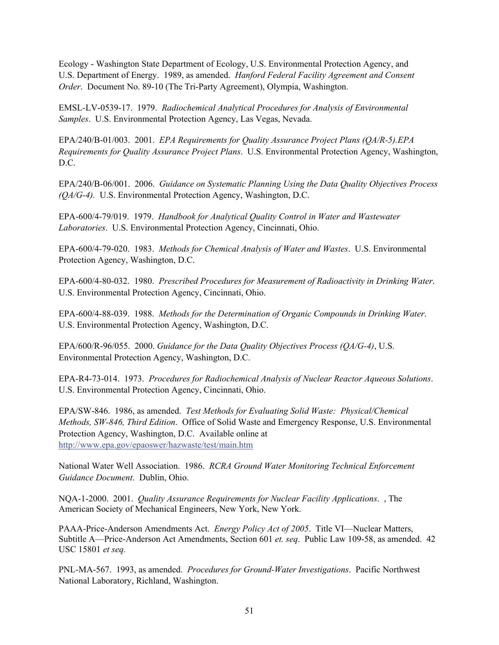Ecology - Washington State Department of Ecology, U.S. Environmental Protection Agency, and U.S. Department of Energy. 1989, as amended. *Hanford Federal Facility Agreement and Consent Order*. Document No. 89-10 (The Tri-Party Agreement), Olympia, Washington.

EMSL-LV-0539-17. 1979. *Radiochemical Analytical Procedures for Analysis of Environmental Samples*. U.S. Environmental Protection Agency, Las Vegas, Nevada.

EPA/240/B-01/003. 2001. *EPA Requirements for Quality Assurance Project Plans (QA/R-5).EPA Requirements for Quality Assurance Project Plans*. U.S. Environmental Protection Agency, Washington, D.C.

EPA/240/B-06/001. 2006. *Guidance on Systematic Planning Using the Data Quality Objectives Process (QA/G-4).* U.S. Environmental Protection Agency, Washington, D.C.

EPA-600/4-79/019. 1979. *Handbook for Analytical Quality Control in Water and Wastewater Laboratories*. U.S. Environmental Protection Agency, Cincinnati, Ohio.

EPA-600/4-79-020. 1983. *Methods for Chemical Analysis of Water and Wastes*. U.S. Environmental Protection Agency, Washington, D.C.

EPA-600/4-80-032. 1980. *Prescribed Procedures for Measurement of Radioactivity in Drinking Water*. U.S. Environmental Protection Agency, Cincinnati, Ohio.

EPA-600/4-88-039. 1988. *Methods for the Determination of Organic Compounds in Drinking Water*. U.S. Environmental Protection Agency, Washington, D.C.

EPA/600/R-96/055. 2000. *Guidance for the Data Quality Objectives Process (QA/G-4)*, U.S. Environmental Protection Agency, Washington, D.C.

EPA-R4-73-014. 1973. *Procedures for Radiochemical Analysis of Nuclear Reactor Aqueous Solutions*. U.S. Environmental Protection Agency, Cincinnati, Ohio.

EPA/SW-846. 1986, as amended. *Test Methods for Evaluating Solid Waste: Physical/Chemical Methods, SW-846, Third Edition*. Office of Solid Waste and Emergency Response, U.S. Environmental Protection Agency, Washington, D.C. Available online at http://www.epa.gov/epaoswer/hazwaste/test/main.htm

National Water Well Association. 1986. *RCRA Ground Water Monitoring Technical Enforcement Guidance Document*. Dublin, Ohio.

NQA-1-2000. 2001. *Quality Assurance Requirements for Nuclear Facility Applications*. , The American Society of Mechanical Engineers, New York, New York.

PAAA-Price-Anderson Amendments Act. *Energy Policy Act of 2005*. Title VI—Nuclear Matters, Subtitle A—Price-Anderson Act Amendments, Section 601 *et. seq*. Public Law 109-58, as amended. 42 USC 15801 *et seq.*

PNL-MA-567. 1993, as amended. *Procedures for Ground-Water Investigations*. Pacific Northwest National Laboratory, Richland, Washington.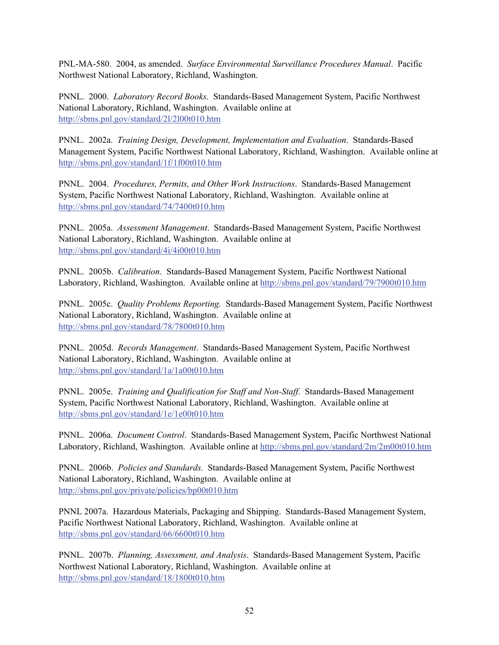PNL-MA-580. 2004, as amended. *Surface Environmental Surveillance Procedures Manual*. Pacific Northwest National Laboratory, Richland, Washington.

PNNL. 2000. *Laboratory Record Books*. Standards-Based Management System, Pacific Northwest National Laboratory, Richland, Washington. Available online at http://sbms.pnl.gov/standard/2l/2l00t010.htm

PNNL. 2002a. *Training Design, Development, Implementation and Evaluation*. Standards-Based Management System, Pacific Northwest National Laboratory, Richland, Washington. Available online at http://sbms.pnl.gov/standard/1f/1f00t010.htm

PNNL. 2004. *Procedures, Permits, and Other Work Instructions*. Standards-Based Management System, Pacific Northwest National Laboratory, Richland, Washington. Available online at http://sbms.pnl.gov/standard/74/7400t010.htm

PNNL. 2005a. *Assessment Management*. Standards-Based Management System, Pacific Northwest National Laboratory, Richland, Washington. Available online at http://sbms.pnl.gov/standard/4i/4i00t010.htm

PNNL. 2005b. *Calibration*. Standards-Based Management System, Pacific Northwest National Laboratory, Richland, Washington. Available online at http://sbms.pnl.gov/standard/79/7900t010.htm

PNNL. 2005c. *Quality Problems Reporting.* Standards-Based Management System, Pacific Northwest National Laboratory, Richland, Washington. Available online at http://sbms.pnl.gov/standard/78/7800t010.htm

PNNL. 2005d. *Records Management*. Standards-Based Management System, Pacific Northwest National Laboratory, Richland, Washington. Available online at http://sbms.pnl.gov/standard/1a/1a00t010.htm

PNNL. 2005e. *Training and Qualification for Staff and Non-Staff*. Standards-Based Management System, Pacific Northwest National Laboratory, Richland, Washington. Available online at http://sbms.pnl.gov/standard/1e/1e00t010.htm

PNNL. 2006a. *Document Control*. Standards-Based Management System, Pacific Northwest National Laboratory, Richland, Washington. Available online at http://sbms.pnl.gov/standard/2m/2m00t010.htm

PNNL. 2006b. *Policies and Standards.* Standards-Based Management System, Pacific Northwest National Laboratory, Richland, Washington. Available online at http://sbms.pnl.gov/private/policies/bp00t010.htm

PNNL 2007a. Hazardous Materials, Packaging and Shipping. Standards-Based Management System, Pacific Northwest National Laboratory, Richland, Washington. Available online at http://sbms.pnl.gov/standard/66/6600t010.htm

PNNL. 2007b. *Planning, Assessment, and Analysis*. Standards-Based Management System, Pacific Northwest National Laboratory, Richland, Washington. Available online at http://sbms.pnl.gov/standard/18/1800t010.htm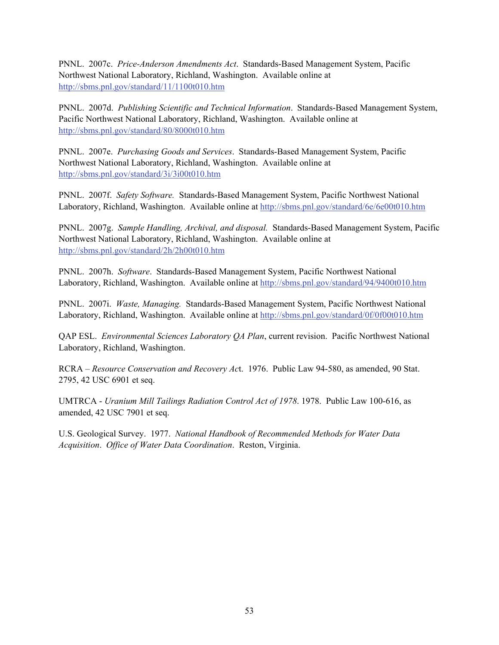PNNL. 2007c. *Price-Anderson Amendments Act*. Standards-Based Management System, Pacific Northwest National Laboratory, Richland, Washington. Available online at http://sbms.pnl.gov/standard/11/1100t010.htm

PNNL. 2007d. *Publishing Scientific and Technical Information*. Standards-Based Management System, Pacific Northwest National Laboratory, Richland, Washington. Available online at http://sbms.pnl.gov/standard/80/8000t010.htm

PNNL. 2007e. *Purchasing Goods and Services*. Standards-Based Management System, Pacific Northwest National Laboratory, Richland, Washington. Available online at http://sbms.pnl.gov/standard/3i/3i00t010.htm

PNNL. 2007f. *Safety Software.* Standards-Based Management System, Pacific Northwest National Laboratory, Richland, Washington. Available online at http://sbms.pnl.gov/standard/6e/6e00t010.htm

PNNL. 2007g. *Sample Handling, Archival, and disposal.* Standards-Based Management System, Pacific Northwest National Laboratory, Richland, Washington. Available online at http://sbms.pnl.gov/standard/2h/2h00t010.htm

PNNL. 2007h. *Software*. Standards-Based Management System, Pacific Northwest National Laboratory, Richland, Washington. Available online at http://sbms.pnl.gov/standard/94/9400t010.htm

PNNL. 2007i. *Waste, Managing.* Standards-Based Management System, Pacific Northwest National Laboratory, Richland, Washington. Available online at http://sbms.pnl.gov/standard/0f/0f00t010.htm

QAP ESL. *Environmental Sciences Laboratory QA Plan*, current revision. Pacific Northwest National Laboratory, Richland, Washington.

RCRA – *Resource Conservation and Recovery Ac*t. 1976. Public Law 94-580, as amended, 90 Stat. 2795, 42 USC 6901 et seq.

UMTRCA - *Uranium Mill Tailings Radiation Control Act of 1978*. 1978. Public Law 100-616, as amended, 42 USC 7901 et seq.

U.S. Geological Survey. 1977. *National Handbook of Recommended Methods for Water Data Acquisition*. *Office of Water Data Coordination*. Reston, Virginia.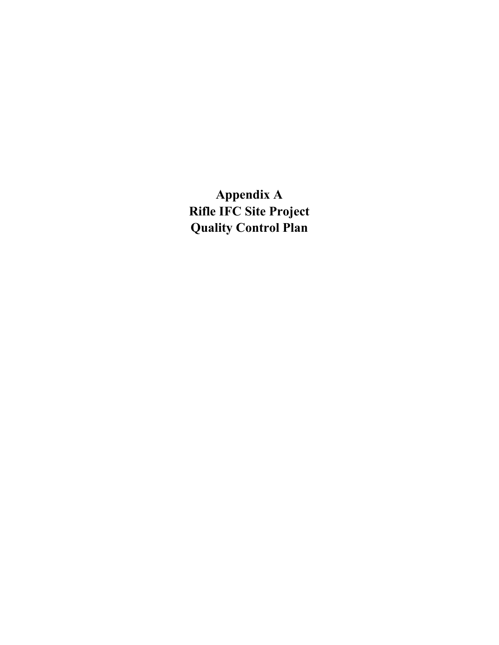**Appendix A Rifle IFC Site Project Quality Control Plan**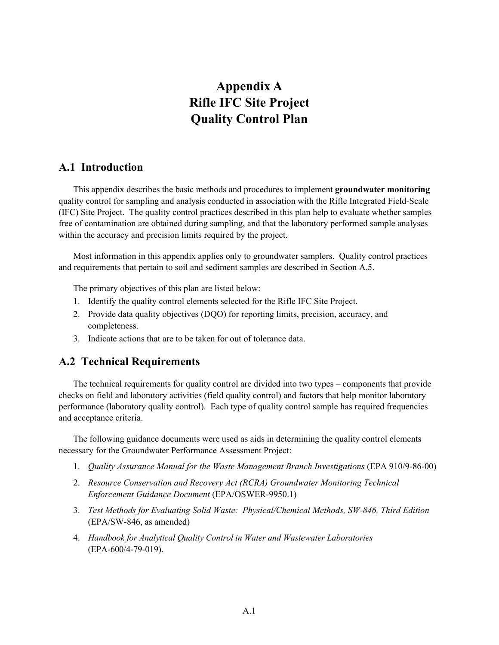# **Appendix A Rifle IFC Site Project Quality Control Plan**

# **A.1 Introduction**

 This appendix describes the basic methods and procedures to implement **groundwater monitoring** quality control for sampling and analysis conducted in association with the Rifle Integrated Field-Scale (IFC) Site Project. The quality control practices described in this plan help to evaluate whether samples free of contamination are obtained during sampling, and that the laboratory performed sample analyses within the accuracy and precision limits required by the project.

 Most information in this appendix applies only to groundwater samplers. Quality control practices and requirements that pertain to soil and sediment samples are described in Section A.5.

The primary objectives of this plan are listed below:

- 1. Identify the quality control elements selected for the Rifle IFC Site Project.
- 2. Provide data quality objectives (DQO) for reporting limits, precision, accuracy, and completeness.
- 3. Indicate actions that are to be taken for out of tolerance data.

# **A.2 Technical Requirements**

 The technical requirements for quality control are divided into two types – components that provide checks on field and laboratory activities (field quality control) and factors that help monitor laboratory performance (laboratory quality control). Each type of quality control sample has required frequencies and acceptance criteria.

 The following guidance documents were used as aids in determining the quality control elements necessary for the Groundwater Performance Assessment Project:

- 1. *Quality Assurance Manual for the Waste Management Branch Investigations* (EPA 910/9-86-00)
- 2. *Resource Conservation and Recovery Act (RCRA) Groundwater Monitoring Technical Enforcement Guidance Document* (EPA/OSWER-9950.1)
- 3. *Test Methods for Evaluating Solid Waste: Physical/Chemical Methods, SW-846, Third Edition* (EPA/SW-846, as amended)
- 4. *Handbook for Analytical Quality Control in Water and Wastewater Laboratories* (EPA-600/4-79-019).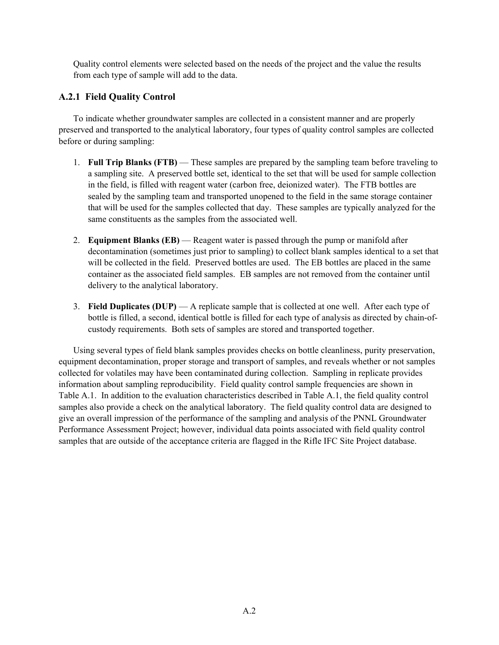Quality control elements were selected based on the needs of the project and the value the results from each type of sample will add to the data.

## **A.2.1 Field Quality Control**

 To indicate whether groundwater samples are collected in a consistent manner and are properly preserved and transported to the analytical laboratory, four types of quality control samples are collected before or during sampling:

- 1. **Full Trip Blanks (FTB)** These samples are prepared by the sampling team before traveling to a sampling site. A preserved bottle set, identical to the set that will be used for sample collection in the field, is filled with reagent water (carbon free, deionized water). The FTB bottles are sealed by the sampling team and transported unopened to the field in the same storage container that will be used for the samples collected that day. These samples are typically analyzed for the same constituents as the samples from the associated well.
- 2. **Equipment Blanks (EB)** Reagent water is passed through the pump or manifold after decontamination (sometimes just prior to sampling) to collect blank samples identical to a set that will be collected in the field. Preserved bottles are used. The EB bottles are placed in the same container as the associated field samples. EB samples are not removed from the container until delivery to the analytical laboratory.
- 3. **Field Duplicates (DUP)** A replicate sample that is collected at one well. After each type of bottle is filled, a second, identical bottle is filled for each type of analysis as directed by chain-ofcustody requirements. Both sets of samples are stored and transported together.

 Using several types of field blank samples provides checks on bottle cleanliness, purity preservation, equipment decontamination, proper storage and transport of samples, and reveals whether or not samples collected for volatiles may have been contaminated during collection. Sampling in replicate provides information about sampling reproducibility. Field quality control sample frequencies are shown in Table A.1. In addition to the evaluation characteristics described in Table A.1, the field quality control samples also provide a check on the analytical laboratory. The field quality control data are designed to give an overall impression of the performance of the sampling and analysis of the PNNL Groundwater Performance Assessment Project; however, individual data points associated with field quality control samples that are outside of the acceptance criteria are flagged in the Rifle IFC Site Project database.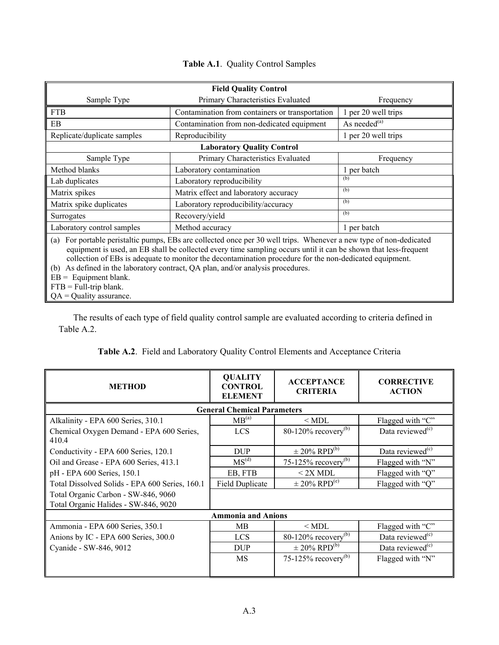| <b>Field Quality Control</b>                                                                                                                                                                                                                                                                                                                                                                                                                                                                                               |                                                 |                     |  |  |  |
|----------------------------------------------------------------------------------------------------------------------------------------------------------------------------------------------------------------------------------------------------------------------------------------------------------------------------------------------------------------------------------------------------------------------------------------------------------------------------------------------------------------------------|-------------------------------------------------|---------------------|--|--|--|
| Sample Type                                                                                                                                                                                                                                                                                                                                                                                                                                                                                                                | Primary Characteristics Evaluated               |                     |  |  |  |
| <b>FTB</b>                                                                                                                                                                                                                                                                                                                                                                                                                                                                                                                 | Contamination from containers or transportation | 1 per 20 well trips |  |  |  |
| EB                                                                                                                                                                                                                                                                                                                                                                                                                                                                                                                         | Contamination from non-dedicated equipment      | As needed $^{(a)}$  |  |  |  |
| Replicate/duplicate samples                                                                                                                                                                                                                                                                                                                                                                                                                                                                                                | Reproducibility                                 | 1 per 20 well trips |  |  |  |
|                                                                                                                                                                                                                                                                                                                                                                                                                                                                                                                            | <b>Laboratory Quality Control</b>               |                     |  |  |  |
| Sample Type                                                                                                                                                                                                                                                                                                                                                                                                                                                                                                                | Primary Characteristics Evaluated               | Frequency           |  |  |  |
| Method blanks                                                                                                                                                                                                                                                                                                                                                                                                                                                                                                              | Laboratory contamination                        | 1 per batch         |  |  |  |
| Lab duplicates                                                                                                                                                                                                                                                                                                                                                                                                                                                                                                             | Laboratory reproducibility                      |                     |  |  |  |
| Matrix spikes                                                                                                                                                                                                                                                                                                                                                                                                                                                                                                              | Matrix effect and laboratory accuracy           | (b)                 |  |  |  |
| Matrix spike duplicates                                                                                                                                                                                                                                                                                                                                                                                                                                                                                                    | Laboratory reproducibility/accuracy             | (b)                 |  |  |  |
| Surrogates                                                                                                                                                                                                                                                                                                                                                                                                                                                                                                                 | Recovery/yield                                  | (b)                 |  |  |  |
| Laboratory control samples                                                                                                                                                                                                                                                                                                                                                                                                                                                                                                 | Method accuracy                                 | 1 per batch         |  |  |  |
| (a) For portable peristaltic pumps, EBs are collected once per 30 well trips. Whenever a new type of non-dedicated<br>equipment is used, an EB shall be collected every time sampling occurs until it can be shown that less-frequent<br>collection of EBs is adequate to monitor the decontamination procedure for the non-dedicated equipment.<br>As defined in the laboratory contract, QA plan, and/or analysis procedures.<br>(b)<br>$EB =$ Equipment blank.<br>$FTB = Full-trip blank.$<br>$QA = Quality$ assurance. |                                                 |                     |  |  |  |

#### **Table A.1**. Quality Control Samples

 The results of each type of field quality control sample are evaluated according to criteria defined in Table A.2.

| <b>METHOD</b>                                     | <b>QUALITY</b><br><b>CONTROL</b><br><b>ELEMENT</b> | <b>ACCEPTANCE</b><br><b>CRITERIA</b> | <b>CORRECTIVE</b><br><b>ACTION</b> |
|---------------------------------------------------|----------------------------------------------------|--------------------------------------|------------------------------------|
|                                                   | <b>General Chemical Parameters</b>                 |                                      |                                    |
| Alkalinity - EPA 600 Series, 310.1                | MB <sup>(a)</sup>                                  | $<$ MDL                              | Flagged with "C"                   |
| Chemical Oxygen Demand - EPA 600 Series,<br>410.4 | <b>LCS</b>                                         | $80-120\%$ recovery <sup>(b)</sup>   | Data reviewed <sup>(c)</sup>       |
| Conductivity - EPA 600 Series, 120.1              | <b>DUP</b>                                         | $\pm$ 20% RPD <sup>(b)</sup>         | Data reviewed $(c)$                |
| Oil and Grease - EPA 600 Series, 413.1            | MS <sup>(d)</sup>                                  | 75-125% recovery $(b)$               | Flagged with "N"                   |
| pH - EPA 600 Series, 150.1                        | EB, FTB                                            | $<$ 2X MDL                           | Flagged with "Q"                   |
| Total Dissolved Solids - EPA 600 Series, 160.1    | <b>Field Duplicate</b>                             | $\pm$ 20% RPD <sup>(e)</sup>         | Flagged with "Q"                   |
| Total Organic Carbon - SW-846, 9060               |                                                    |                                      |                                    |
| Total Organic Halides - SW-846, 9020              |                                                    |                                      |                                    |
|                                                   | <b>Ammonia and Anions</b>                          |                                      |                                    |
| Ammonia - EPA 600 Series, 350.1                   | MВ                                                 | $<$ MDL                              | Flagged with "C"                   |
| Anions by IC - EPA 600 Series, 300.0              | <b>LCS</b>                                         | $80-120\%$ recovery <sup>(b)</sup>   | Data reviewed <sup>(c)</sup>       |
| Cyanide - SW-846, 9012                            | <b>DUP</b>                                         | $\pm$ 20% RPD <sup>(b)</sup>         | Data reviewed <sup>(c)</sup>       |
|                                                   | MS                                                 | 75-125% recovery $^{(b)}$            | Flagged with "N"                   |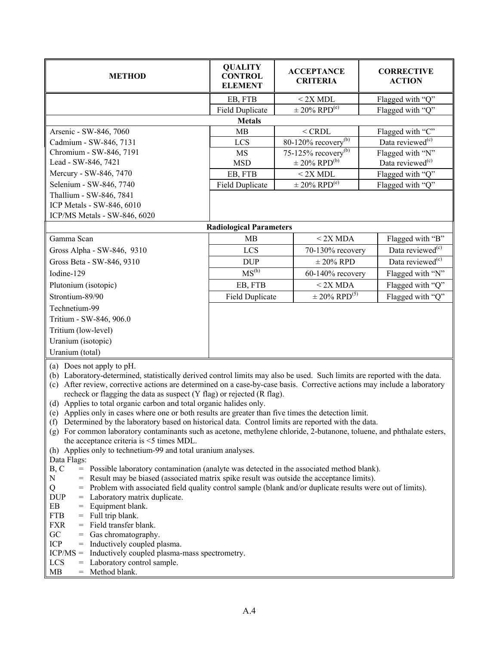| <b>METHOD</b>                                                                                                                                                                                         | <b>QUALITY</b><br><b>CONTROL</b><br><b>ELEMENT</b> | <b>ACCEPTANCE</b><br><b>CRITERIA</b>     | <b>CORRECTIVE</b><br><b>ACTION</b> |  |  |
|-------------------------------------------------------------------------------------------------------------------------------------------------------------------------------------------------------|----------------------------------------------------|------------------------------------------|------------------------------------|--|--|
|                                                                                                                                                                                                       | EB, FTB                                            | < 2X MDL                                 | Flagged with "Q"                   |  |  |
|                                                                                                                                                                                                       | <b>Field Duplicate</b>                             | $\pm$ 20% RPD <sup>(e)</sup>             | Flagged with "Q"                   |  |  |
|                                                                                                                                                                                                       | <b>Metals</b>                                      |                                          |                                    |  |  |
| Arsenic - SW-846, 7060                                                                                                                                                                                | MB                                                 | $<$ CRDL                                 | Flagged with "C"                   |  |  |
| Cadmium - SW-846, 7131                                                                                                                                                                                | <b>LCS</b>                                         | 80-120% recovery $\sqrt[3]{\phantom{.}}$ | Data reviewed <sup>(c)</sup>       |  |  |
| Chromium - SW-846, 7191                                                                                                                                                                               | <b>MS</b>                                          | 75-125% recovery $^{(b)}$                | Flagged with "N"                   |  |  |
| Lead - SW-846, 7421                                                                                                                                                                                   | <b>MSD</b>                                         | $\pm$ 20% RPD <sup>(b)</sup>             | Data reviewed $(c)$                |  |  |
| Mercury - SW-846, 7470                                                                                                                                                                                | EB, FTB                                            | < 2X MDL                                 | Flagged with "Q"                   |  |  |
| Selenium - SW-846, 7740                                                                                                                                                                               | <b>Field Duplicate</b>                             | $\pm$ 20% RPD <sup>(e)</sup>             | Flagged with "Q"                   |  |  |
| Thallium - SW-846, 7841                                                                                                                                                                               |                                                    |                                          |                                    |  |  |
| ICP Metals - SW-846, 6010                                                                                                                                                                             |                                                    |                                          |                                    |  |  |
| ICP/MS Metals - SW-846, 6020                                                                                                                                                                          |                                                    |                                          |                                    |  |  |
|                                                                                                                                                                                                       | <b>Radiological Parameters</b>                     |                                          |                                    |  |  |
| Gamma Scan                                                                                                                                                                                            | MB                                                 | $< 2X$ MDA                               | Flagged with "B"                   |  |  |
| Gross Alpha - SW-846, 9310                                                                                                                                                                            | LCS                                                | 70-130% recovery                         | Data reviewed <sup>(c)</sup>       |  |  |
| Gross Beta - SW-846, 9310                                                                                                                                                                             | <b>DUP</b>                                         | $\pm$ 20% RPD                            | Data reviewed <sup>(c)</sup>       |  |  |
| Iodine-129                                                                                                                                                                                            | MS <sup>(h)</sup>                                  | 60-140% recovery                         | Flagged with "N"                   |  |  |
| Plutonium (isotopic)                                                                                                                                                                                  | EB, FTB                                            | $< 2X$ MDA                               | Flagged with "Q"                   |  |  |
| Strontium-89/90                                                                                                                                                                                       | <b>Field Duplicate</b>                             | $\pm$ 20% RPD <sup>(5)</sup>             | Flagged with "Q"                   |  |  |
| Technetium-99                                                                                                                                                                                         |                                                    |                                          |                                    |  |  |
| Tritium - SW-846, 906.0                                                                                                                                                                               |                                                    |                                          |                                    |  |  |
| Tritium (low-level)                                                                                                                                                                                   |                                                    |                                          |                                    |  |  |
|                                                                                                                                                                                                       |                                                    |                                          |                                    |  |  |
| Uranium (isotopic)                                                                                                                                                                                    |                                                    |                                          |                                    |  |  |
| Uranium (total)                                                                                                                                                                                       |                                                    |                                          |                                    |  |  |
| (a) Does not apply to pH.                                                                                                                                                                             |                                                    |                                          |                                    |  |  |
| (b) Laboratory-determined, statistically derived control limits may also be used. Such limits are reported with the data.                                                                             |                                                    |                                          |                                    |  |  |
| After review, corrective actions are determined on a case-by-case basis. Corrective actions may include a laboratory<br>(c)<br>recheck or flagging the data as suspect (Y flag) or rejected (R flag). |                                                    |                                          |                                    |  |  |
| (d) Applies to total organic carbon and total organic halides only.                                                                                                                                   |                                                    |                                          |                                    |  |  |
| (e) Applies only in cases where one or both results are greater than five times the detection limit.                                                                                                  |                                                    |                                          |                                    |  |  |
| (f) Determined by the laboratory based on historical data. Control limits are reported with the data.                                                                                                 |                                                    |                                          |                                    |  |  |
| (g) For common laboratory contaminants such as acetone, methylene chloride, 2-butanone, toluene, and phthalate esters,                                                                                |                                                    |                                          |                                    |  |  |
| the acceptance criteria is $\leq$ 5 times MDL.                                                                                                                                                        |                                                    |                                          |                                    |  |  |
| (h) Applies only to technetium-99 and total uranium analyses.                                                                                                                                         |                                                    |                                          |                                    |  |  |
| Data Flags:<br>B, C<br>= Possible laboratory contamination (analyte was detected in the associated method blank).                                                                                     |                                                    |                                          |                                    |  |  |
| ${\bf N}$<br>= Result may be biased (associated matrix spike result was outside the acceptance limits).                                                                                               |                                                    |                                          |                                    |  |  |
| Q                                                                                                                                                                                                     |                                                    |                                          |                                    |  |  |
| = Problem with associated field quality control sample (blank and/or duplicate results were out of limits).<br><b>DUP</b><br>= Laboratory matrix duplicate.                                           |                                                    |                                          |                                    |  |  |
| EB<br>Equipment blank.<br>$=$                                                                                                                                                                         |                                                    |                                          |                                    |  |  |
| <b>FTB</b><br>$=$ Full trip blank.                                                                                                                                                                    |                                                    |                                          |                                    |  |  |
|                                                                                                                                                                                                       | = Field transfer blank.<br><b>FXR</b>              |                                          |                                    |  |  |
| GC<br>= Gas chromatography.                                                                                                                                                                           |                                                    |                                          |                                    |  |  |
| ICP<br>= Inductively coupled plasma.<br>$ICP/MS =$<br>Inductively coupled plasma-mass spectrometry.                                                                                                   |                                                    |                                          |                                    |  |  |
| LCS<br>Laboratory control sample.<br>=                                                                                                                                                                |                                                    |                                          |                                    |  |  |

 $MB = Method blank.$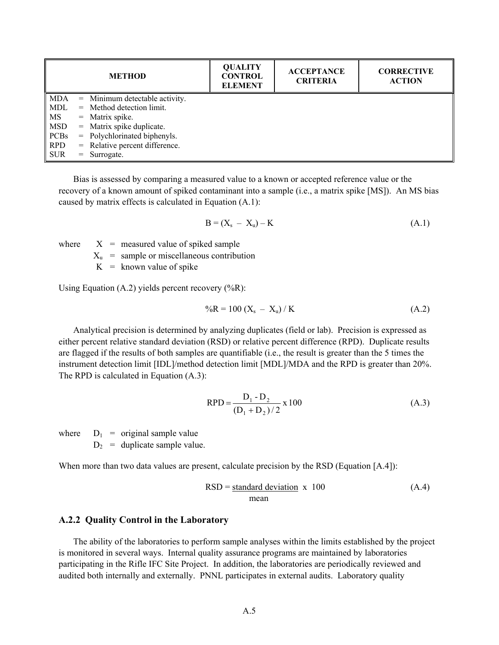|             | <b>METHOD</b>                    | <b>QUALITY</b><br><b>CONTROL</b><br><b>ELEMENT</b> | <b>ACCEPTANCE</b><br><b>CRITERIA</b> | <b>CORRECTIVE</b><br><b>ACTION</b> |
|-------------|----------------------------------|----------------------------------------------------|--------------------------------------|------------------------------------|
| <b>MDA</b>  | $=$ Minimum detectable activity. |                                                    |                                      |                                    |
| MDL         | $=$ Method detection limit.      |                                                    |                                      |                                    |
| MS          | $=$ Matrix spike.                |                                                    |                                      |                                    |
| MSD         | $=$ Matrix spike duplicate.      |                                                    |                                      |                                    |
| <b>PCBs</b> | $=$ Polychlorinated biphenyls.   |                                                    |                                      |                                    |
| <b>RPD</b>  | $=$ Relative percent difference. |                                                    |                                      |                                    |
| <b>SUR</b>  | $=$ Surrogate.                   |                                                    |                                      |                                    |

 Bias is assessed by comparing a measured value to a known or accepted reference value or the recovery of a known amount of spiked contaminant into a sample (i.e., a matrix spike [MS]). An MS bias caused by matrix effects is calculated in Equation (A.1):

$$
\mathbf{B} = (\mathbf{X}_s - \mathbf{X}_u) - \mathbf{K} \tag{A.1}
$$

where  $X =$  measured value of spiked sample

 $X<sub>u</sub>$  = sample or miscellaneous contribution

 $K =$  known value of spike

Using Equation  $(A.2)$  yields percent recovery  $(\%R)$ :

$$
{}^{0}\!\!/\alpha\mathbf{R} = 100\left(\mathbf{X}_s - \mathbf{X}_u\right) / \mathbf{K} \tag{A.2}
$$

 Analytical precision is determined by analyzing duplicates (field or lab). Precision is expressed as either percent relative standard deviation (RSD) or relative percent difference (RPD). Duplicate results are flagged if the results of both samples are quantifiable (i.e., the result is greater than the 5 times the instrument detection limit [IDL]/method detection limit [MDL]/MDA and the RPD is greater than 20%. The RPD is calculated in Equation (A.3):

$$
RPD = \frac{D_1 - D_2}{(D_1 + D_2)/2} \times 100
$$
 (A.3)

where  $D_1$  = original sample value  $D_2$  = duplicate sample value.

When more than two data values are present, calculate precision by the RSD (Equation [A.4]):

$$
RSD = \frac{\text{standard deviation}}{\text{mean}} \times 100 \tag{A.4}
$$

#### **A.2.2 Quality Control in the Laboratory**

 The ability of the laboratories to perform sample analyses within the limits established by the project is monitored in several ways. Internal quality assurance programs are maintained by laboratories participating in the Rifle IFC Site Project. In addition, the laboratories are periodically reviewed and audited both internally and externally. PNNL participates in external audits. Laboratory quality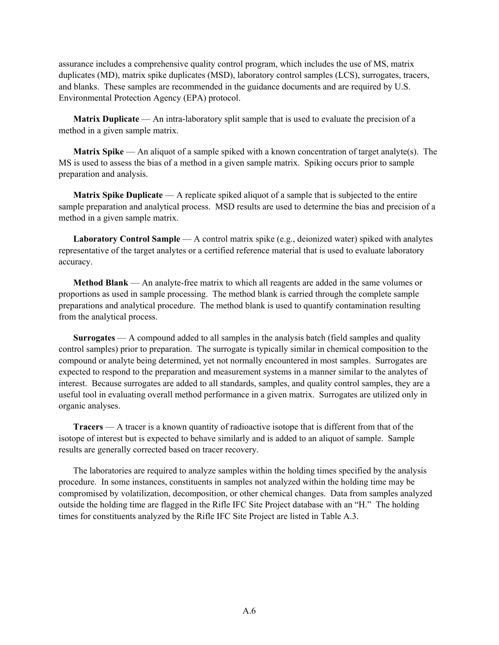assurance includes a comprehensive quality control program, which includes the use of MS, matrix duplicates (MD), matrix spike duplicates (MSD), laboratory control samples (LCS), surrogates, tracers, and blanks. These samples are recommended in the guidance documents and are required by U.S. Environmental Protection Agency (EPA) protocol.

 **Matrix Duplicate** — An intra-laboratory split sample that is used to evaluate the precision of a method in a given sample matrix.

 **Matrix Spike** — An aliquot of a sample spiked with a known concentration of target analyte(s). The MS is used to assess the bias of a method in a given sample matrix. Spiking occurs prior to sample preparation and analysis.

 **Matrix Spike Duplicate** — A replicate spiked aliquot of a sample that is subjected to the entire sample preparation and analytical process. MSD results are used to determine the bias and precision of a method in a given sample matrix.

 **Laboratory Control Sample** — A control matrix spike (e.g., deionized water) spiked with analytes representative of the target analytes or a certified reference material that is used to evaluate laboratory accuracy.

 **Method Blank** — An analyte-free matrix to which all reagents are added in the same volumes or proportions as used in sample processing. The method blank is carried through the complete sample preparations and analytical procedure. The method blank is used to quantify contamination resulting from the analytical process.

 **Surrogates** — A compound added to all samples in the analysis batch (field samples and quality control samples) prior to preparation. The surrogate is typically similar in chemical composition to the compound or analyte being determined, yet not normally encountered in most samples. Surrogates are expected to respond to the preparation and measurement systems in a manner similar to the analytes of interest. Because surrogates are added to all standards, samples, and quality control samples, they are a useful tool in evaluating overall method performance in a given matrix. Surrogates are utilized only in organic analyses.

 **Tracers** — A tracer is a known quantity of radioactive isotope that is different from that of the isotope of interest but is expected to behave similarly and is added to an aliquot of sample. Sample results are generally corrected based on tracer recovery.

 The laboratories are required to analyze samples within the holding times specified by the analysis procedure. In some instances, constituents in samples not analyzed within the holding time may be compromised by volatilization, decomposition, or other chemical changes. Data from samples analyzed outside the holding time are flagged in the Rifle IFC Site Project database with an "H." The holding times for constituents analyzed by the Rifle IFC Site Project are listed in Table A.3.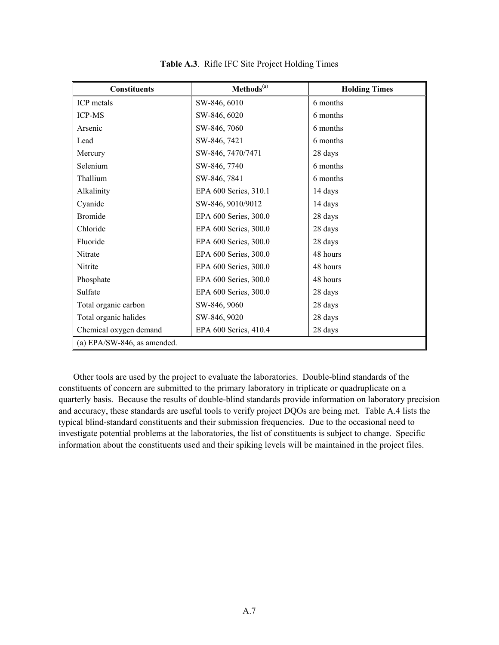| <b>Constituents</b>         | Methods <sup>(a)</sup> | <b>Holding Times</b> |
|-----------------------------|------------------------|----------------------|
| ICP metals                  | SW-846, 6010           | 6 months             |
| <b>ICP-MS</b>               | SW-846, 6020           | 6 months             |
| Arsenic                     | SW-846, 7060           | 6 months             |
| Lead                        | SW-846, 7421           | 6 months             |
| Mercury                     | SW-846, 7470/7471      | 28 days              |
| Selenium                    | SW-846, 7740           | 6 months             |
| Thallium                    | SW-846, 7841           | 6 months             |
| Alkalinity                  | EPA 600 Series, 310.1  | 14 days              |
| Cyanide                     | SW-846, 9010/9012      | 14 days              |
| <b>Bromide</b>              | EPA 600 Series, 300.0  | 28 days              |
| Chloride                    | EPA 600 Series, 300.0  | 28 days              |
| Fluoride                    | EPA 600 Series, 300.0  | 28 days              |
| Nitrate                     | EPA 600 Series, 300.0  | 48 hours             |
| Nitrite                     | EPA 600 Series, 300.0  | 48 hours             |
| Phosphate                   | EPA 600 Series, 300.0  | 48 hours             |
| Sulfate                     | EPA 600 Series, 300.0  | 28 days              |
| Total organic carbon        | SW-846, 9060           | 28 days              |
| Total organic halides       | SW-846, 9020           | 28 days              |
| Chemical oxygen demand      | EPA 600 Series, 410.4  | 28 days              |
| (a) EPA/SW-846, as amended. |                        |                      |

**Table A.3**. Rifle IFC Site Project Holding Times

 Other tools are used by the project to evaluate the laboratories. Double-blind standards of the constituents of concern are submitted to the primary laboratory in triplicate or quadruplicate on a quarterly basis. Because the results of double-blind standards provide information on laboratory precision and accuracy, these standards are useful tools to verify project DQOs are being met. Table A.4 lists the typical blind-standard constituents and their submission frequencies. Due to the occasional need to investigate potential problems at the laboratories, the list of constituents is subject to change. Specific information about the constituents used and their spiking levels will be maintained in the project files.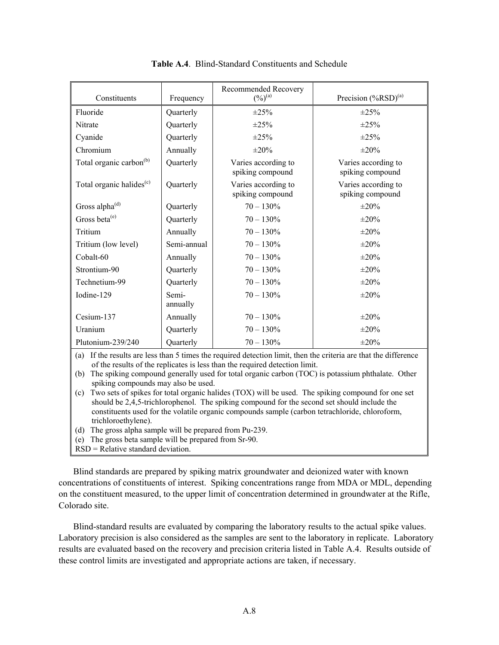| Constituents                         | Frequency         | Recommended Recovery<br>$(\frac{0}{0})^{(a)}$ | Precision $(*RSD)^{(a)}$                |
|--------------------------------------|-------------------|-----------------------------------------------|-----------------------------------------|
| Fluoride                             | Quarterly         | $\pm 25\%$                                    | $\pm 25\%$                              |
| Nitrate                              | Quarterly         | $\pm 25\%$                                    | $\pm 25\%$                              |
| Cyanide                              | Quarterly         | $\pm 25\%$                                    | $\pm 25\%$                              |
| Chromium                             | Annually          | $\pm 20\%$                                    | $\pm 20\%$                              |
| Total organic carbon <sup>(b)</sup>  | Quarterly         | Varies according to<br>spiking compound       | Varies according to<br>spiking compound |
| Total organic halides <sup>(c)</sup> | Quarterly         | Varies according to<br>spiking compound       | Varies according to<br>spiking compound |
| Gross alpha <sup>(d)</sup>           | Quarterly         | $70 - 130\%$                                  | $\pm 20\%$                              |
| Gross beta <sup>(e)</sup>            | Quarterly         | $70 - 130\%$                                  | $\pm 20\%$                              |
| Tritium                              | Annually          | $70 - 130%$                                   | $\pm 20\%$                              |
| Tritium (low level)                  | Semi-annual       | $70 - 130\%$                                  | $\pm 20\%$                              |
| Cobalt-60                            | Annually          | $70 - 130\%$                                  | $\pm 20\%$                              |
| Strontium-90                         | Quarterly         | $70 - 130\%$                                  | $\pm 20\%$                              |
| Technetium-99                        | Quarterly         | $70 - 130\%$                                  | $\pm 20\%$                              |
| Iodine-129                           | Semi-<br>annually | $70 - 130\%$                                  | $\pm 20\%$                              |
| Cesium-137                           | Annually          | $70 - 130\%$                                  | $\pm 20\%$                              |
| Uranium                              | Quarterly         | $70 - 130\%$                                  | $\pm 20\%$                              |
| Plutonium-239/240                    | Quarterly         | $70 - 130\%$                                  | $\pm 20\%$                              |

**Table A.4**. Blind-Standard Constituents and Schedule

(a) If the results are less than 5 times the required detection limit, then the criteria are that the difference of the results of the replicates is less than the required detection limit.

(b) The spiking compound generally used for total organic carbon (TOC) is potassium phthalate. Other spiking compounds may also be used.

(c) Two sets of spikes for total organic halides (TOX) will be used. The spiking compound for one set should be 2,4,5-trichlorophenol. The spiking compound for the second set should include the constituents used for the volatile organic compounds sample (carbon tetrachloride, chloroform, trichloroethylene).

(d) The gross alpha sample will be prepared from Pu-239.

(e) The gross beta sample will be prepared from Sr-90.

RSD = Relative standard deviation.

 Blind standards are prepared by spiking matrix groundwater and deionized water with known concentrations of constituents of interest. Spiking concentrations range from MDA or MDL, depending on the constituent measured, to the upper limit of concentration determined in groundwater at the Rifle, Colorado site.

 Blind-standard results are evaluated by comparing the laboratory results to the actual spike values. Laboratory precision is also considered as the samples are sent to the laboratory in replicate. Laboratory results are evaluated based on the recovery and precision criteria listed in Table A.4. Results outside of these control limits are investigated and appropriate actions are taken, if necessary.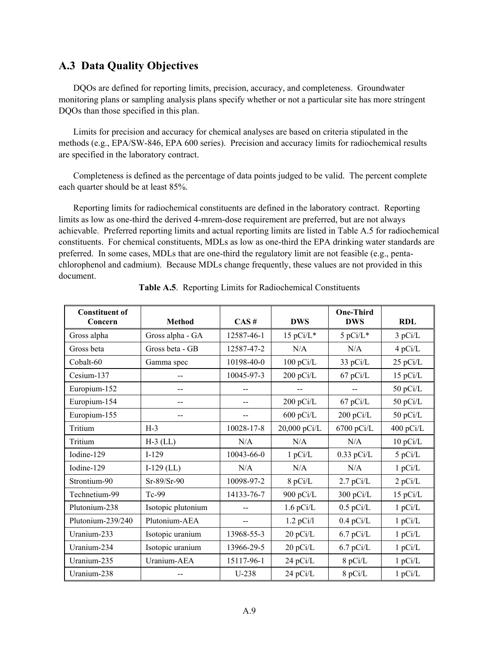#### **A.3 Data Quality Objectives**

 DQOs are defined for reporting limits, precision, accuracy, and completeness. Groundwater monitoring plans or sampling analysis plans specify whether or not a particular site has more stringent DQOs than those specified in this plan.

 Limits for precision and accuracy for chemical analyses are based on criteria stipulated in the methods (e.g., EPA/SW-846, EPA 600 series). Precision and accuracy limits for radiochemical results are specified in the laboratory contract.

 Completeness is defined as the percentage of data points judged to be valid. The percent complete each quarter should be at least 85%.

 Reporting limits for radiochemical constituents are defined in the laboratory contract. Reporting limits as low as one-third the derived 4-mrem-dose requirement are preferred, but are not always achievable. Preferred reporting limits and actual reporting limits are listed in Table A.5 for radiochemical constituents. For chemical constituents, MDLs as low as one-third the EPA drinking water standards are preferred. In some cases, MDLs that are one-third the regulatory limit are not feasible (e.g., pentachlorophenol and cadmium). Because MDLs change frequently, these values are not provided in this document.

| <b>Constituent of</b><br>Concern | <b>Method</b>      | CAS#       | <b>DWS</b>   | <b>One-Third</b><br><b>DWS</b> | <b>RDL</b> |
|----------------------------------|--------------------|------------|--------------|--------------------------------|------------|
| Gross alpha                      | Gross alpha - GA   | 12587-46-1 | $15$ pCi/L*  | 5 pCi/L*                       | 3 pCi/L    |
| Gross beta                       | Gross beta - GB    | 12587-47-2 | N/A          | N/A                            | 4 pCi/L    |
| Cobalt-60                        | Gamma spec         | 10198-40-0 | $100$ pCi/L  | 33 pCi/L                       | $25$ pCi/L |
| Cesium-137                       |                    | 10045-97-3 | 200 pCi/L    | $67$ pCi/L                     | $15$ pCi/L |
| Europium-152                     | --                 |            |              | $-$                            | 50 pCi/L   |
| Europium-154                     | --                 |            | 200 pCi/L    | $67$ pCi/L                     | 50 pCi/L   |
| Europium-155                     |                    |            | 600 pCi/L    | 200 pCi/L                      | 50 pCi/L   |
| Tritium                          | $H-3$              | 10028-17-8 | 20,000 pCi/L | $6700$ pCi/L                   | 400 pCi/L  |
| Tritium                          | $H-3$ (LL)         | N/A        | N/A          | N/A                            | $10$ pCi/L |
| Iodine-129                       | $I-129$            | 10043-66-0 | 1 pCi/L      | $0.33$ pCi/L                   | 5 pCi/L    |
| Iodine-129                       | $I-129$ (LL)       | N/A        | N/A          | N/A                            | 1 pCi/L    |
| Strontium-90                     | $Sr-89/Sr-90$      | 10098-97-2 | 8 pCi/L      | $2.7$ pCi/L                    | 2 pCi/L    |
| Technetium-99                    | Tc-99              | 14133-76-7 | 900 pCi/L    | 300 pCi/L                      | 15 pCi/L   |
| Plutonium-238                    | Isotopic plutonium |            | $1.6$ pCi/L  | $0.5$ pCi/L                    | 1 pCi/L    |
| Plutonium-239/240                | Plutonium-AEA      | $-$        | $1.2$ pCi/l  | $0.4$ pCi/L                    | 1 pCi/L    |
| Uranium-233                      | Isotopic uranium   | 13968-55-3 | 20 pCi/L     | $6.7$ pCi/L                    | 1 pCi/L    |
| Uranium-234                      | Isotopic uranium   | 13966-29-5 | 20 pCi/L     | $6.7$ pCi/L                    | 1 pCi/L    |
| Uranium-235                      | Uranium-AEA        | 15117-96-1 | 24 pCi/L     | 8 pCi/L                        | 1 pCi/L    |
| Uranium-238                      |                    | $U-238$    | 24 pCi/L     | 8 pCi/L                        | 1 pCi/L    |

**Table A.5**. Reporting Limits for Radiochemical Constituents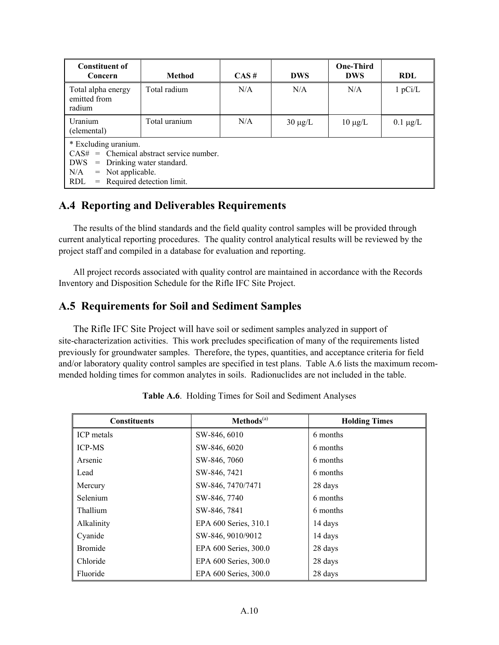| <b>Constituent of</b><br>Concern                                                                                                                                                       | <b>Method</b> | $CAS \#$ | <b>DWS</b>   | <b>One-Third</b><br><b>DWS</b> | <b>RDL</b>    |
|----------------------------------------------------------------------------------------------------------------------------------------------------------------------------------------|---------------|----------|--------------|--------------------------------|---------------|
| Total alpha energy<br>emitted from<br>radium                                                                                                                                           | Total radium  | N/A      | N/A          | N/A                            | 1 pCi/L       |
| Uranium<br>(elemental)                                                                                                                                                                 | Total uranium | N/A      | $30 \mu g/L$ | $10 \mu g/L$                   | $0.1 \mu g/L$ |
| * Excluding uranium.<br>$CAS# =$ Chemical abstract service number.<br>DWS<br>$=$ Drinking water standard.<br>$=$ Not applicable.<br>N/A<br>$=$ Required detection limit.<br><b>RDL</b> |               |          |              |                                |               |

#### **A.4 Reporting and Deliverables Requirements**

 The results of the blind standards and the field quality control samples will be provided through current analytical reporting procedures. The quality control analytical results will be reviewed by the project staff and compiled in a database for evaluation and reporting.

 All project records associated with quality control are maintained in accordance with the Records Inventory and Disposition Schedule for the Rifle IFC Site Project.

#### **A.5 Requirements for Soil and Sediment Samples**

 The Rifle IFC Site Project will have soil or sediment samples analyzed in support of site-characterization activities. This work precludes specification of many of the requirements listed previously for groundwater samples. Therefore, the types, quantities, and acceptance criteria for field and/or laboratory quality control samples are specified in test plans. Table A.6 lists the maximum recommended holding times for common analytes in soils. Radionuclides are not included in the table.

| <b>Constituents</b> | Methods <sup>(a)</sup> | <b>Holding Times</b> |
|---------------------|------------------------|----------------------|
| ICP metals          | SW-846, 6010           | 6 months             |
| <b>ICP-MS</b>       | SW-846, 6020           | 6 months             |
| Arsenic             | SW-846, 7060           | 6 months             |
| Lead                | SW-846, 7421           | 6 months             |
| Mercury             | SW-846, 7470/7471      | 28 days              |
| <b>Selenium</b>     | SW-846, 7740           | 6 months             |
| Thallium            | SW-846, 7841           | 6 months             |
| Alkalinity          | EPA 600 Series, 310.1  | 14 days              |
| Cyanide             | SW-846, 9010/9012      | 14 days              |
| <b>Bromide</b>      | EPA 600 Series, 300.0  | 28 days              |
| Chloride            | EPA 600 Series, 300.0  | 28 days              |
| Fluoride            | EPA 600 Series, 300.0  | 28 days              |

**Table A.6**. Holding Times for Soil and Sediment Analyses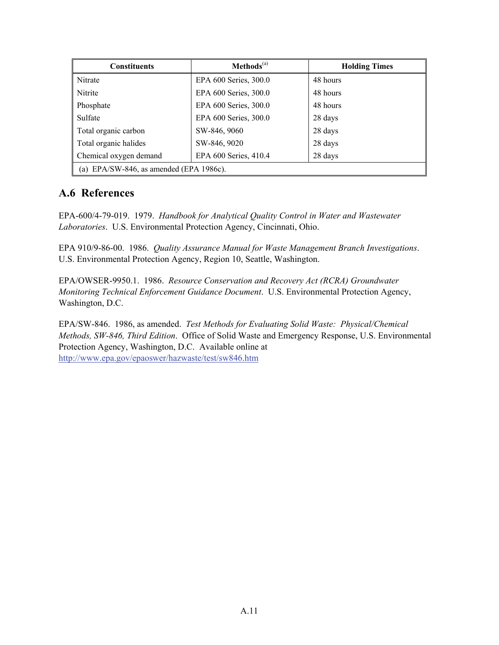| <b>Constituents</b>                     | $Methods(a)$          | <b>Holding Times</b> |  |
|-----------------------------------------|-----------------------|----------------------|--|
| Nitrate                                 | EPA 600 Series, 300.0 | 48 hours             |  |
| Nitrite                                 | EPA 600 Series, 300.0 | 48 hours             |  |
| Phosphate                               | EPA 600 Series, 300.0 | 48 hours             |  |
| Sulfate                                 | EPA 600 Series, 300.0 | 28 days              |  |
| Total organic carbon                    | SW-846, 9060          | 28 days              |  |
| Total organic halides                   | SW-846, 9020          | 28 days              |  |
| Chemical oxygen demand                  | EPA 600 Series, 410.4 | 28 days              |  |
| (a) EPA/SW-846, as amended (EPA 1986c). |                       |                      |  |

#### **A.6 References**

EPA-600/4-79-019. 1979. *Handbook for Analytical Quality Control in Water and Wastewater Laboratories*. U.S. Environmental Protection Agency, Cincinnati, Ohio.

EPA 910/9-86-00. 1986. *Quality Assurance Manual for Waste Management Branch Investigations*. U.S. Environmental Protection Agency, Region 10, Seattle, Washington.

EPA/OWSER-9950.1. 1986. *Resource Conservation and Recovery Act (RCRA) Groundwater Monitoring Technical Enforcement Guidance Document*. U.S. Environmental Protection Agency, Washington, D.C.

EPA/SW-846. 1986, as amended. *Test Methods for Evaluating Solid Waste: Physical/Chemical Methods, SW-846, Third Edition*. Office of Solid Waste and Emergency Response, U.S. Environmental Protection Agency, Washington, D.C. Available online at http://www.epa.gov/epaoswer/hazwaste/test/sw846.htm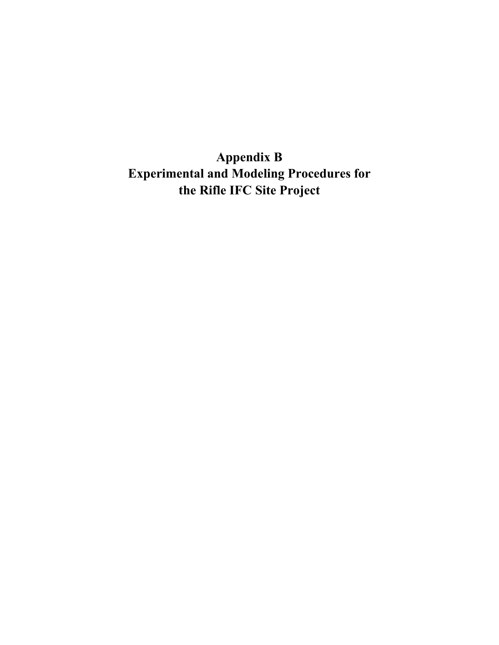**Appendix B Experimental and Modeling Procedures for the Rifle IFC Site Project**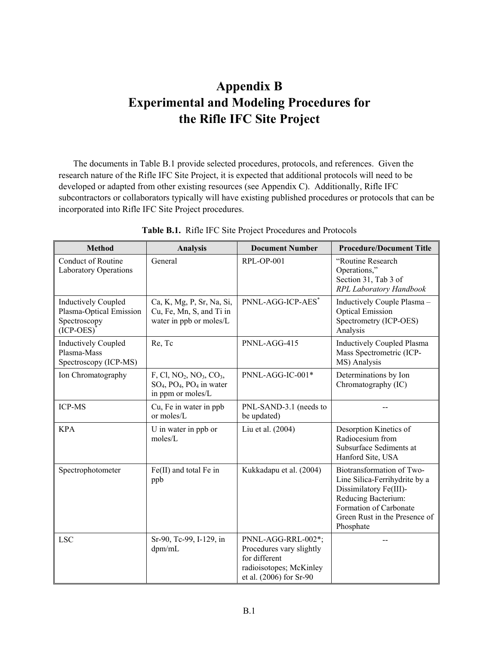# **Appendix B Experimental and Modeling Procedures for the Rifle IFC Site Project**

 The documents in Table B.1 provide selected procedures, protocols, and references. Given the research nature of the Rifle IFC Site Project, it is expected that additional protocols will need to be developed or adapted from other existing resources (see Appendix C). Additionally, Rifle IFC subcontractors or collaborators typically will have existing published procedures or protocols that can be incorporated into Rifle IFC Site Project procedures.

| <b>Method</b>                                                                        | <b>Analysis</b>                                                                  | <b>Document Number</b>                                                                                                | <b>Procedure/Document Title</b>                                                                                                                                                     |
|--------------------------------------------------------------------------------------|----------------------------------------------------------------------------------|-----------------------------------------------------------------------------------------------------------------------|-------------------------------------------------------------------------------------------------------------------------------------------------------------------------------------|
| Conduct of Routine<br><b>Laboratory Operations</b>                                   | General                                                                          | $RPL-OP-001$                                                                                                          | "Routine Research<br>Operations,"<br>Section 31, Tab 3 of<br>RPL Laboratory Handbook                                                                                                |
| <b>Inductively Coupled</b><br>Plasma-Optical Emission<br>Spectroscopy<br>$(ICP-CES)$ | Ca, K, Mg, P, Sr, Na, Si,<br>Cu, Fe, Mn, S, and Ti in<br>water in ppb or moles/L | PNNL-AGG-ICP-AES*                                                                                                     | Inductively Couple Plasma -<br><b>Optical Emission</b><br>Spectrometry (ICP-OES)<br>Analysis                                                                                        |
| <b>Inductively Coupled</b><br>Plasma-Mass<br>Spectroscopy (ICP-MS)                   | Re, Tc                                                                           | PNNL-AGG-415                                                                                                          | <b>Inductively Coupled Plasma</b><br>Mass Spectrometric (ICP-<br>MS) Analysis                                                                                                       |
| Ion Chromatography                                                                   | $F, Cl, NO2, NO3, CO3$<br>$SO_4$ , $PO_4$ , $PO_4$ in water<br>in ppm or moles/L | PNNL-AGG-IC-001*                                                                                                      | Determinations by Ion<br>Chromatography (IC)                                                                                                                                        |
| ICP-MS                                                                               | Cu, Fe in water in ppb<br>or moles/L                                             | PNL-SAND-3.1 (needs to<br>be updated)                                                                                 |                                                                                                                                                                                     |
| <b>KPA</b>                                                                           | U in water in ppb or<br>moles/L                                                  | Liu et al. (2004)                                                                                                     | Desorption Kinetics of<br>Radiocesium from<br>Subsurface Sediments at<br>Hanford Site, USA                                                                                          |
| Spectrophotometer                                                                    | Fe(II) and total Fe in<br>ppb                                                    | Kukkadapu et al. (2004)                                                                                               | Biotransformation of Two-<br>Line Silica-Ferrihydrite by a<br>Dissimilatory Fe(III)-<br>Reducing Bacterium:<br>Formation of Carbonate<br>Green Rust in the Presence of<br>Phosphate |
| <b>LSC</b>                                                                           | Sr-90, Tc-99, I-129, in<br>dpm/mL                                                | PNNL-AGG-RRL-002*;<br>Procedures vary slightly<br>for different<br>radioisotopes; McKinley<br>et al. (2006) for Sr-90 |                                                                                                                                                                                     |

**Table B.1.** Rifle IFC Site Project Procedures and Protocols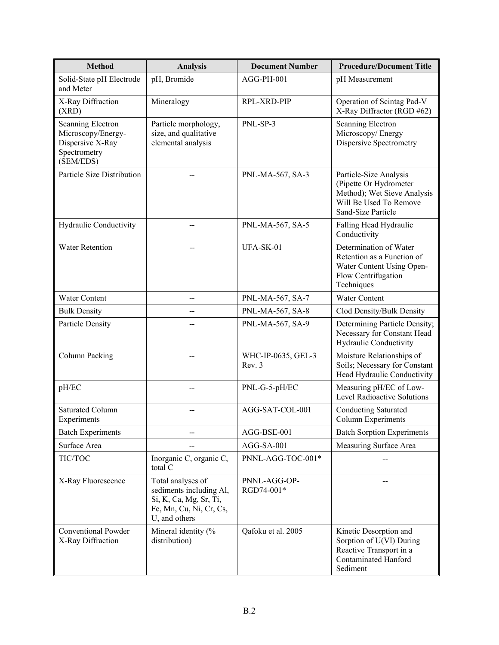| <b>Method</b>                                                                            | <b>Analysis</b>                                                                                                    | <b>Document Number</b>       | <b>Procedure/Document Title</b>                                                                                                 |  |  |
|------------------------------------------------------------------------------------------|--------------------------------------------------------------------------------------------------------------------|------------------------------|---------------------------------------------------------------------------------------------------------------------------------|--|--|
| Solid-State pH Electrode<br>and Meter                                                    | pH, Bromide                                                                                                        | AGG-PH-001                   | pH Measurement                                                                                                                  |  |  |
| X-Ray Diffraction<br>(XRD)                                                               | Mineralogy                                                                                                         | RPL-XRD-PIP                  | Operation of Scintag Pad-V<br>X-Ray Diffractor (RGD #62)                                                                        |  |  |
| Scanning Electron<br>Microscopy/Energy-<br>Dispersive X-Ray<br>Spectrometry<br>(SEM/EDS) | Particle morphology,<br>size, and qualitative<br>elemental analysis                                                | PNL-SP-3                     | Scanning Electron<br>Microscopy/Energy<br>Dispersive Spectrometry                                                               |  |  |
| Particle Size Distribution                                                               |                                                                                                                    | PNL-MA-567, SA-3             | Particle-Size Analysis<br>(Pipette Or Hydrometer<br>Method); Wet Sieve Analysis<br>Will Be Used To Remove<br>Sand-Size Particle |  |  |
| Hydraulic Conductivity                                                                   |                                                                                                                    | PNL-MA-567, SA-5             | Falling Head Hydraulic<br>Conductivity                                                                                          |  |  |
| <b>Water Retention</b>                                                                   |                                                                                                                    | UFA-SK-01                    | Determination of Water<br>Retention as a Function of<br>Water Content Using Open-<br>Flow Centrifugation<br>Techniques          |  |  |
| Water Content                                                                            | --                                                                                                                 | PNL-MA-567, SA-7             | Water Content                                                                                                                   |  |  |
| <b>Bulk Density</b>                                                                      |                                                                                                                    | PNL-MA-567, SA-8             | Clod Density/Bulk Density                                                                                                       |  |  |
| <b>Particle Density</b>                                                                  |                                                                                                                    | PNL-MA-567, SA-9             | Determining Particle Density;<br>Necessary for Constant Head<br>Hydraulic Conductivity                                          |  |  |
| Column Packing                                                                           |                                                                                                                    | WHC-IP-0635, GEL-3<br>Rev. 3 | Moisture Relationships of<br>Soils; Necessary for Constant<br>Head Hydraulic Conductivity                                       |  |  |
| pH/EC                                                                                    |                                                                                                                    | PNL-G-5-pH/EC                | Measuring pH/EC of Low-<br><b>Level Radioactive Solutions</b>                                                                   |  |  |
| <b>Saturated Column</b><br>Experiments                                                   |                                                                                                                    | AGG-SAT-COL-001              | <b>Conducting Saturated</b><br><b>Column Experiments</b>                                                                        |  |  |
| <b>Batch Experiments</b>                                                                 |                                                                                                                    | AGG-BSE-001                  | <b>Batch Sorption Experiments</b>                                                                                               |  |  |
| Surface Area                                                                             |                                                                                                                    | AGG-SA-001                   | Measuring Surface Area                                                                                                          |  |  |
| TIC/TOC                                                                                  | Inorganic C, organic C,<br>total C                                                                                 | PNNL-AGG-TOC-001*            |                                                                                                                                 |  |  |
| X-Ray Fluorescence                                                                       | Total analyses of<br>sediments including Al,<br>Si, K, Ca, Mg, Sr, Ti,<br>Fe, Mn, Cu, Ni, Cr, Cs,<br>U, and others | PNNL-AGG-OP-<br>RGD74-001*   |                                                                                                                                 |  |  |
| <b>Conventional Powder</b><br>X-Ray Diffraction                                          | Mineral identity (%<br>distribution)                                                                               | Qafoku et al. 2005           | Kinetic Desorption and<br>Sorption of U(VI) During<br>Reactive Transport in a<br><b>Contaminated Hanford</b><br>Sediment        |  |  |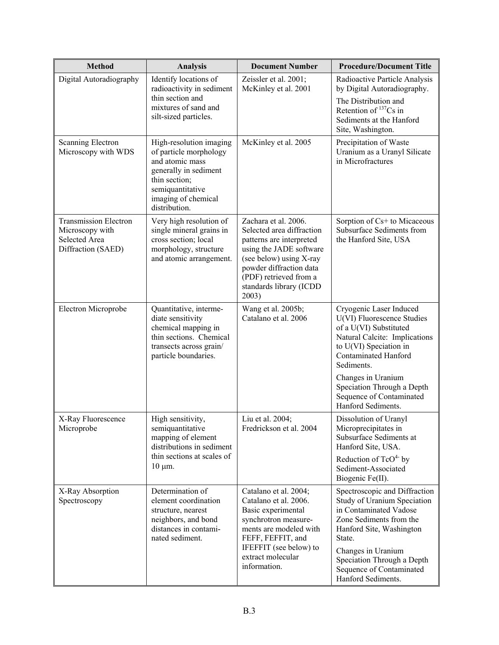| <b>Method</b>                                                                                 | <b>Analysis</b>                                                                                                                                                            | <b>Document Number</b>                                                                                                                                                                                                       | <b>Procedure/Document Title</b>                                                                                                                                                                                                                               |  |  |
|-----------------------------------------------------------------------------------------------|----------------------------------------------------------------------------------------------------------------------------------------------------------------------------|------------------------------------------------------------------------------------------------------------------------------------------------------------------------------------------------------------------------------|---------------------------------------------------------------------------------------------------------------------------------------------------------------------------------------------------------------------------------------------------------------|--|--|
| Digital Autoradiography                                                                       | Identify locations of<br>radioactivity in sediment                                                                                                                         | Zeissler et al. 2001;<br>McKinley et al. 2001                                                                                                                                                                                | Radioactive Particle Analysis<br>by Digital Autoradiography.                                                                                                                                                                                                  |  |  |
|                                                                                               | thin section and<br>mixtures of sand and<br>silt-sized particles.                                                                                                          |                                                                                                                                                                                                                              | The Distribution and<br>Retention of <sup>137</sup> Cs in<br>Sediments at the Hanford<br>Site, Washington.                                                                                                                                                    |  |  |
| <b>Scanning Electron</b><br>Microscopy with WDS                                               | High-resolution imaging<br>of particle morphology<br>and atomic mass<br>generally in sediment<br>thin section;<br>semiquantitative<br>imaging of chemical<br>distribution. | McKinley et al. 2005                                                                                                                                                                                                         | Precipitation of Waste<br>Uranium as a Uranyl Silicate<br>in Microfractures                                                                                                                                                                                   |  |  |
| <b>Transmission Electron</b><br>Microscopy with<br><b>Selected Area</b><br>Diffraction (SAED) | Very high resolution of<br>single mineral grains in<br>cross section; local<br>morphology, structure<br>and atomic arrangement.                                            | Zachara et al. 2006.<br>Selected area diffraction<br>patterns are interpreted<br>using the JADE software<br>(see below) using X-ray<br>powder diffraction data<br>(PDF) retrieved from a<br>standards library (ICDD<br>2003) | Sorption of Cs+ to Micaceous<br>Subsurface Sediments from<br>the Hanford Site, USA                                                                                                                                                                            |  |  |
| Electron Microprobe                                                                           | Quantitative, interme-<br>diate sensitivity<br>chemical mapping in<br>thin sections. Chemical<br>transects across grain/<br>particle boundaries.                           | Wang et al. 2005b;<br>Catalano et al. 2006                                                                                                                                                                                   | Cryogenic Laser Induced<br>U(VI) Fluorescence Studies<br>of a U(VI) Substituted<br>Natural Calcite: Implications<br>to U(VI) Speciation in<br><b>Contaminated Hanford</b><br>Sediments.                                                                       |  |  |
|                                                                                               |                                                                                                                                                                            |                                                                                                                                                                                                                              | Changes in Uranium<br>Speciation Through a Depth<br>Sequence of Contaminated<br>Hanford Sediments.                                                                                                                                                            |  |  |
| X-Ray Fluorescence<br>Microprobe                                                              | High sensitivity,<br>semiquantitative<br>mapping of element<br>distributions in sediment                                                                                   | Liu et al. 2004;<br>Fredrickson et al. 2004                                                                                                                                                                                  | Dissolution of Uranyl<br>Microprecipitates in<br>Subsurface Sediments at<br>Hanford Site, USA.                                                                                                                                                                |  |  |
|                                                                                               | thin sections at scales of<br>$10 \mu m$ .                                                                                                                                 |                                                                                                                                                                                                                              | Reduction of TcO <sup>4-</sup> by<br>Sediment-Associated<br>Biogenic Fe(II).                                                                                                                                                                                  |  |  |
| X-Ray Absorption<br>Spectroscopy                                                              | Determination of<br>element coordination<br>structure, nearest<br>neighbors, and bond<br>distances in contami-<br>nated sediment.                                          | Catalano et al. 2004;<br>Catalano et al. 2006.<br>Basic experimental<br>synchrotron measure-<br>ments are modeled with<br>FEFF, FEFFIT, and<br>IFEFFIT (see below) to<br>extract molecular<br>information.                   | Spectroscopic and Diffraction<br>Study of Uranium Speciation<br>in Contaminated Vadose<br>Zone Sediments from the<br>Hanford Site, Washington<br>State.<br>Changes in Uranium<br>Speciation Through a Depth<br>Sequence of Contaminated<br>Hanford Sediments. |  |  |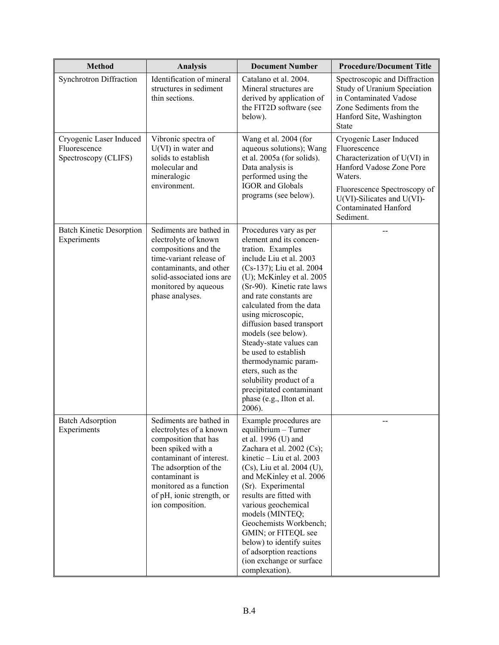| <b>Method</b>                                                   | <b>Analysis</b>                                                                                                                                                                                                                                     | <b>Document Number</b>                                                                                                                                                                                                                                                                                                                                                                                                                                                                                                   | <b>Procedure/Document Title</b>                                                                                                                                                                                         |
|-----------------------------------------------------------------|-----------------------------------------------------------------------------------------------------------------------------------------------------------------------------------------------------------------------------------------------------|--------------------------------------------------------------------------------------------------------------------------------------------------------------------------------------------------------------------------------------------------------------------------------------------------------------------------------------------------------------------------------------------------------------------------------------------------------------------------------------------------------------------------|-------------------------------------------------------------------------------------------------------------------------------------------------------------------------------------------------------------------------|
| Synchrotron Diffraction                                         | Identification of mineral<br>structures in sediment<br>thin sections.                                                                                                                                                                               | Catalano et al. 2004.<br>Mineral structures are<br>derived by application of<br>the FIT2D software (see<br>below).                                                                                                                                                                                                                                                                                                                                                                                                       | Spectroscopic and Diffraction<br>Study of Uranium Speciation<br>in Contaminated Vadose<br>Zone Sediments from the<br>Hanford Site, Washington<br><b>State</b>                                                           |
| Cryogenic Laser Induced<br>Fluorescence<br>Spectroscopy (CLIFS) | Vibronic spectra of<br>$U(VI)$ in water and<br>solids to establish<br>molecular and<br>mineralogic<br>environment.                                                                                                                                  | Wang et al. 2004 (for<br>aqueous solutions); Wang<br>et al. 2005a (for solids).<br>Data analysis is<br>performed using the<br><b>IGOR</b> and Globals<br>programs (see below).                                                                                                                                                                                                                                                                                                                                           | Cryogenic Laser Induced<br>Fluorescence<br>Characterization of U(VI) in<br>Hanford Vadose Zone Pore<br>Waters.<br>Fluorescence Spectroscopy of<br>$U(VI)$ -Silicates and $U(VI)$ -<br>Contaminated Hanford<br>Sediment. |
| <b>Batch Kinetic Desorption</b><br>Experiments                  | Sediments are bathed in<br>electrolyte of known<br>compositions and the<br>time-variant release of<br>contaminants, and other<br>solid-associated ions are<br>monitored by aqueous<br>phase analyses.                                               | Procedures vary as per<br>element and its concen-<br>tration. Examples<br>include Liu et al. 2003<br>(Cs-137); Liu et al. 2004<br>(U); McKinley et al. 2005<br>(Sr-90). Kinetic rate laws<br>and rate constants are<br>calculated from the data<br>using microscopic,<br>diffusion based transport<br>models (see below).<br>Steady-state values can<br>be used to establish<br>thermodynamic param-<br>eters, such as the<br>solubility product of a<br>precipitated contaminant<br>phase (e.g., Ilton et al.<br>2006). |                                                                                                                                                                                                                         |
| <b>Batch Adsorption</b><br>Experiments                          | Sediments are bathed in<br>electrolytes of a known<br>composition that has<br>been spiked with a<br>contaminant of interest.<br>The adsorption of the<br>contaminant is<br>monitored as a function<br>of pH, ionic strength, or<br>ion composition. | Example procedures are<br>equilibrium - Turner<br>et al. 1996 (U) and<br>Zachara et al. 2002 (Cs);<br>kinetic $-$ Liu et al. 2003<br>$(Cs)$ , Liu et al. 2004 (U),<br>and McKinley et al. 2006<br>(Sr). Experimental<br>results are fitted with<br>various geochemical<br>models (MINTEQ;<br>Geochemists Workbench;<br>GMIN; or FITEQL see<br>below) to identify suites<br>of adsorption reactions<br>(ion exchange or surface<br>complexation).                                                                         |                                                                                                                                                                                                                         |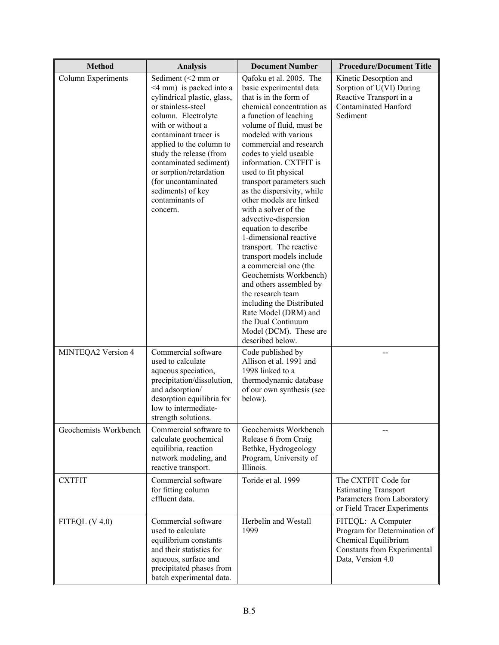| <b>Method</b>         | <b>Analysis</b>                                                                                                                                                                                                                                                                                                                                                        | <b>Document Number</b>                                                                                                                                                                                                                                                                                                                                                                                                                                                                                                                                                                                                                                                                                                                                                    | <b>Procedure/Document Title</b>                                                                                                |  |  |  |
|-----------------------|------------------------------------------------------------------------------------------------------------------------------------------------------------------------------------------------------------------------------------------------------------------------------------------------------------------------------------------------------------------------|---------------------------------------------------------------------------------------------------------------------------------------------------------------------------------------------------------------------------------------------------------------------------------------------------------------------------------------------------------------------------------------------------------------------------------------------------------------------------------------------------------------------------------------------------------------------------------------------------------------------------------------------------------------------------------------------------------------------------------------------------------------------------|--------------------------------------------------------------------------------------------------------------------------------|--|--|--|
| Column Experiments    | Sediment $(<2$ mm or<br>$\leq$ 4 mm) is packed into a<br>cylindrical plastic, glass,<br>or stainless-steel<br>column. Electrolyte<br>with or without a<br>contaminant tracer is<br>applied to the column to<br>study the release (from<br>contaminated sediment)<br>or sorption/retardation<br>(for uncontaminated<br>sediments) of key<br>contaminants of<br>concern. | Qafoku et al. 2005. The<br>basic experimental data<br>that is in the form of<br>chemical concentration as<br>a function of leaching<br>volume of fluid, must be<br>modeled with various<br>commercial and research<br>codes to yield useable<br>information. CXTFIT is<br>used to fit physical<br>transport parameters such<br>as the dispersivity, while<br>other models are linked<br>with a solver of the<br>advective-dispersion<br>equation to describe<br>1-dimensional reactive<br>transport. The reactive<br>transport models include<br>a commercial one (the<br>Geochemists Workbench)<br>and others assembled by<br>the research team<br>including the Distributed<br>Rate Model (DRM) and<br>the Dual Continuum<br>Model (DCM). These are<br>described below. | Kinetic Desorption and<br>Sorption of U(VI) During<br>Reactive Transport in a<br><b>Contaminated Hanford</b><br>Sediment       |  |  |  |
| MINTEQA2 Version 4    | Commercial software<br>used to calculate<br>aqueous speciation,<br>precipitation/dissolution,<br>and adsorption/<br>desorption equilibria for<br>low to intermediate-<br>strength solutions.                                                                                                                                                                           | Code published by<br>Allison et al. 1991 and<br>1998 linked to a<br>thermodynamic database<br>of our own synthesis (see<br>below).                                                                                                                                                                                                                                                                                                                                                                                                                                                                                                                                                                                                                                        |                                                                                                                                |  |  |  |
| Geochemists Workbench | Commercial software to<br>calculate geochemical<br>equilibria, reaction<br>network modeling, and<br>reactive transport.                                                                                                                                                                                                                                                | Geochemists Workbench<br>Release 6 from Craig<br>Bethke, Hydrogeology<br>Program, University of<br>Illinois.                                                                                                                                                                                                                                                                                                                                                                                                                                                                                                                                                                                                                                                              |                                                                                                                                |  |  |  |
| <b>CXTFIT</b>         | Commercial software<br>for fitting column<br>effluent data.                                                                                                                                                                                                                                                                                                            | Toride et al. 1999                                                                                                                                                                                                                                                                                                                                                                                                                                                                                                                                                                                                                                                                                                                                                        | The CXTFIT Code for<br><b>Estimating Transport</b><br>Parameters from Laboratory<br>or Field Tracer Experiments                |  |  |  |
| FITEQL $(V 4.0)$      | Commercial software<br>used to calculate<br>equilibrium constants<br>and their statistics for<br>aqueous, surface and<br>precipitated phases from<br>batch experimental data.                                                                                                                                                                                          | Herbelin and Westall<br>1999                                                                                                                                                                                                                                                                                                                                                                                                                                                                                                                                                                                                                                                                                                                                              | FITEQL: A Computer<br>Program for Determination of<br>Chemical Equilibrium<br>Constants from Experimental<br>Data, Version 4.0 |  |  |  |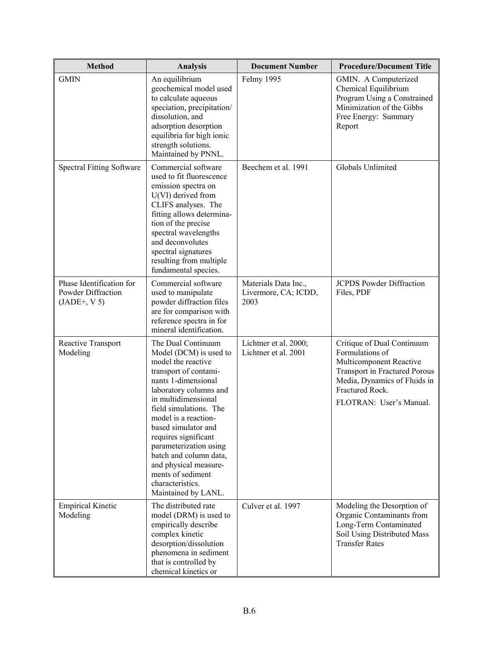| <b>Method</b>                                                    | <b>Analysis</b>                                                                                                                                                                                                                                                                                                                                                                                                   | <b>Document Number</b>                               | <b>Procedure/Document Title</b>                                                                                                                                                         |  |  |  |
|------------------------------------------------------------------|-------------------------------------------------------------------------------------------------------------------------------------------------------------------------------------------------------------------------------------------------------------------------------------------------------------------------------------------------------------------------------------------------------------------|------------------------------------------------------|-----------------------------------------------------------------------------------------------------------------------------------------------------------------------------------------|--|--|--|
| <b>GMIN</b>                                                      | An equilibrium<br>geochemical model used<br>to calculate aqueous<br>speciation, precipitation/<br>dissolution, and<br>adsorption desorption<br>equilibria for high ionic<br>strength solutions.<br>Maintained by PNNL.                                                                                                                                                                                            | Felmy 1995                                           | GMIN. A Computerized<br>Chemical Equilibrium<br>Program Using a Constrained<br>Minimization of the Gibbs<br>Free Energy: Summary<br>Report                                              |  |  |  |
| <b>Spectral Fitting Software</b>                                 | Commercial software<br>used to fit fluorescence<br>emission spectra on<br>$U(VI)$ derived from<br>CLIFS analyses. The<br>fitting allows determina-<br>tion of the precise<br>spectral wavelengths<br>and deconvolutes<br>spectral signatures<br>resulting from multiple<br>fundamental species.                                                                                                                   | Beechem et al. 1991                                  | Globals Unlimited                                                                                                                                                                       |  |  |  |
| Phase Identification for<br>Powder Diffraction<br>$(JADE+, V 5)$ | Commercial software<br>used to manipulate<br>powder diffraction files<br>are for comparison with<br>reference spectra in for<br>mineral identification.                                                                                                                                                                                                                                                           | Materials Data Inc.,<br>Livermore, CA; ICDD,<br>2003 | <b>JCPDS</b> Powder Diffraction<br>Files, PDF                                                                                                                                           |  |  |  |
| Reactive Transport<br>Modeling                                   | The Dual Continuum<br>Model (DCM) is used to<br>model the reactive<br>transport of contami-<br>nants 1-dimensional<br>laboratory columns and<br>in multidimensional<br>field simulations. The<br>model is a reaction-<br>based simulator and<br>requires significant<br>parameterization using<br>batch and column data,<br>and physical measure-<br>ments of sediment<br>characteristics.<br>Maintained by LANL. | Lichtner et al. 2000;<br>Lichtner et al. 2001        | Critique of Dual Continuum<br>Formulations of<br>Multicomponent Reactive<br>Transport in Fractured Porous<br>Media, Dynamics of Fluids in<br>Fractured Rock.<br>FLOTRAN: User's Manual. |  |  |  |
| <b>Empirical Kinetic</b><br>Modeling                             | The distributed rate<br>model (DRM) is used to<br>empirically describe<br>complex kinetic<br>desorption/dissolution<br>phenomena in sediment<br>that is controlled by<br>chemical kinetics or                                                                                                                                                                                                                     | Culver et al. 1997                                   | Modeling the Desorption of<br>Organic Contaminants from<br>Long-Term Contaminated<br>Soil Using Distributed Mass<br><b>Transfer Rates</b>                                               |  |  |  |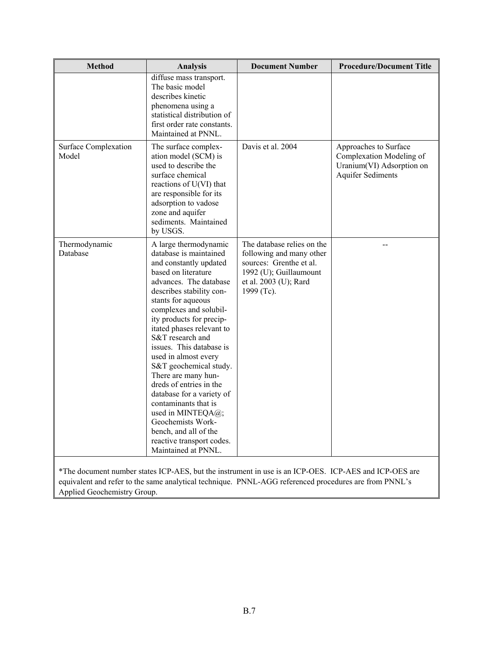| <b>Method</b>                        | <b>Analysis</b>                                                                                                                                                                                                                                                                                                                                                                                                                                                                                                                                                                                 | <b>Document Number</b>                                                                                                                                                                                         | <b>Procedure/Document Title</b>                                                                            |
|--------------------------------------|-------------------------------------------------------------------------------------------------------------------------------------------------------------------------------------------------------------------------------------------------------------------------------------------------------------------------------------------------------------------------------------------------------------------------------------------------------------------------------------------------------------------------------------------------------------------------------------------------|----------------------------------------------------------------------------------------------------------------------------------------------------------------------------------------------------------------|------------------------------------------------------------------------------------------------------------|
|                                      | diffuse mass transport.<br>The basic model<br>describes kinetic<br>phenomena using a<br>statistical distribution of<br>first order rate constants.<br>Maintained at PNNL.                                                                                                                                                                                                                                                                                                                                                                                                                       |                                                                                                                                                                                                                |                                                                                                            |
| <b>Surface Complexation</b><br>Model | The surface complex-<br>ation model (SCM) is<br>used to describe the<br>surface chemical<br>reactions of U(VI) that<br>are responsible for its<br>adsorption to vadose<br>zone and aquifer<br>sediments. Maintained<br>by USGS.                                                                                                                                                                                                                                                                                                                                                                 | Davis et al. 2004                                                                                                                                                                                              | Approaches to Surface<br>Complexation Modeling of<br>Uranium(VI) Adsorption on<br><b>Aquifer Sediments</b> |
| Thermodynamic<br>Database            | A large thermodynamic<br>database is maintained<br>and constantly updated<br>based on literature<br>advances. The database<br>describes stability con-<br>stants for aqueous<br>complexes and solubil-<br>ity products for precip-<br>itated phases relevant to<br>S&T research and<br>issues. This database is<br>used in almost every<br>S&T geochemical study.<br>There are many hun-<br>dreds of entries in the<br>database for a variety of<br>contaminants that is<br>used in MINTEQA@;<br>Geochemists Work-<br>bench, and all of the<br>reactive transport codes.<br>Maintained at PNNL. | The database relies on the<br>following and many other<br>sources: Grenthe et al.<br>1992 (U); Guillaumount<br>et al. 2003 (U); Rard<br>1999 (Tc).                                                             |                                                                                                            |
| Applied Geochemistry Group.          |                                                                                                                                                                                                                                                                                                                                                                                                                                                                                                                                                                                                 | *The document number states ICP-AES, but the instrument in use is an ICP-OES. ICP-AES and ICP-OES are<br>equivalent and refer to the same analytical technique. PNNL-AGG referenced procedures are from PNNL's |                                                                                                            |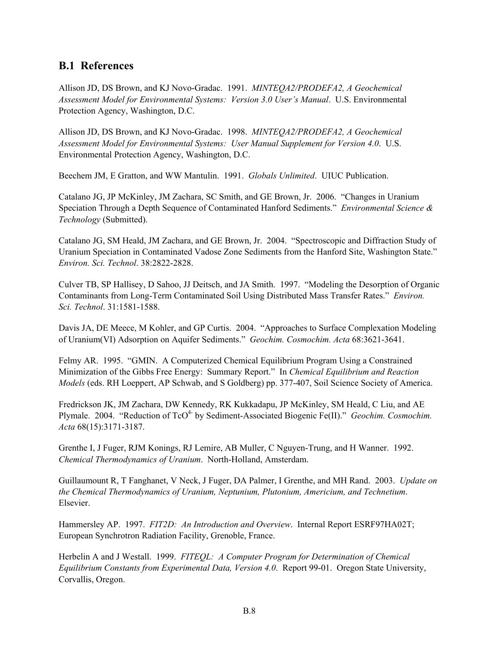#### **B.1 References**

Allison JD, DS Brown, and KJ Novo-Gradac. 1991. *MINTEQA2/PRODEFA2, A Geochemical Assessment Model for Environmental Systems: Version 3.0 User's Manual*. U.S. Environmental Protection Agency, Washington, D.C.

Allison JD, DS Brown, and KJ Novo-Gradac. 1998. *MINTEQA2/PRODEFA2, A Geochemical Assessment Model for Environmental Systems: User Manual Supplement for Version 4.0*. U.S. Environmental Protection Agency, Washington, D.C.

Beechem JM, E Gratton, and WW Mantulin. 1991. *Globals Unlimited*. UIUC Publication.

Catalano JG, JP McKinley, JM Zachara, SC Smith, and GE Brown, Jr. 2006. "Changes in Uranium Speciation Through a Depth Sequence of Contaminated Hanford Sediments." *Environmental Science & Technology* (Submitted).

Catalano JG, SM Heald, JM Zachara, and GE Brown, Jr. 2004. "Spectroscopic and Diffraction Study of Uranium Speciation in Contaminated Vadose Zone Sediments from the Hanford Site, Washington State." *Environ. Sci. Technol*. 38:2822-2828.

Culver TB, SP Hallisey, D Sahoo, JJ Deitsch, and JA Smith. 1997. "Modeling the Desorption of Organic Contaminants from Long-Term Contaminated Soil Using Distributed Mass Transfer Rates." *Environ. Sci. Technol*. 31:1581-1588.

Davis JA, DE Meece, M Kohler, and GP Curtis. 2004. "Approaches to Surface Complexation Modeling of Uranium(VI) Adsorption on Aquifer Sediments." *Geochim. Cosmochim. Acta* 68:3621-3641.

Felmy AR. 1995. "GMIN. A Computerized Chemical Equilibrium Program Using a Constrained Minimization of the Gibbs Free Energy: Summary Report." In *Chemical Equilibrium and Reaction Models* (eds. RH Loeppert, AP Schwab, and S Goldberg) pp. 377-407, Soil Science Society of America.

Fredrickson JK, JM Zachara, DW Kennedy, RK Kukkadapu, JP McKinley, SM Heald, C Liu, and AE Plymale. 2004. "Reduction of TcO<sup>4-</sup> by Sediment-Associated Biogenic Fe(II)." *Geochim. Cosmochim. Acta* 68(15):3171-3187.

Grenthe I, J Fuger, RJM Konings, RJ Lemire, AB Muller, C Nguyen-Trung, and H Wanner. 1992. *Chemical Thermodynamics of Uranium*. North-Holland, Amsterdam.

Guillaumount R, T Fanghanet, V Neck, J Fuger, DA Palmer, I Grenthe, and MH Rand. 2003. *Update on the Chemical Thermodynamics of Uranium, Neptunium, Plutonium, Americium, and Technetium*. Elsevier.

Hammersley AP. 1997. *FIT2D: An Introduction and Overview*. Internal Report ESRF97HA02T; European Synchrotron Radiation Facility, Grenoble, France.

Herbelin A and J Westall. 1999. *FITEQL: A Computer Program for Determination of Chemical Equilibrium Constants from Experimental Data, Version 4.0*. Report 99-01. Oregon State University, Corvallis, Oregon.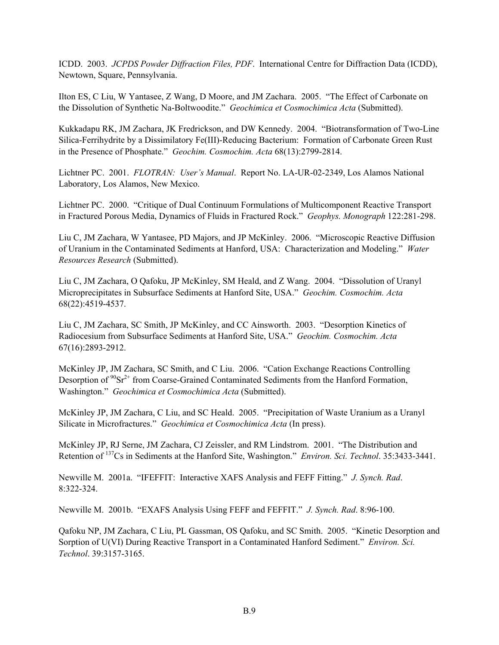ICDD. 2003. *JCPDS Powder Diffraction Files, PDF*. International Centre for Diffraction Data (ICDD), Newtown, Square, Pennsylvania.

Ilton ES, C Liu, W Yantasee, Z Wang, D Moore, and JM Zachara. 2005. "The Effect of Carbonate on the Dissolution of Synthetic Na-Boltwoodite." *Geochimica et Cosmochimica Acta* (Submitted).

Kukkadapu RK, JM Zachara, JK Fredrickson, and DW Kennedy. 2004. "Biotransformation of Two-Line Silica-Ferrihydrite by a Dissimilatory Fe(III)-Reducing Bacterium: Formation of Carbonate Green Rust in the Presence of Phosphate." *Geochim. Cosmochim. Acta* 68(13):2799-2814.

Lichtner PC. 2001. *FLOTRAN: User's Manual*. Report No. LA-UR-02-2349, Los Alamos National Laboratory, Los Alamos, New Mexico.

Lichtner PC. 2000. "Critique of Dual Continuum Formulations of Multicomponent Reactive Transport in Fractured Porous Media, Dynamics of Fluids in Fractured Rock." *Geophys. Monograph* 122:281-298.

Liu C, JM Zachara, W Yantasee, PD Majors, and JP McKinley. 2006. "Microscopic Reactive Diffusion of Uranium in the Contaminated Sediments at Hanford, USA: Characterization and Modeling." *Water Resources Research* (Submitted).

Liu C, JM Zachara, O Qafoku, JP McKinley, SM Heald, and Z Wang. 2004. "Dissolution of Uranyl Microprecipitates in Subsurface Sediments at Hanford Site, USA." *Geochim. Cosmochim. Acta* 68(22):4519-4537.

Liu C, JM Zachara, SC Smith, JP McKinley, and CC Ainsworth. 2003. "Desorption Kinetics of Radiocesium from Subsurface Sediments at Hanford Site, USA." *Geochim. Cosmochim. Acta* 67(16):2893-2912.

McKinley JP, JM Zachara, SC Smith, and C Liu. 2006. "Cation Exchange Reactions Controlling Desorption of  $90Sr^{2+}$  from Coarse-Grained Contaminated Sediments from the Hanford Formation, Washington." *Geochimica et Cosmochimica Acta* (Submitted).

McKinley JP, JM Zachara, C Liu, and SC Heald. 2005. "Precipitation of Waste Uranium as a Uranyl Silicate in Microfractures." *Geochimica et Cosmochimica Acta* (In press).

McKinley JP, RJ Serne, JM Zachara, CJ Zeissler, and RM Lindstrom. 2001. "The Distribution and Retention of 137Cs in Sediments at the Hanford Site, Washington." *Environ. Sci. Technol*. 35:3433-3441.

Newville M. 2001a. "IFEFFIT: Interactive XAFS Analysis and FEFF Fitting." *J. Synch. Rad*. 8:322-324.

Newville M. 2001b. "EXAFS Analysis Using FEFF and FEFFIT." *J. Synch. Rad*. 8:96-100.

Qafoku NP, JM Zachara, C Liu, PL Gassman, OS Qafoku, and SC Smith. 2005. "Kinetic Desorption and Sorption of U(VI) During Reactive Transport in a Contaminated Hanford Sediment." *Environ. Sci. Technol*. 39:3157-3165.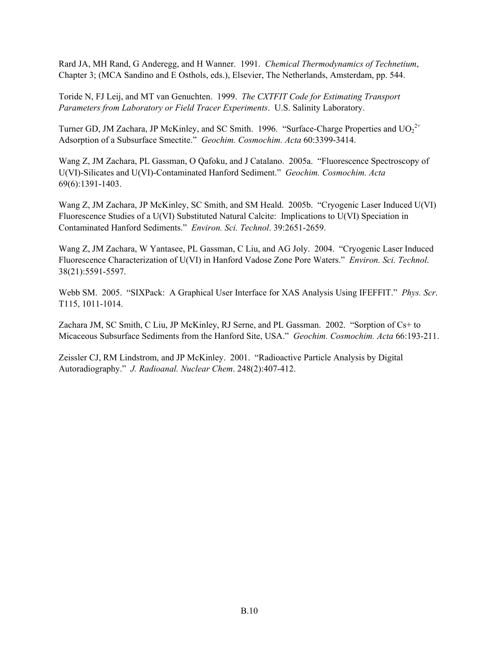Rard JA, MH Rand, G Anderegg, and H Wanner. 1991. *Chemical Thermodynamics of Technetium*, Chapter 3; (MCA Sandino and E Osthols, eds.), Elsevier, The Netherlands, Amsterdam, pp. 544.

Toride N, FJ Leij, and MT van Genuchten. 1999. *The CXTFIT Code for Estimating Transport Parameters from Laboratory or Field Tracer Experiments*. U.S. Salinity Laboratory.

Turner GD, JM Zachara, JP McKinley, and SC Smith. 1996. "Surface-Charge Properties and  $UO_2^{2+}$ Adsorption of a Subsurface Smectite." *Geochim. Cosmochim. Acta* 60:3399-3414.

Wang Z, JM Zachara, PL Gassman, O Qafoku, and J Catalano. 2005a. "Fluorescence Spectroscopy of U(VI)-Silicates and U(VI)-Contaminated Hanford Sediment." *Geochim. Cosmochim. Acta* 69(6):1391-1403.

Wang Z, JM Zachara, JP McKinley, SC Smith, and SM Heald. 2005b. "Cryogenic Laser Induced U(VI) Fluorescence Studies of a U(VI) Substituted Natural Calcite: Implications to U(VI) Speciation in Contaminated Hanford Sediments." *Environ. Sci. Technol*. 39:2651-2659.

Wang Z, JM Zachara, W Yantasee, PL Gassman, C Liu, and AG Joly. 2004. "Cryogenic Laser Induced Fluorescence Characterization of U(VI) in Hanford Vadose Zone Pore Waters." *Environ. Sci. Technol*. 38(21):5591-5597.

Webb SM. 2005. "SIXPack: A Graphical User Interface for XAS Analysis Using IFEFFIT." *Phys. Scr*. T115, 1011-1014.

Zachara JM, SC Smith, C Liu, JP McKinley, RJ Serne, and PL Gassman. 2002. "Sorption of Cs+ to Micaceous Subsurface Sediments from the Hanford Site, USA." *Geochim. Cosmochim. Acta* 66:193-211.

Zeissler CJ, RM Lindstrom, and JP McKinley. 2001. "Radioactive Particle Analysis by Digital Autoradiography." *J. Radioanal. Nuclear Chem*. 248(2):407-412.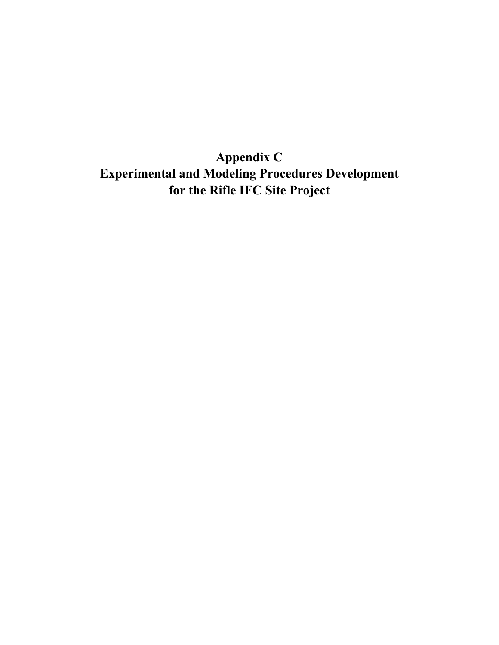**Appendix C Experimental and Modeling Procedures Development for the Rifle IFC Site Project**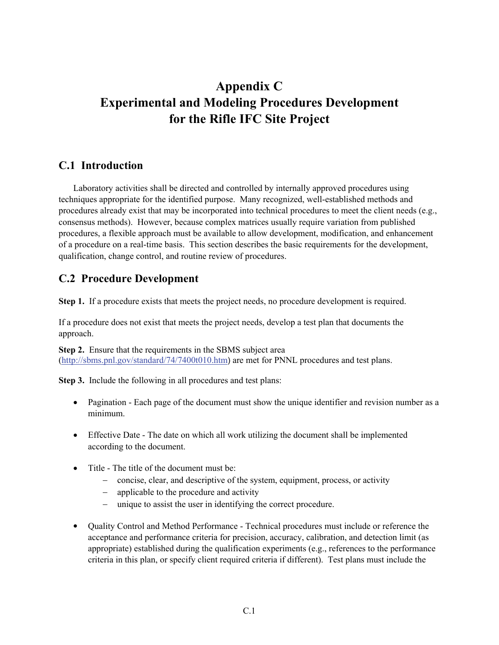# **Appendix C Experimental and Modeling Procedures Development for the Rifle IFC Site Project**

#### **C.1 Introduction**

 Laboratory activities shall be directed and controlled by internally approved procedures using techniques appropriate for the identified purpose. Many recognized, well-established methods and procedures already exist that may be incorporated into technical procedures to meet the client needs (e.g., consensus methods). However, because complex matrices usually require variation from published procedures, a flexible approach must be available to allow development, modification, and enhancement of a procedure on a real-time basis. This section describes the basic requirements for the development, qualification, change control, and routine review of procedures.

#### **C.2 Procedure Development**

**Step 1.** If a procedure exists that meets the project needs, no procedure development is required.

If a procedure does not exist that meets the project needs, develop a test plan that documents the approach.

**Step 2.** Ensure that the requirements in the SBMS subject area (http://sbms.pnl.gov/standard/74/7400t010.htm) are met for PNNL procedures and test plans.

**Step 3.** Include the following in all procedures and test plans:

- Pagination Each page of the document must show the unique identifier and revision number as a minimum.
- Effective Date The date on which all work utilizing the document shall be implemented according to the document.
- Title The title of the document must be:
	- − concise, clear, and descriptive of the system, equipment, process, or activity
	- − applicable to the procedure and activity
	- − unique to assist the user in identifying the correct procedure.
- Quality Control and Method Performance Technical procedures must include or reference the acceptance and performance criteria for precision, accuracy, calibration, and detection limit (as appropriate) established during the qualification experiments (e.g., references to the performance criteria in this plan, or specify client required criteria if different). Test plans must include the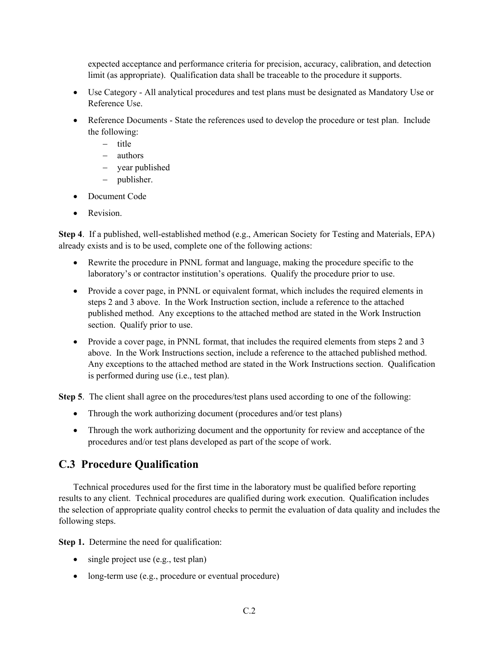expected acceptance and performance criteria for precision, accuracy, calibration, and detection limit (as appropriate). Qualification data shall be traceable to the procedure it supports.

- Use Category All analytical procedures and test plans must be designated as Mandatory Use or Reference Use.
- Reference Documents State the references used to develop the procedure or test plan. Include the following:
	- − title
	- − authors
	- − year published
	- − publisher.
- Document Code
- Revision

**Step 4**. If a published, well-established method (e.g., American Society for Testing and Materials, EPA) already exists and is to be used, complete one of the following actions:

- Rewrite the procedure in PNNL format and language, making the procedure specific to the laboratory's or contractor institution's operations. Qualify the procedure prior to use.
- Provide a cover page, in PNNL or equivalent format, which includes the required elements in steps 2 and 3 above. In the Work Instruction section, include a reference to the attached published method. Any exceptions to the attached method are stated in the Work Instruction section. Qualify prior to use.
- Provide a cover page, in PNNL format, that includes the required elements from steps 2 and 3 above. In the Work Instructions section, include a reference to the attached published method. Any exceptions to the attached method are stated in the Work Instructions section. Qualification is performed during use (i.e., test plan).

**Step 5**. The client shall agree on the procedures/test plans used according to one of the following:

- Through the work authorizing document (procedures and/or test plans)
- Through the work authorizing document and the opportunity for review and acceptance of the procedures and/or test plans developed as part of the scope of work.

#### **C.3 Procedure Qualification**

 Technical procedures used for the first time in the laboratory must be qualified before reporting results to any client. Technical procedures are qualified during work execution. Qualification includes the selection of appropriate quality control checks to permit the evaluation of data quality and includes the following steps.

**Step 1.** Determine the need for qualification:

- single project use (e.g., test plan)
- long-term use (e.g., procedure or eventual procedure)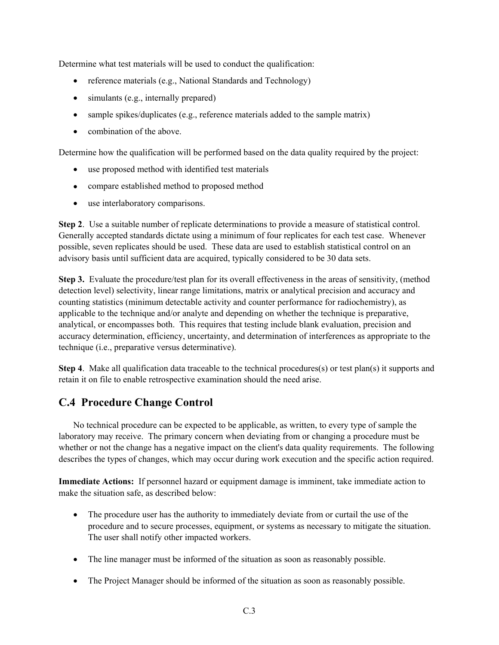Determine what test materials will be used to conduct the qualification:

- reference materials (e.g., National Standards and Technology)
- simulants (e.g., internally prepared)
- sample spikes/duplicates (e.g., reference materials added to the sample matrix)
- combination of the above.

Determine how the qualification will be performed based on the data quality required by the project:

- use proposed method with identified test materials
- compare established method to proposed method
- use interlaboratory comparisons.

**Step 2**. Use a suitable number of replicate determinations to provide a measure of statistical control. Generally accepted standards dictate using a minimum of four replicates for each test case. Whenever possible, seven replicates should be used. These data are used to establish statistical control on an advisory basis until sufficient data are acquired, typically considered to be 30 data sets.

**Step 3.** Evaluate the procedure/test plan for its overall effectiveness in the areas of sensitivity, (method detection level) selectivity, linear range limitations, matrix or analytical precision and accuracy and counting statistics (minimum detectable activity and counter performance for radiochemistry), as applicable to the technique and/or analyte and depending on whether the technique is preparative, analytical, or encompasses both. This requires that testing include blank evaluation, precision and accuracy determination, efficiency, uncertainty, and determination of interferences as appropriate to the technique (i.e., preparative versus determinative).

**Step 4**. Make all qualification data traceable to the technical procedures(s) or test plan(s) it supports and retain it on file to enable retrospective examination should the need arise.

#### **C.4 Procedure Change Control**

 No technical procedure can be expected to be applicable, as written, to every type of sample the laboratory may receive. The primary concern when deviating from or changing a procedure must be whether or not the change has a negative impact on the client's data quality requirements. The following describes the types of changes, which may occur during work execution and the specific action required.

**Immediate Actions:** If personnel hazard or equipment damage is imminent, take immediate action to make the situation safe, as described below:

- The procedure user has the authority to immediately deviate from or curtail the use of the procedure and to secure processes, equipment, or systems as necessary to mitigate the situation. The user shall notify other impacted workers.
- The line manager must be informed of the situation as soon as reasonably possible.
- The Project Manager should be informed of the situation as soon as reasonably possible.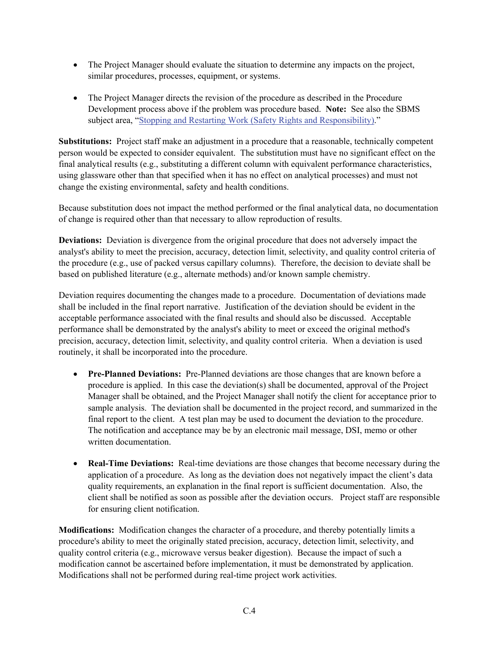- The Project Manager should evaluate the situation to determine any impacts on the project, similar procedures, processes, equipment, or systems.
- The Project Manager directs the revision of the procedure as described in the Procedure Development process above if the problem was procedure based. **Note:** See also the SBMS subject area, "Stopping and Restarting Work (Safety Rights and Responsibility)."

**Substitutions:** Project staff make an adjustment in a procedure that a reasonable, technically competent person would be expected to consider equivalent. The substitution must have no significant effect on the final analytical results (e.g., substituting a different column with equivalent performance characteristics, using glassware other than that specified when it has no effect on analytical processes) and must not change the existing environmental, safety and health conditions.

Because substitution does not impact the method performed or the final analytical data, no documentation of change is required other than that necessary to allow reproduction of results.

**Deviations:** Deviation is divergence from the original procedure that does not adversely impact the analyst's ability to meet the precision, accuracy, detection limit, selectivity, and quality control criteria of the procedure (e.g., use of packed versus capillary columns). Therefore, the decision to deviate shall be based on published literature (e.g., alternate methods) and/or known sample chemistry.

Deviation requires documenting the changes made to a procedure. Documentation of deviations made shall be included in the final report narrative. Justification of the deviation should be evident in the acceptable performance associated with the final results and should also be discussed. Acceptable performance shall be demonstrated by the analyst's ability to meet or exceed the original method's precision, accuracy, detection limit, selectivity, and quality control criteria. When a deviation is used routinely, it shall be incorporated into the procedure.

- **Pre-Planned Deviations:** Pre-Planned deviations are those changes that are known before a procedure is applied. In this case the deviation(s) shall be documented, approval of the Project Manager shall be obtained, and the Project Manager shall notify the client for acceptance prior to sample analysis. The deviation shall be documented in the project record, and summarized in the final report to the client. A test plan may be used to document the deviation to the procedure. The notification and acceptance may be by an electronic mail message, DSI, memo or other written documentation.
- **Real-Time Deviations:** Real-time deviations are those changes that become necessary during the application of a procedure. As long as the deviation does not negatively impact the client's data quality requirements, an explanation in the final report is sufficient documentation. Also, the client shall be notified as soon as possible after the deviation occurs. Project staff are responsible for ensuring client notification.

**Modifications:** Modification changes the character of a procedure, and thereby potentially limits a procedure's ability to meet the originally stated precision, accuracy, detection limit, selectivity, and quality control criteria (e.g., microwave versus beaker digestion). Because the impact of such a modification cannot be ascertained before implementation, it must be demonstrated by application. Modifications shall not be performed during real-time project work activities.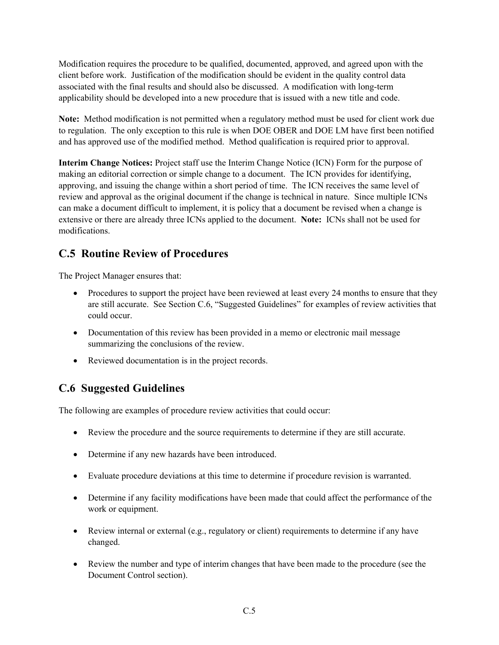Modification requires the procedure to be qualified, documented, approved, and agreed upon with the client before work. Justification of the modification should be evident in the quality control data associated with the final results and should also be discussed. A modification with long-term applicability should be developed into a new procedure that is issued with a new title and code.

**Note:** Method modification is not permitted when a regulatory method must be used for client work due to regulation. The only exception to this rule is when DOE OBER and DOE LM have first been notified and has approved use of the modified method. Method qualification is required prior to approval.

**Interim Change Notices:** Project staff use the Interim Change Notice (ICN) Form for the purpose of making an editorial correction or simple change to a document. The ICN provides for identifying, approving, and issuing the change within a short period of time. The ICN receives the same level of review and approval as the original document if the change is technical in nature. Since multiple ICNs can make a document difficult to implement, it is policy that a document be revised when a change is extensive or there are already three ICNs applied to the document. **Note:** ICNs shall not be used for modifications.

#### **C.5 Routine Review of Procedures**

The Project Manager ensures that:

- Procedures to support the project have been reviewed at least every 24 months to ensure that they are still accurate. See Section C.6, "Suggested Guidelines" for examples of review activities that could occur.
- Documentation of this review has been provided in a memo or electronic mail message summarizing the conclusions of the review.
- Reviewed documentation is in the project records.

### **C.6 Suggested Guidelines**

The following are examples of procedure review activities that could occur:

- Review the procedure and the source requirements to determine if they are still accurate.
- Determine if any new hazards have been introduced.
- Evaluate procedure deviations at this time to determine if procedure revision is warranted.
- Determine if any facility modifications have been made that could affect the performance of the work or equipment.
- Review internal or external (e.g., regulatory or client) requirements to determine if any have changed.
- Review the number and type of interim changes that have been made to the procedure (see the Document Control section).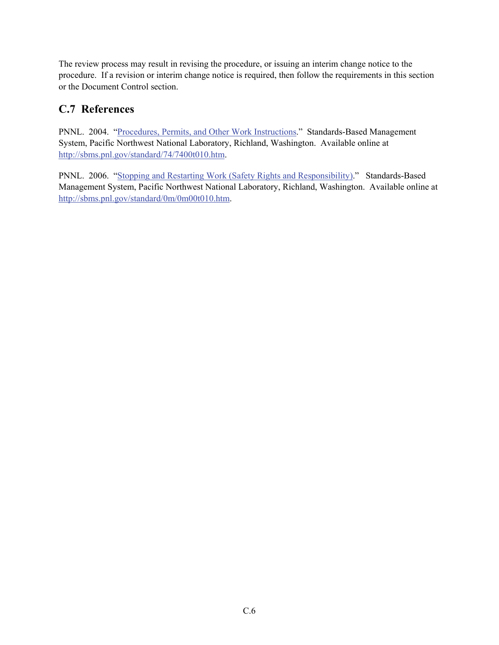The review process may result in revising the procedure, or issuing an interim change notice to the procedure. If a revision or interim change notice is required, then follow the requirements in this section or the Document Control section.

#### **C.7 References**

PNNL. 2004. "Procedures, Permits, and Other Work Instructions." Standards-Based Management System, Pacific Northwest National Laboratory, Richland, Washington. Available online at http://sbms.pnl.gov/standard/74/7400t010.htm.

PNNL. 2006. "Stopping and Restarting Work (Safety Rights and Responsibility)." Standards-Based Management System, Pacific Northwest National Laboratory, Richland, Washington. Available online at http://sbms.pnl.gov/standard/0m/0m00t010.htm.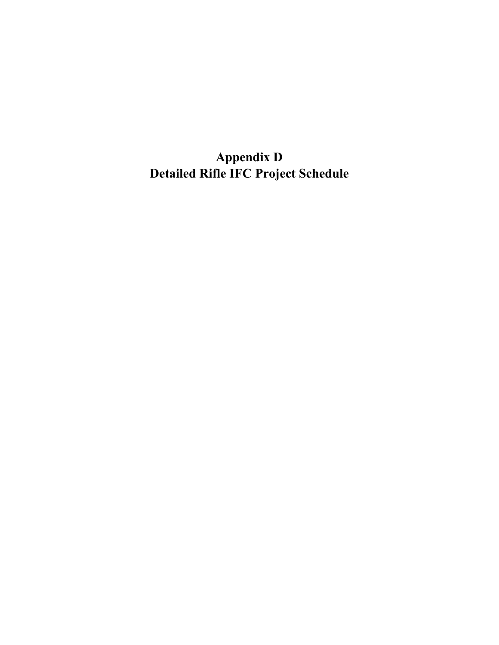**Appendix D Detailed Rifle IFC Project Schedule**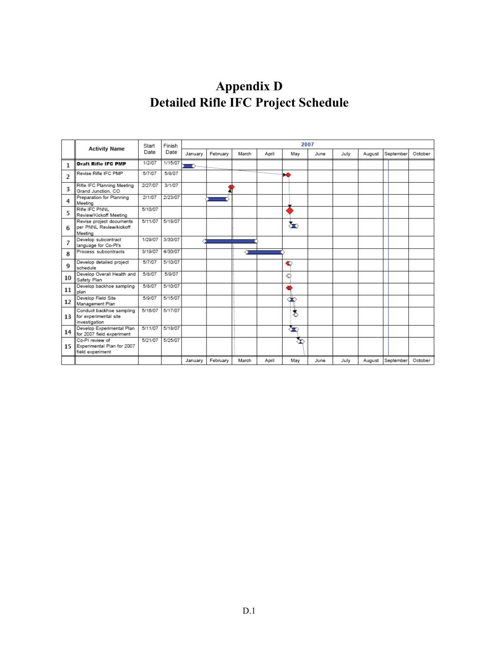# **Appendix D Detailed Rifle IFC Project Schedule**

|                | <b>Activity Name</b>                                               | Start   | Finish  |         |          |       |       | 2007 |      |      |        |           |         |
|----------------|--------------------------------------------------------------------|---------|---------|---------|----------|-------|-------|------|------|------|--------|-----------|---------|
|                |                                                                    | Date    | Date    | January | February | March | April | May  | June | July | August | September | October |
| 1              | <b>Draft Rifle IFC PMP</b>                                         | 1/2/07  | 1/15/07 |         |          |       |       |      |      |      |        |           |         |
| $\overline{c}$ | Revise Rifle IFC PMP                                               | 5/7/07  | 5/8/07  |         |          |       |       | ы    |      |      |        |           |         |
| 3              | Rifle IFC Planning Meeting<br>Grand Junction, CO                   | 2/27/07 | 3/1/07  |         |          |       |       |      |      |      |        |           |         |
| 4              | Preparation for Planning<br>Meeting                                | 2/1/07  | 2/23/07 |         |          |       |       |      |      |      |        |           |         |
| 5              | Rifle IFC PNNL<br>Review/Kickoff Meeting                           | 5/10/07 |         |         |          |       |       |      |      |      |        |           |         |
| 6              | Revise project documents<br>per PNNL Review/kickoff<br>Meeting     | 5/11/07 | 5/18/07 |         |          |       |       | க்   |      |      |        |           |         |
| 7              | Develop subcontract<br>language for Co-PI's                        | 1/29/07 | 3/30/07 |         |          |       |       |      |      |      |        |           |         |
| 8              | Process subcontracts                                               | 3/19/07 | 4/30/07 |         |          |       |       |      |      |      |        |           |         |
| 9              | Develop detailed project<br>schedule                               | 5/7/07  | 5/10/07 |         |          |       |       | €    |      |      |        |           |         |
| 10             | Develop Overall Health and<br>Safety Plan                          | 5/8/07  | 5/9/07  |         |          |       |       | ¢    |      |      |        |           |         |
| 11             | Develop backhoe sampling<br>plan                                   | 5/8/07  | 5/10/07 |         |          |       |       |      |      |      |        |           |         |
| 12             | Develop Field Site<br>Management Plan                              | 5/9/07  | 5/15/07 |         |          |       |       | ♨    |      |      |        |           |         |
| 13             | Conduct backhoe sampling<br>for experimental site<br>investigation | 5/16/07 | 5/17/07 |         |          |       |       | रु   |      |      |        |           |         |
| 14             | Develop Experimental Plan<br>for 2007 field experiment             | 5/11/07 | 5/18/07 |         |          |       |       | ☎    |      |      |        |           |         |
| 15             | Co-PI review of<br>Experimental Plan for 2007<br>field experiment  | 5/21/07 | 5/25/07 |         |          |       |       | ా    |      |      |        |           |         |
|                |                                                                    |         |         | January | February | March | April | May  | June | July | August | September | October |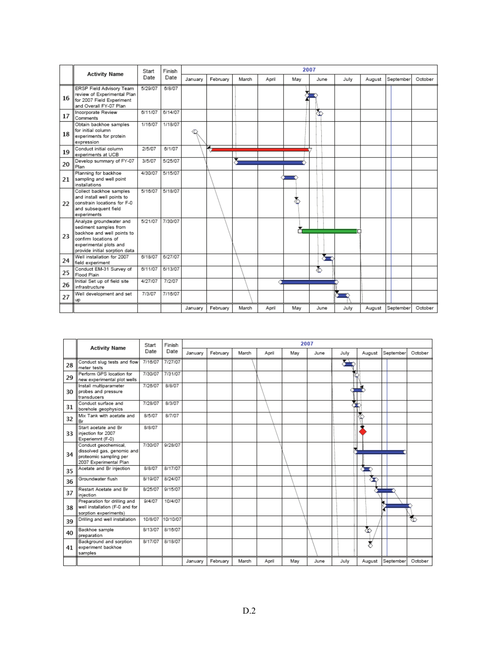|    |                                                                                                                                                                   | Start   | Finish  | 2007    |          |       |       |     |      |      |        |           |         |
|----|-------------------------------------------------------------------------------------------------------------------------------------------------------------------|---------|---------|---------|----------|-------|-------|-----|------|------|--------|-----------|---------|
|    | <b>Activity Name</b>                                                                                                                                              | Date    | Date    | January | February | March | April | May | June | July | August | September | October |
| 16 | ERSP Field Advisory Team<br>review of Experimental Plan<br>for 2007 Field Experiment<br>and Overall FY-07 Plan                                                    | 5/29/07 | 6/8/07  |         |          |       |       |     |      |      |        |           |         |
| 17 | Incorporate Review<br>Comments                                                                                                                                    | 6/11/07 | 6/14/07 |         |          |       |       |     | ∞    |      |        |           |         |
| 18 | Obtain backhoe samples<br>for initial column<br>experiments for protein<br>expression                                                                             | 1/16/07 | 1/18/07 |         |          |       |       |     |      |      |        |           |         |
| 19 | Conduct initial column<br>experiments at UCB                                                                                                                      | 2/5/07  | 6/1/07  |         |          |       |       |     |      |      |        |           |         |
| 20 | Develop summary of FY-07<br>Plan                                                                                                                                  | 3/5/07  | 5/25/07 |         |          |       |       |     |      |      |        |           |         |
| 21 | Planning for backhoe<br>sampling and well point<br>installations                                                                                                  | 4/30/07 | 5/15/07 |         |          |       |       |     |      |      |        |           |         |
| 22 | Collect backhoe samples<br>and install well points to<br>constrain locations for F-0<br>and subsequent field<br>experiments                                       | 5/16/07 | 5/18/07 |         |          |       |       |     |      |      |        |           |         |
| 23 | Analyze groundwater and<br>sediment samples from<br>backhoe and well points to<br>confirm locations of<br>experimental plots and<br>provide initial sorption data | 5/21/07 | 7/30/07 |         |          |       |       |     |      |      |        |           |         |
| 24 | Well installation for 2007<br>field experiment                                                                                                                    | 6/18/07 | 6/27/07 |         |          |       |       |     | σ    |      |        |           |         |
| 25 | Conduct EM-31 Survey of<br>Flood Plain                                                                                                                            | 6/11/07 | 6/13/07 |         |          |       |       |     | 蠹    |      |        |           |         |
| 26 | Initial Set up of field site<br>infrastructure                                                                                                                    | 4/27/07 | 7/2/07  |         |          |       |       |     |      |      |        |           |         |
| 27 | Well development and set<br>up                                                                                                                                    | 7/3/07  | 7/16/07 |         |          |       |       |     |      |      |        |           |         |
|    |                                                                                                                                                                   |         |         | January | February | March | April | May | June | July | August | September | October |

|    |                                                                                                        | Start   | Finish   |         |          |       |       |     | 2007 |      |        |           |         |
|----|--------------------------------------------------------------------------------------------------------|---------|----------|---------|----------|-------|-------|-----|------|------|--------|-----------|---------|
|    | <b>Activity Name</b>                                                                                   | Date    | Date     | January | February | March | April | May | June | July | August | September | October |
| 28 | Conduct slug tests and flow<br>meter tests                                                             | 7/16/07 | 7/27/07  |         |          |       |       |     |      | ◚    |        |           |         |
| 29 | Perform GPS location for<br>new experimental plot wells                                                | 7/30/07 | 7/31/07  |         |          |       |       |     |      |      |        |           |         |
| 30 | Install multiparameter<br>probes and pressure<br>transducers                                           | 7/26/07 | 8/8/07   |         |          |       |       |     |      |      |        |           |         |
| 31 | Conduct surface and<br>borehole geophysics                                                             | 7/28/07 | 8/3/07   |         |          |       |       |     |      |      |        |           |         |
| 32 | Mix Tank with acetate and<br>Br                                                                        | 8/5/07  | 8/7/07   |         |          |       |       |     |      |      |        |           |         |
| 33 | Start acetate and Br<br>injection for 2007<br>Experiemnt (F-0)                                         | 8/8/07  |          |         |          |       |       |     |      |      |        |           |         |
| 34 | Conduct geochemical,<br>dissolved gas, genomic and<br>proteomic sampling per<br>2007 Experimental Plan | 7/30/07 | 9/28/07  |         |          |       |       |     |      |      |        |           |         |
| 35 | Acetate and Br injection                                                                               | 8/8/07  | 8/17/07  |         |          |       |       |     |      |      |        |           |         |
| 36 | Groundwater flush                                                                                      | 8/19/07 | 8/24/07  |         |          |       |       |     |      |      | ☎      |           |         |
| 37 | Restart Acetate and Br<br>injection                                                                    | 8/25/07 | 9/15/07  |         |          |       |       |     |      |      |        | ──        |         |
| 38 | Preparation for drilling and<br>well installation (F-0 and for<br>sorption experiments)                | 9/4/07  | 10/4/07  |         |          |       |       |     |      |      |        |           |         |
| 39 | Drilling and well installation                                                                         | 10/8/07 | 10/10/07 |         |          |       |       |     |      |      |        |           | ₹⊙      |
| 40 | Backhoe sample<br>preparation                                                                          | 8/13/07 | 8/16/07  |         |          |       |       |     |      |      | శ      |           |         |
| 41 | Background and sorption<br>experiment backhoe<br>samples                                               | 8/17/07 | 8/18/07  |         |          |       |       |     |      |      | ż      |           |         |
|    |                                                                                                        |         |          | January | February | March | April | May | June | July | August | September | October |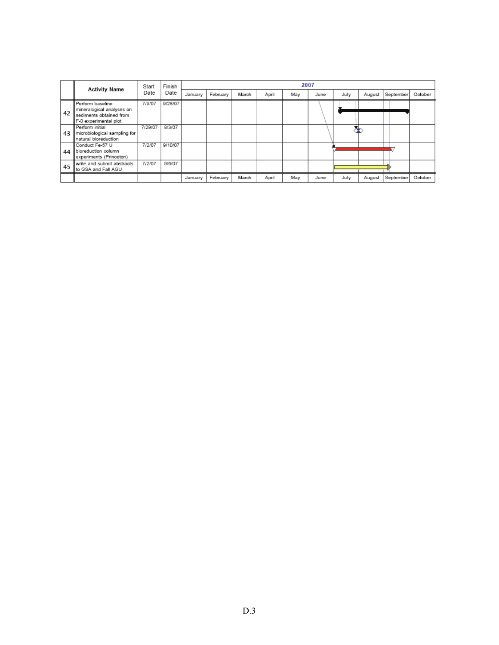|    | <b>Activity Name</b>                                                                                | Start   | Finish  | 2007    |          |       |       |     |      |      |        |           |         |
|----|-----------------------------------------------------------------------------------------------------|---------|---------|---------|----------|-------|-------|-----|------|------|--------|-----------|---------|
|    |                                                                                                     | Date    | Date    | January | February | March | April | May | June | July | August | September | October |
| 42 | l Perform baseline<br>mineralogical analyses on<br>sediments obtained from<br>F-0 experimental plot | 7/9/07  | 9/28/07 |         |          |       |       |     |      |      |        |           |         |
| 43 | Perform initial<br>microbiological sampling for<br>natural bioreduction                             | 7/29/07 | 8/3/07  |         |          |       |       |     |      |      |        |           |         |
| 44 | Conduct Fe-57 U<br>bioreduction column<br>experiments (Princeton)                                   | 7/2/07  | 9/10/07 |         |          |       |       |     |      |      |        |           |         |
| 45 | write and submit abstracts<br>llto GSA and Fall AGU                                                 | 7/2/07  | 9/6/07  |         |          |       |       |     |      |      |        |           |         |
|    |                                                                                                     |         |         | January | February | March | April | May | June | July | August | September | October |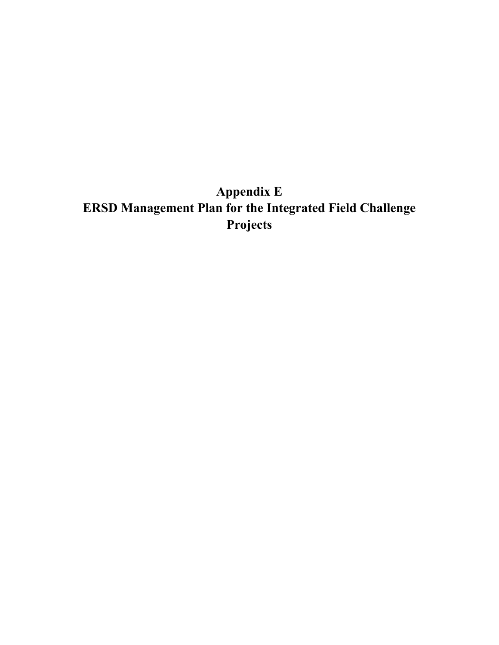# **Appendix E ERSD Management Plan for the Integrated Field Challenge Projects**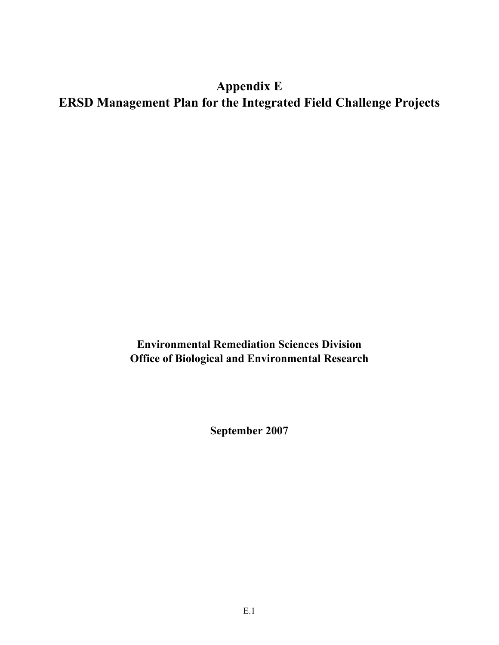## **Appendix E ERSD Management Plan for the Integrated Field Challenge Projects**

**Environmental Remediation Sciences Division Office of Biological and Environmental Research** 

**September 2007**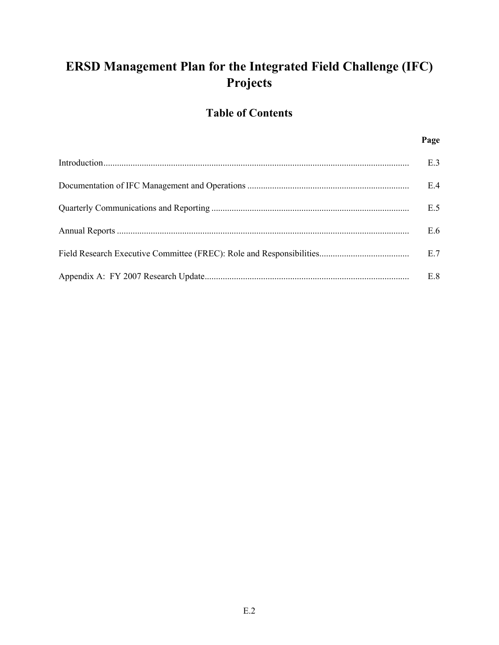## **ERSD Management Plan for the Integrated Field Challenge (IFC) Projects**

## **Table of Contents**

#### **Page**

| E.3 |
|-----|
| E.4 |
| E.5 |
| E.6 |
| E.7 |
| E.8 |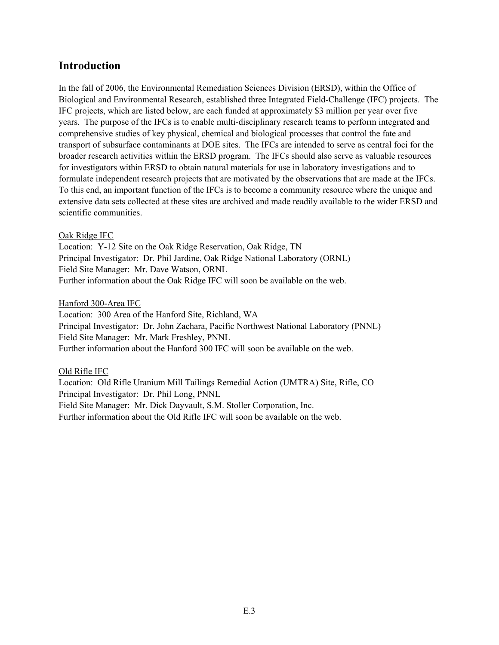### **Introduction**

In the fall of 2006, the Environmental Remediation Sciences Division (ERSD), within the Office of Biological and Environmental Research, established three Integrated Field-Challenge (IFC) projects. The IFC projects, which are listed below, are each funded at approximately \$3 million per year over five years. The purpose of the IFCs is to enable multi-disciplinary research teams to perform integrated and comprehensive studies of key physical, chemical and biological processes that control the fate and transport of subsurface contaminants at DOE sites. The IFCs are intended to serve as central foci for the broader research activities within the ERSD program. The IFCs should also serve as valuable resources for investigators within ERSD to obtain natural materials for use in laboratory investigations and to formulate independent research projects that are motivated by the observations that are made at the IFCs. To this end, an important function of the IFCs is to become a community resource where the unique and extensive data sets collected at these sites are archived and made readily available to the wider ERSD and scientific communities.

#### Oak Ridge IFC

Location: Y-12 Site on the Oak Ridge Reservation, Oak Ridge, TN Principal Investigator: Dr. Phil Jardine, Oak Ridge National Laboratory (ORNL) Field Site Manager: Mr. Dave Watson, ORNL Further information about the Oak Ridge IFC will soon be available on the web.

#### Hanford 300-Area IFC

Location: 300 Area of the Hanford Site, Richland, WA Principal Investigator: Dr. John Zachara, Pacific Northwest National Laboratory (PNNL) Field Site Manager: Mr. Mark Freshley, PNNL Further information about the Hanford 300 IFC will soon be available on the web.

#### Old Rifle IFC

Location: Old Rifle Uranium Mill Tailings Remedial Action (UMTRA) Site, Rifle, CO Principal Investigator: Dr. Phil Long, PNNL Field Site Manager: Mr. Dick Dayvault, S.M. Stoller Corporation, Inc. Further information about the Old Rifle IFC will soon be available on the web.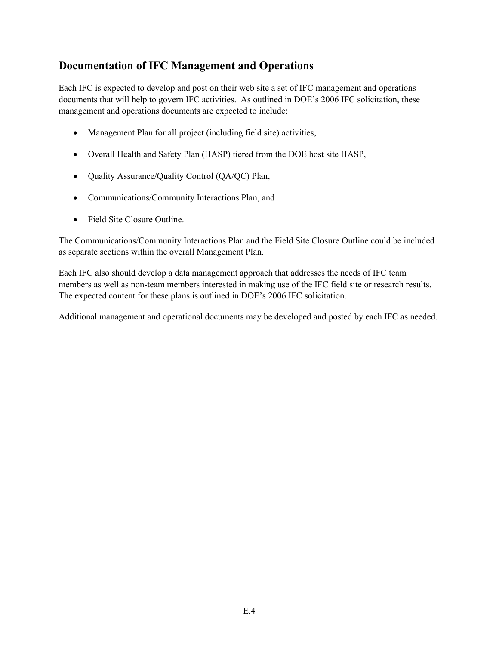## **Documentation of IFC Management and Operations**

Each IFC is expected to develop and post on their web site a set of IFC management and operations documents that will help to govern IFC activities. As outlined in DOE's 2006 IFC solicitation, these management and operations documents are expected to include:

- Management Plan for all project (including field site) activities,
- Overall Health and Safety Plan (HASP) tiered from the DOE host site HASP,
- Quality Assurance/Quality Control (QA/QC) Plan,
- Communications/Community Interactions Plan, and
- Field Site Closure Outline.

The Communications/Community Interactions Plan and the Field Site Closure Outline could be included as separate sections within the overall Management Plan.

Each IFC also should develop a data management approach that addresses the needs of IFC team members as well as non-team members interested in making use of the IFC field site or research results. The expected content for these plans is outlined in DOE's 2006 IFC solicitation.

Additional management and operational documents may be developed and posted by each IFC as needed.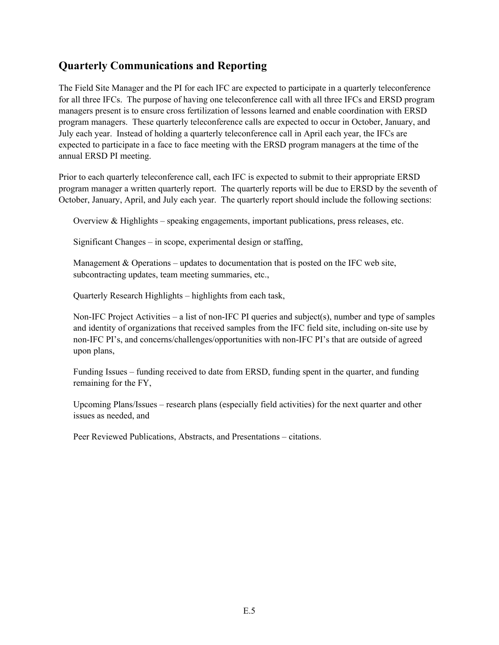## **Quarterly Communications and Reporting**

The Field Site Manager and the PI for each IFC are expected to participate in a quarterly teleconference for all three IFCs. The purpose of having one teleconference call with all three IFCs and ERSD program managers present is to ensure cross fertilization of lessons learned and enable coordination with ERSD program managers. These quarterly teleconference calls are expected to occur in October, January, and July each year. Instead of holding a quarterly teleconference call in April each year, the IFCs are expected to participate in a face to face meeting with the ERSD program managers at the time of the annual ERSD PI meeting.

Prior to each quarterly teleconference call, each IFC is expected to submit to their appropriate ERSD program manager a written quarterly report. The quarterly reports will be due to ERSD by the seventh of October, January, April, and July each year. The quarterly report should include the following sections:

Overview  $\&$  Highlights – speaking engagements, important publications, press releases, etc.

Significant Changes – in scope, experimental design or staffing,

Management & Operations – updates to documentation that is posted on the IFC web site, subcontracting updates, team meeting summaries, etc.,

Quarterly Research Highlights – highlights from each task,

Non-IFC Project Activities – a list of non-IFC PI queries and subject(s), number and type of samples and identity of organizations that received samples from the IFC field site, including on-site use by non-IFC PI's, and concerns/challenges/opportunities with non-IFC PI's that are outside of agreed upon plans,

Funding Issues – funding received to date from ERSD, funding spent in the quarter, and funding remaining for the FY,

Upcoming Plans/Issues – research plans (especially field activities) for the next quarter and other issues as needed, and

Peer Reviewed Publications, Abstracts, and Presentations – citations.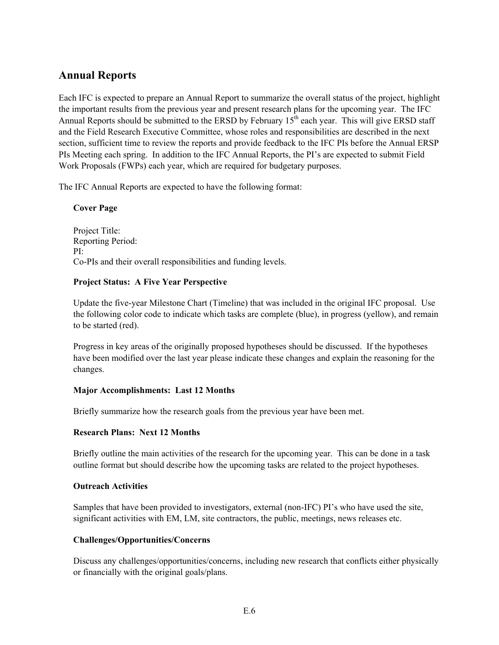## **Annual Reports**

Each IFC is expected to prepare an Annual Report to summarize the overall status of the project, highlight the important results from the previous year and present research plans for the upcoming year. The IFC Annual Reports should be submitted to the ERSD by February 15<sup>th</sup> each year. This will give ERSD staff and the Field Research Executive Committee, whose roles and responsibilities are described in the next section, sufficient time to review the reports and provide feedback to the IFC PIs before the Annual ERSP PIs Meeting each spring. In addition to the IFC Annual Reports, the PI's are expected to submit Field Work Proposals (FWPs) each year, which are required for budgetary purposes.

The IFC Annual Reports are expected to have the following format:

#### **Cover Page**

Project Title: Reporting Period: PI: Co-PIs and their overall responsibilities and funding levels.

#### **Project Status: A Five Year Perspective**

Update the five-year Milestone Chart (Timeline) that was included in the original IFC proposal. Use the following color code to indicate which tasks are complete (blue), in progress (yellow), and remain to be started (red).

Progress in key areas of the originally proposed hypotheses should be discussed. If the hypotheses have been modified over the last year please indicate these changes and explain the reasoning for the changes.

#### **Major Accomplishments: Last 12 Months**

Briefly summarize how the research goals from the previous year have been met.

#### **Research Plans: Next 12 Months**

Briefly outline the main activities of the research for the upcoming year. This can be done in a task outline format but should describe how the upcoming tasks are related to the project hypotheses.

#### **Outreach Activities**

Samples that have been provided to investigators, external (non-IFC) PI's who have used the site, significant activities with EM, LM, site contractors, the public, meetings, news releases etc.

#### **Challenges/Opportunities/Concerns**

Discuss any challenges/opportunities/concerns, including new research that conflicts either physically or financially with the original goals/plans.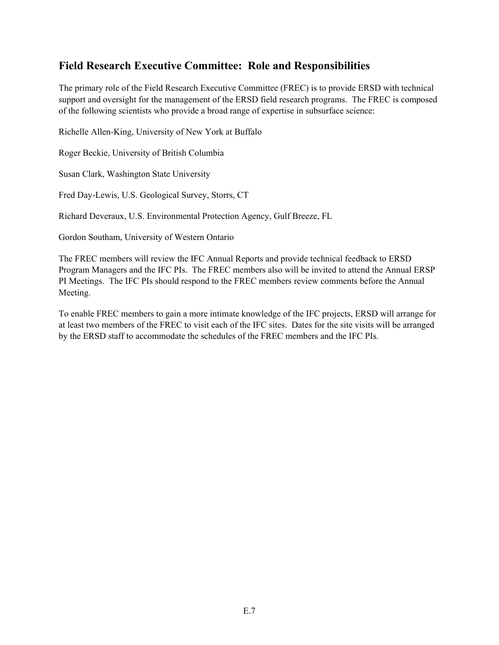## **Field Research Executive Committee: Role and Responsibilities**

The primary role of the Field Research Executive Committee (FREC) is to provide ERSD with technical support and oversight for the management of the ERSD field research programs. The FREC is composed of the following scientists who provide a broad range of expertise in subsurface science:

Richelle Allen-King, University of New York at Buffalo

Roger Beckie, University of British Columbia

Susan Clark, Washington State University

Fred Day-Lewis, U.S. Geological Survey, Storrs, CT

Richard Deveraux, U.S. Environmental Protection Agency, Gulf Breeze, FL

Gordon Southam, University of Western Ontario

The FREC members will review the IFC Annual Reports and provide technical feedback to ERSD Program Managers and the IFC PIs. The FREC members also will be invited to attend the Annual ERSP PI Meetings. The IFC PIs should respond to the FREC members review comments before the Annual Meeting.

To enable FREC members to gain a more intimate knowledge of the IFC projects, ERSD will arrange for at least two members of the FREC to visit each of the IFC sites. Dates for the site visits will be arranged by the ERSD staff to accommodate the schedules of the FREC members and the IFC PIs.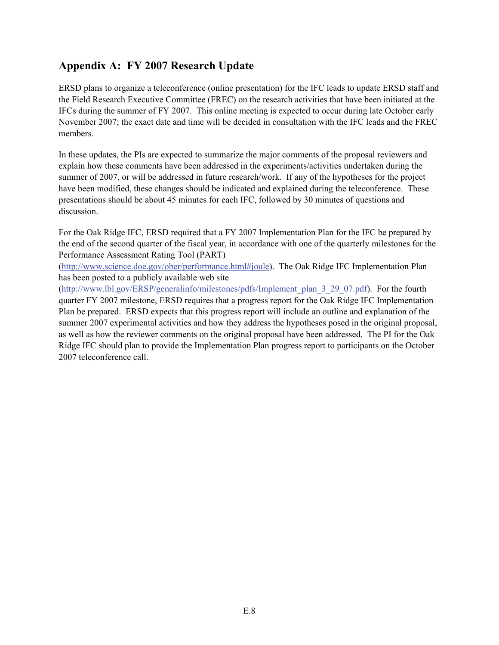## **Appendix A: FY 2007 Research Update**

ERSD plans to organize a teleconference (online presentation) for the IFC leads to update ERSD staff and the Field Research Executive Committee (FREC) on the research activities that have been initiated at the IFCs during the summer of FY 2007. This online meeting is expected to occur during late October early November 2007; the exact date and time will be decided in consultation with the IFC leads and the FREC members.

In these updates, the PIs are expected to summarize the major comments of the proposal reviewers and explain how these comments have been addressed in the experiments/activities undertaken during the summer of 2007, or will be addressed in future research/work. If any of the hypotheses for the project have been modified, these changes should be indicated and explained during the teleconference. These presentations should be about 45 minutes for each IFC, followed by 30 minutes of questions and discussion.

For the Oak Ridge IFC, ERSD required that a FY 2007 Implementation Plan for the IFC be prepared by the end of the second quarter of the fiscal year, in accordance with one of the quarterly milestones for the Performance Assessment Rating Tool (PART)

(http://www.science.doe.gov/ober/performance.html#joule). The Oak Ridge IFC Implementation Plan has been posted to a publicly available web site

(http://www.lbl.gov/ERSP/generalinfo/milestones/pdfs/Implement\_plan\_3\_29\_07.pdf). For the fourth quarter FY 2007 milestone, ERSD requires that a progress report for the Oak Ridge IFC Implementation Plan be prepared. ERSD expects that this progress report will include an outline and explanation of the summer 2007 experimental activities and how they address the hypotheses posed in the original proposal, as well as how the reviewer comments on the original proposal have been addressed. The PI for the Oak Ridge IFC should plan to provide the Implementation Plan progress report to participants on the October 2007 teleconference call.